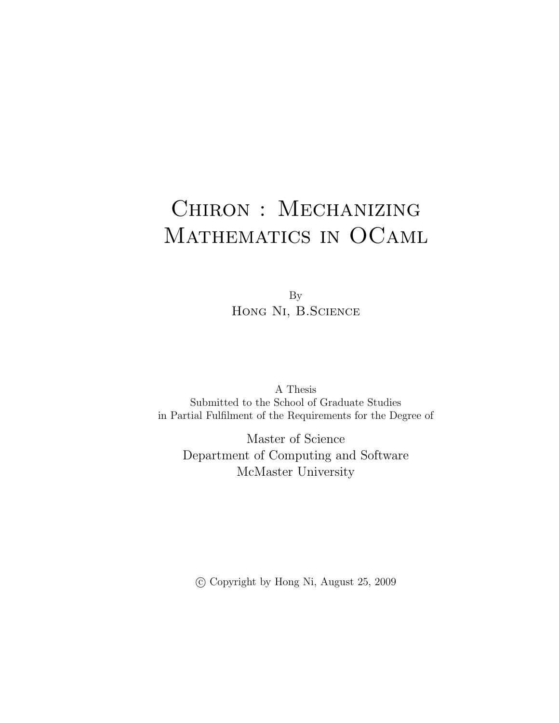## Chiron : Mechanizing MATHEMATICS IN OCAML

By HONG NI, B.SCIENCE

A Thesis Submitted to the School of Graduate Studies in Partial Fulfilment of the Requirements for the Degree of

Master of Science Department of Computing and Software McMaster University

c Copyright by Hong Ni, August 25, 2009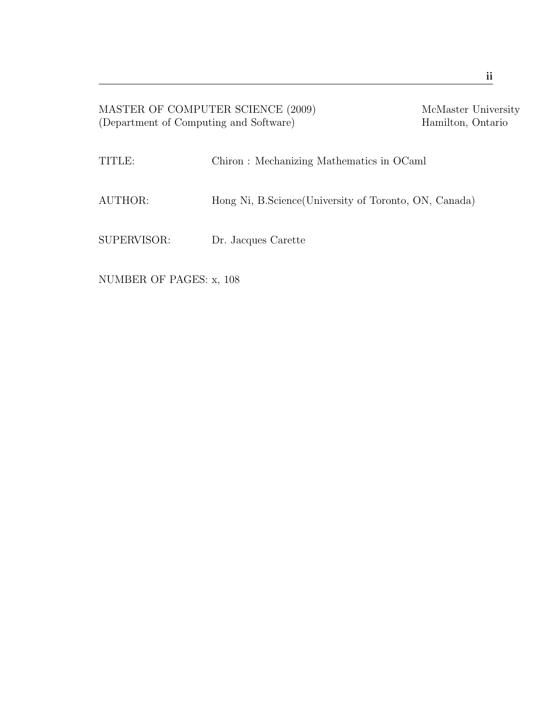| MASTER OF COMPUTER SCIENCE (2009)<br>(Department of Computing and Software) | McMaster University<br>Hamilton, Ontario               |  |
|-----------------------------------------------------------------------------|--------------------------------------------------------|--|
| TITLE:                                                                      | Chiron: Mechanizing Mathematics in OCaml               |  |
| AUTHOR:                                                                     | Hong Ni, B.Science (University of Toronto, ON, Canada) |  |
| SUPERVISOR:                                                                 | Dr. Jacques Carette                                    |  |

NUMBER OF PAGES: x, 108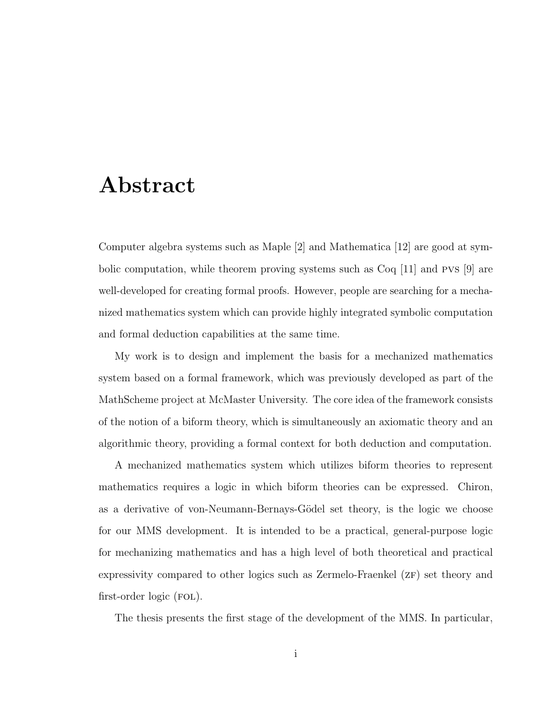### Abstract

Computer algebra systems such as Maple [2] and Mathematica [12] are good at symbolic computation, while theorem proving systems such as Coq [11] and pvs [9] are well-developed for creating formal proofs. However, people are searching for a mechanized mathematics system which can provide highly integrated symbolic computation and formal deduction capabilities at the same time.

My work is to design and implement the basis for a mechanized mathematics system based on a formal framework, which was previously developed as part of the MathScheme project at McMaster University. The core idea of the framework consists of the notion of a biform theory, which is simultaneously an axiomatic theory and an algorithmic theory, providing a formal context for both deduction and computation.

A mechanized mathematics system which utilizes biform theories to represent mathematics requires a logic in which biform theories can be expressed. Chiron, as a derivative of von-Neumann-Bernays-Gödel set theory, is the logic we choose for our MMS development. It is intended to be a practical, general-purpose logic for mechanizing mathematics and has a high level of both theoretical and practical expressivity compared to other logics such as Zermelo-Fraenkel ( $ZF$ ) set theory and first-order logic (FOL).

The thesis presents the first stage of the development of the MMS. In particular,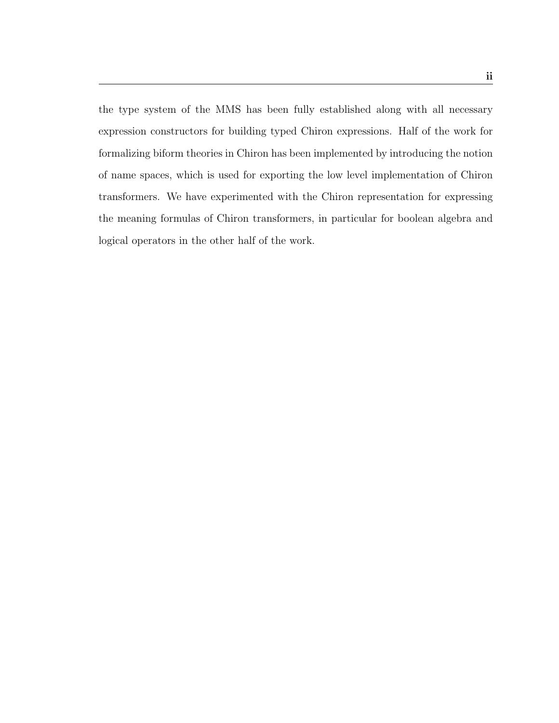the type system of the MMS has been fully established along with all necessary expression constructors for building typed Chiron expressions. Half of the work for formalizing biform theories in Chiron has been implemented by introducing the notion of name spaces, which is used for exporting the low level implementation of Chiron transformers. We have experimented with the Chiron representation for expressing the meaning formulas of Chiron transformers, in particular for boolean algebra and logical operators in the other half of the work.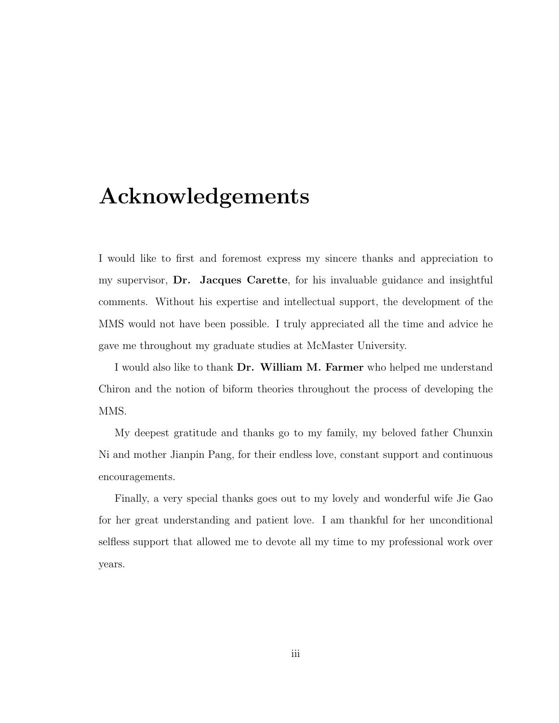### Acknowledgements

I would like to first and foremost express my sincere thanks and appreciation to my supervisor, Dr. Jacques Carette, for his invaluable guidance and insightful comments. Without his expertise and intellectual support, the development of the MMS would not have been possible. I truly appreciated all the time and advice he gave me throughout my graduate studies at McMaster University.

I would also like to thank Dr. William M. Farmer who helped me understand Chiron and the notion of biform theories throughout the process of developing the MMS.

My deepest gratitude and thanks go to my family, my beloved father Chunxin Ni and mother Jianpin Pang, for their endless love, constant support and continuous encouragements.

Finally, a very special thanks goes out to my lovely and wonderful wife Jie Gao for her great understanding and patient love. I am thankful for her unconditional selfless support that allowed me to devote all my time to my professional work over years.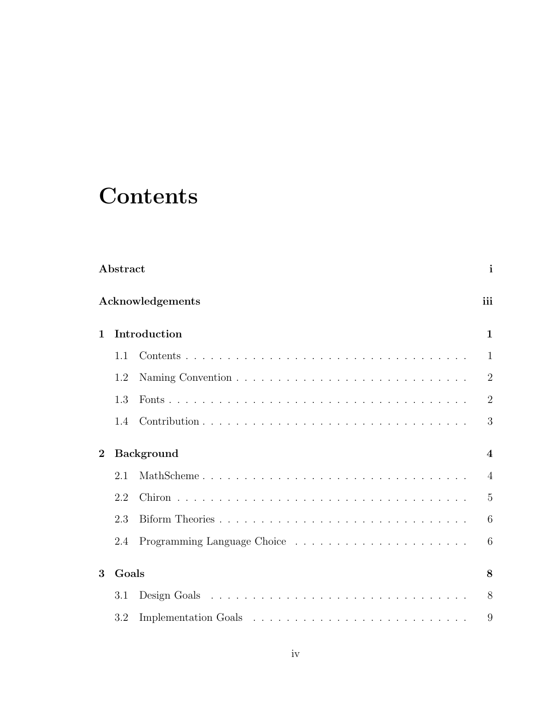## **Contents**

|              | Abstract |                   | $\mathbf{i}$   |
|--------------|----------|-------------------|----------------|
|              |          | Acknowledgements  | iii            |
| $\mathbf{1}$ |          | Introduction      | $\mathbf{1}$   |
|              | 1.1      |                   | $\mathbf{1}$   |
|              | 1.2      |                   | $\overline{2}$ |
|              | 1.3      |                   | $\overline{2}$ |
|              | 1.4      |                   | 3              |
| $\mathbf{2}$ |          | <b>Background</b> | $\overline{4}$ |
|              | 2.1      | MathScheme        | $\overline{4}$ |
|              | 2.2      |                   | 5              |
|              | 2.3      |                   | 6              |
|              | 2.4      |                   | 6              |
| 3            | Goals    |                   | 8              |
|              | 3.1      |                   | 8              |
|              | 3.2      |                   | 9              |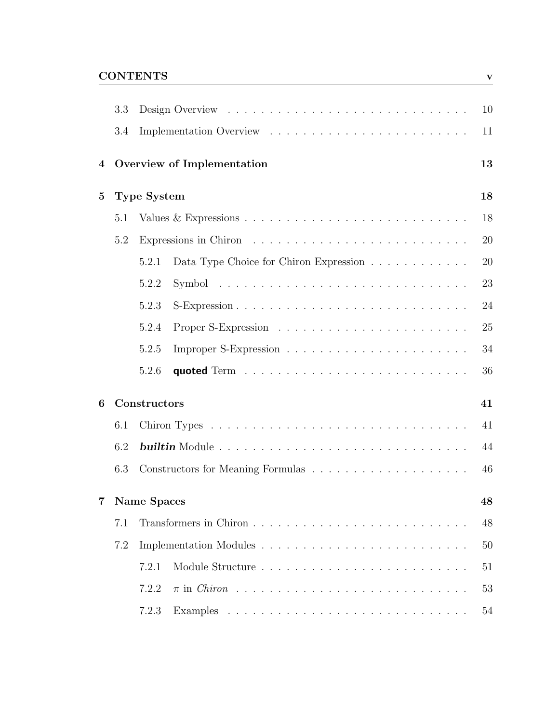### <u>CONTENTS</u>

|                | 3.3 |                                                 | 10 |
|----------------|-----|-------------------------------------------------|----|
|                | 3.4 |                                                 | 11 |
| 4              |     | Overview of Implementation                      | 13 |
| $\bf{5}$       |     | <b>Type System</b>                              | 18 |
|                | 5.1 |                                                 | 18 |
|                | 5.2 |                                                 | 20 |
|                |     | Data Type Choice for Chiron Expression<br>5.2.1 | 20 |
|                |     | 5.2.2                                           | 23 |
|                |     | 5.2.3                                           | 24 |
|                |     | 5.2.4                                           | 25 |
|                |     | 5.2.5                                           | 34 |
|                |     | 5.2.6                                           | 36 |
| 6              |     | Constructors                                    | 41 |
|                | 6.1 |                                                 | 41 |
|                | 6.2 |                                                 | 44 |
|                | 6.3 |                                                 | 46 |
| $\overline{7}$ |     | <b>Name Spaces</b>                              | 48 |
|                | 7.1 |                                                 | 48 |
|                | 7.2 |                                                 | 50 |
|                |     | 7.2.1                                           | 51 |
|                |     | 7.2.2                                           | 53 |
|                |     | 7.2.3                                           | 54 |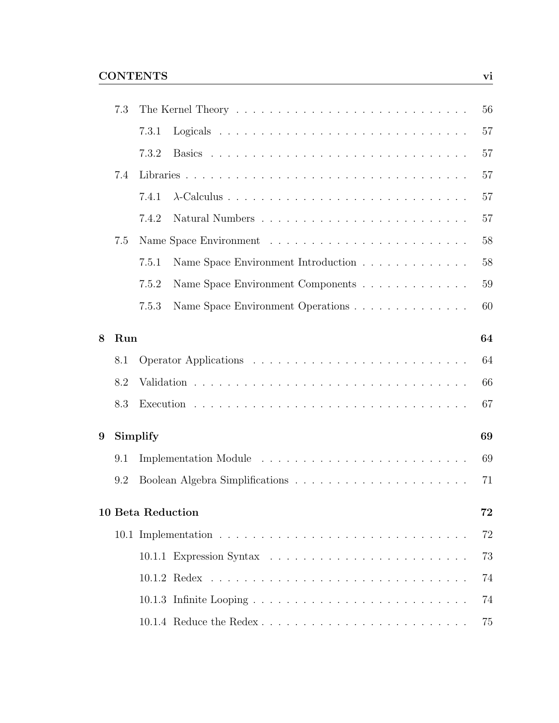| 7.3 |       |                                     | 56                                                  |
|-----|-------|-------------------------------------|-----------------------------------------------------|
|     | 7.3.1 |                                     | 57                                                  |
|     | 7.3.2 |                                     | 57                                                  |
| 7.4 |       |                                     | 57                                                  |
|     | 7.4.1 |                                     | 57                                                  |
|     | 7.4.2 |                                     | 57                                                  |
| 7.5 |       |                                     | 58                                                  |
|     | 7.5.1 | Name Space Environment Introduction | 58                                                  |
|     | 7.5.2 | Name Space Environment Components   | 59                                                  |
|     | 7.5.3 | Name Space Environment Operations   | 60                                                  |
|     |       |                                     | 64                                                  |
| 8.1 |       |                                     | 64                                                  |
| 8.2 |       |                                     | 66                                                  |
| 8.3 |       |                                     | 67                                                  |
|     |       |                                     | 69                                                  |
| 9.1 |       |                                     | 69                                                  |
| 9.2 |       |                                     | 71                                                  |
|     |       |                                     | 72                                                  |
|     |       |                                     | 72                                                  |
|     |       |                                     | 73                                                  |
|     |       |                                     | 74                                                  |
|     |       |                                     | 74                                                  |
|     |       |                                     | 75                                                  |
|     |       | Run<br>Simplify                     | <b>10 Beta Reduction</b><br>10.1.4 Reduce the Redex |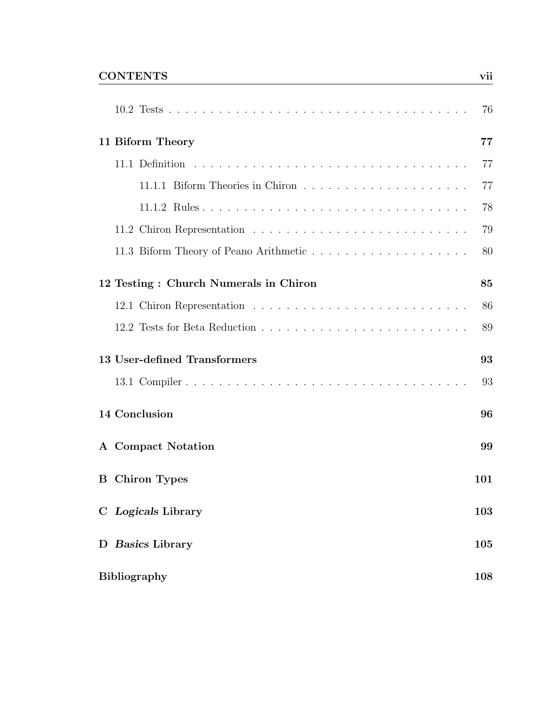#### CONTENTS vii

|                                       | 76  |
|---------------------------------------|-----|
| 11 Biform Theory                      | 77  |
|                                       | 77  |
|                                       | 77  |
|                                       | 78  |
|                                       | 79  |
|                                       | 80  |
| 12 Testing: Church Numerals in Chiron | 85  |
|                                       | 86  |
|                                       | 89  |
| 13 User-defined Transformers          | 93  |
|                                       | 93  |
| 14 Conclusion                         | 96  |
| A Compact Notation                    | 99  |
| <b>B</b> Chiron Types                 | 101 |
| C Logicals Library                    | 103 |
| D Basics Library                      | 105 |
| <b>Bibliography</b>                   | 108 |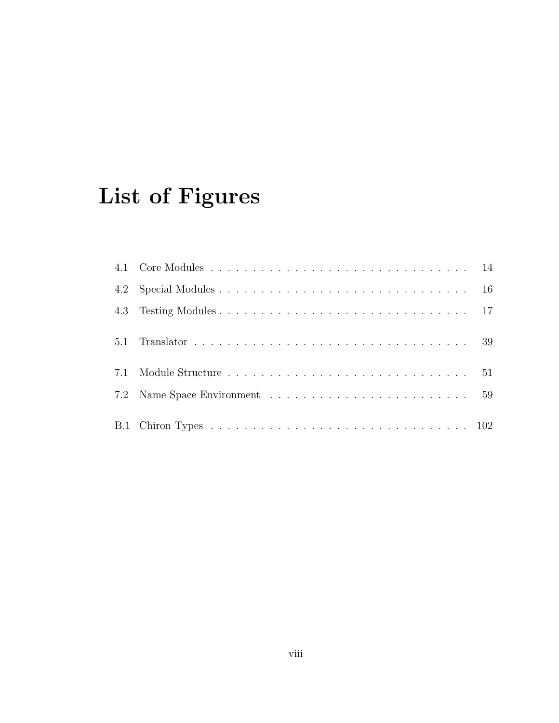# List of Figures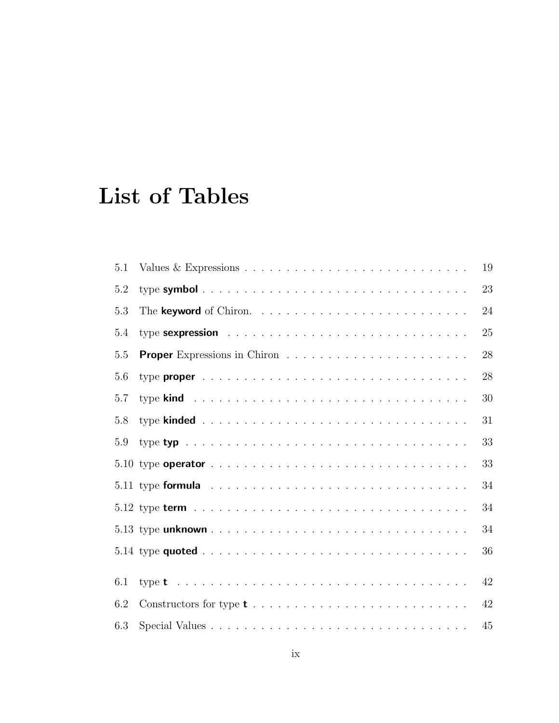## List of Tables

| 5.1 | 19 |
|-----|----|
| 5.2 | 23 |
| 5.3 | 24 |
| 5.4 | 25 |
| 5.5 | 28 |
| 5.6 | 28 |
| 5.7 | 30 |
| 5.8 | 31 |
| 5.9 | 33 |
|     | 33 |
|     | 34 |
|     | 34 |
|     | 34 |
|     | 36 |
| 6.1 | 42 |
| 6.2 | 42 |
| 6.3 | 45 |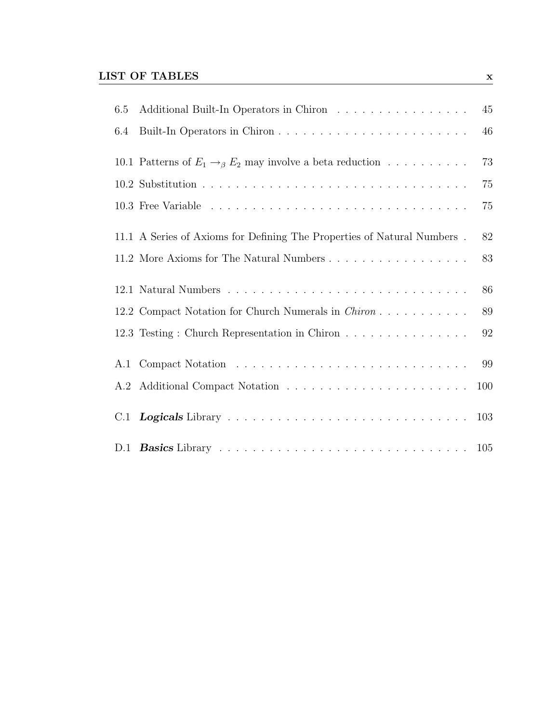### $\underline{\text{LIST OF TABLES}}$

| 6.5 | Additional Built-In Operators in Chiron                                     | 45  |
|-----|-----------------------------------------------------------------------------|-----|
| 6.4 |                                                                             | 46  |
|     | 10.1 Patterns of $E_1 \rightarrow_{\beta} E_2$ may involve a beta reduction | 73  |
|     |                                                                             | 75  |
|     |                                                                             | 75  |
|     | 11.1 A Series of Axioms for Defining The Properties of Natural Numbers.     | 82  |
|     | 11.2 More Axioms for The Natural Numbers                                    | 83  |
|     |                                                                             | 86  |
|     | 12.2 Compact Notation for Church Numerals in <i>Chiron</i>                  | 89  |
|     | 12.3 Testing: Church Representation in Chiron                               | 92  |
| A.1 |                                                                             | 99  |
| A.2 |                                                                             | 100 |
| C.1 |                                                                             | 103 |
|     |                                                                             |     |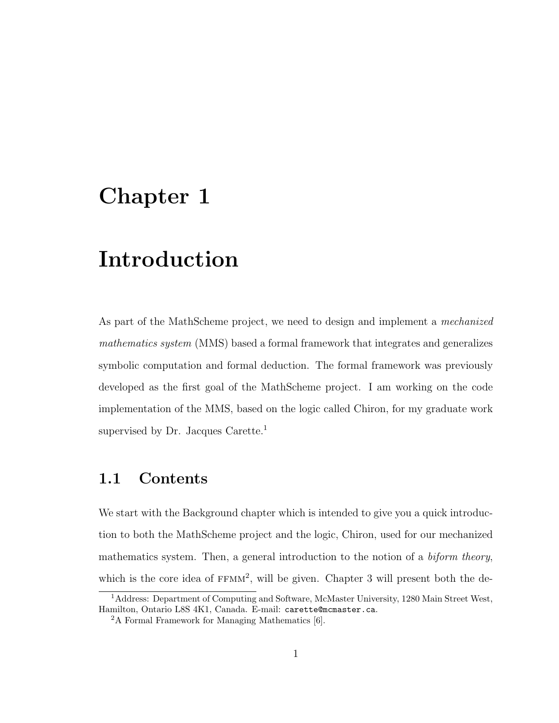### Chapter 1

## Introduction

As part of the MathScheme project, we need to design and implement a mechanized mathematics system (MMS) based a formal framework that integrates and generalizes symbolic computation and formal deduction. The formal framework was previously developed as the first goal of the MathScheme project. I am working on the code implementation of the MMS, based on the logic called Chiron, for my graduate work supervised by Dr. Jacques Carette.<sup>1</sup>

#### 1.1 Contents

We start with the Background chapter which is intended to give you a quick introduction to both the MathScheme project and the logic, Chiron, used for our mechanized mathematics system. Then, a general introduction to the notion of a *biform theory*, which is the core idea of  $FFMM^2$ , will be given. Chapter 3 will present both the de-

<sup>1</sup>Address: Department of Computing and Software, McMaster University, 1280 Main Street West, Hamilton, Ontario L8S 4K1, Canada. E-mail: carette@mcmaster.ca.

<sup>2</sup>A Formal Framework for Managing Mathematics [6].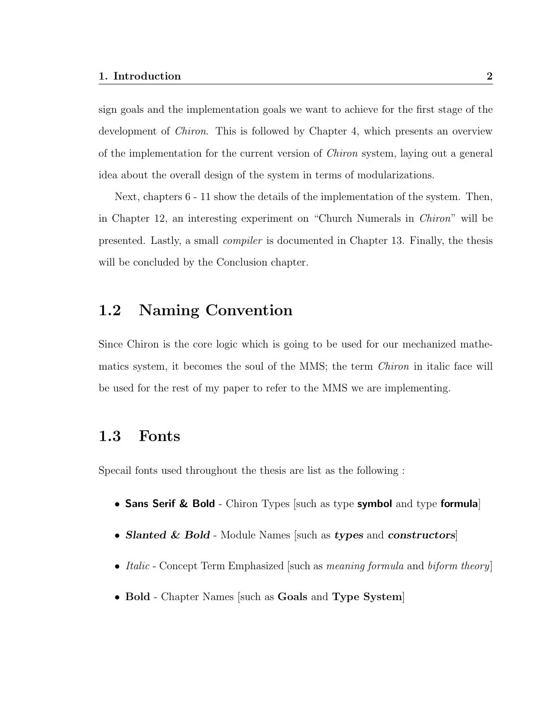sign goals and the implementation goals we want to achieve for the first stage of the development of *Chiron*. This is followed by Chapter 4, which presents an overview of the implementation for the current version of Chiron system, laying out a general idea about the overall design of the system in terms of modularizations.

Next, chapters 6 - 11 show the details of the implementation of the system. Then, in Chapter 12, an interesting experiment on "Church Numerals in Chiron" will be presented. Lastly, a small compiler is documented in Chapter 13. Finally, the thesis will be concluded by the Conclusion chapter.

#### 1.2 Naming Convention

Since Chiron is the core logic which is going to be used for our mechanized mathematics system, it becomes the soul of the MMS; the term Chiron in italic face will be used for the rest of my paper to refer to the MMS we are implementing.

#### 1.3 Fonts

Specail fonts used throughout the thesis are list as the following :

- Sans Serif & Bold Chiron Types [such as type symbol and type formula]
- Slanted & Bold Module Names [such as types and constructors]
- *Italic* Concept Term Emphasized such as *meaning formula* and *biform theory*
- Bold Chapter Names such as Goals and Type System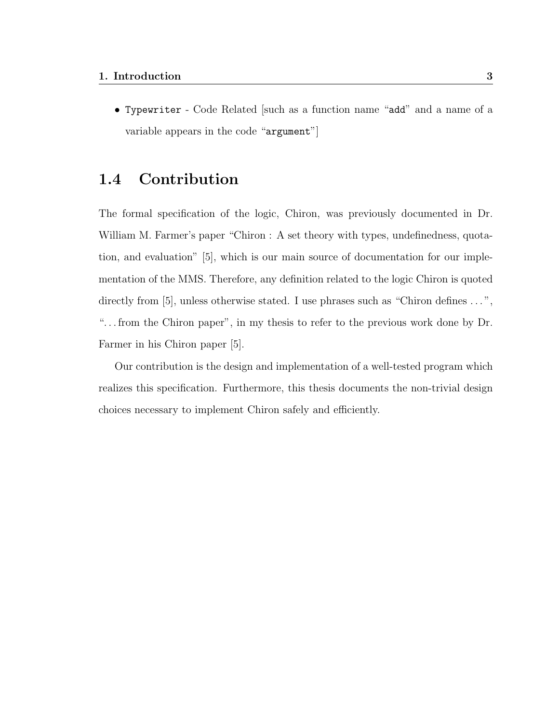• Typewriter - Code Related [such as a function name "add" and a name of a variable appears in the code "argument"]

### 1.4 Contribution

The formal specification of the logic, Chiron, was previously documented in Dr. William M. Farmer's paper "Chiron : A set theory with types, undefinedness, quotation, and evaluation" [5], which is our main source of documentation for our implementation of the MMS. Therefore, any definition related to the logic Chiron is quoted directly from [5], unless otherwise stated. I use phrases such as "Chiron defines ...", ". . . from the Chiron paper", in my thesis to refer to the previous work done by Dr. Farmer in his Chiron paper [5].

Our contribution is the design and implementation of a well-tested program which realizes this specification. Furthermore, this thesis documents the non-trivial design choices necessary to implement Chiron safely and efficiently.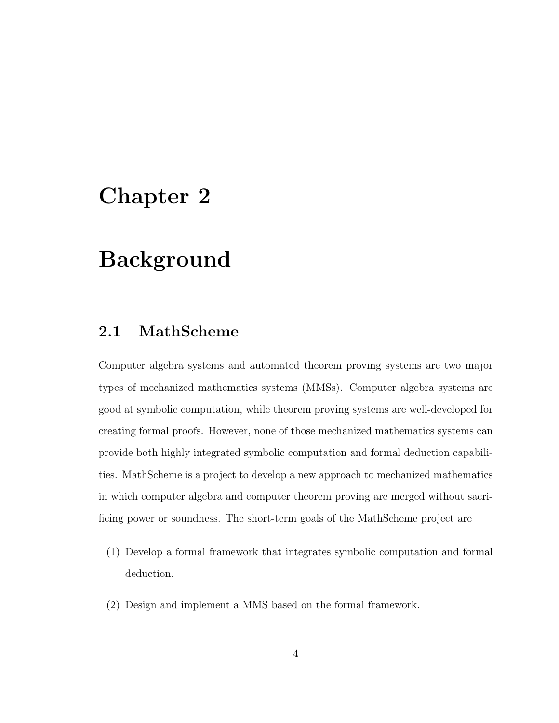### Chapter 2

## Background

### 2.1 MathScheme

Computer algebra systems and automated theorem proving systems are two major types of mechanized mathematics systems (MMSs). Computer algebra systems are good at symbolic computation, while theorem proving systems are well-developed for creating formal proofs. However, none of those mechanized mathematics systems can provide both highly integrated symbolic computation and formal deduction capabilities. MathScheme is a project to develop a new approach to mechanized mathematics in which computer algebra and computer theorem proving are merged without sacrificing power or soundness. The short-term goals of the MathScheme project are

- (1) Develop a formal framework that integrates symbolic computation and formal deduction.
- (2) Design and implement a MMS based on the formal framework.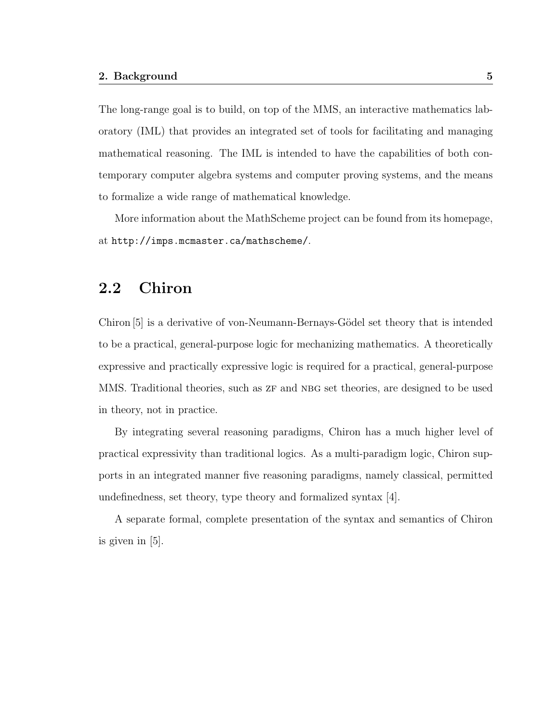The long-range goal is to build, on top of the MMS, an interactive mathematics laboratory (IML) that provides an integrated set of tools for facilitating and managing mathematical reasoning. The IML is intended to have the capabilities of both contemporary computer algebra systems and computer proving systems, and the means to formalize a wide range of mathematical knowledge.

More information about the MathScheme project can be found from its homepage, at http://imps.mcmaster.ca/mathscheme/.

#### 2.2 Chiron

Chiron [5] is a derivative of von-Neumann-Bernays-Gödel set theory that is intended to be a practical, general-purpose logic for mechanizing mathematics. A theoretically expressive and practically expressive logic is required for a practical, general-purpose MMS. Traditional theories, such as  $ZF$  and NBG set theories, are designed to be used in theory, not in practice.

By integrating several reasoning paradigms, Chiron has a much higher level of practical expressivity than traditional logics. As a multi-paradigm logic, Chiron supports in an integrated manner five reasoning paradigms, namely classical, permitted undefinedness, set theory, type theory and formalized syntax [4].

A separate formal, complete presentation of the syntax and semantics of Chiron is given in [5].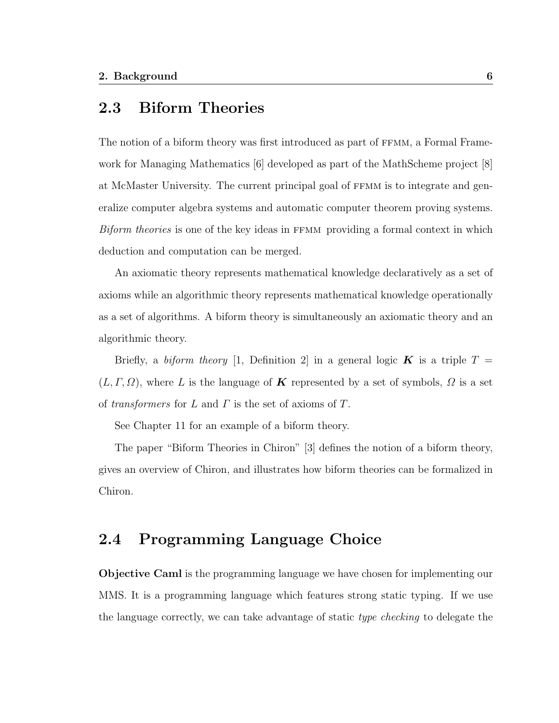#### 2.3 Biform Theories

The notion of a biform theory was first introduced as part of FFMM, a Formal Framework for Managing Mathematics [6] developed as part of the MathScheme project [8] at McMaster University. The current principal goal of ffmm is to integrate and generalize computer algebra systems and automatic computer theorem proving systems. Biform theories is one of the key ideas in FFMM providing a formal context in which deduction and computation can be merged.

An axiomatic theory represents mathematical knowledge declaratively as a set of axioms while an algorithmic theory represents mathematical knowledge operationally as a set of algorithms. A biform theory is simultaneously an axiomatic theory and an algorithmic theory.

Briefly, a biform theory [1, Definition 2] in a general logic **K** is a triple  $T =$  $(L, \Gamma, \Omega)$ , where L is the language of K represented by a set of symbols,  $\Omega$  is a set of transformers for L and  $\Gamma$  is the set of axioms of  $T$ .

See Chapter 11 for an example of a biform theory.

The paper "Biform Theories in Chiron" [3] defines the notion of a biform theory, gives an overview of Chiron, and illustrates how biform theories can be formalized in Chiron.

### 2.4 Programming Language Choice

Objective Caml is the programming language we have chosen for implementing our MMS. It is a programming language which features strong static typing. If we use the language correctly, we can take advantage of static type checking to delegate the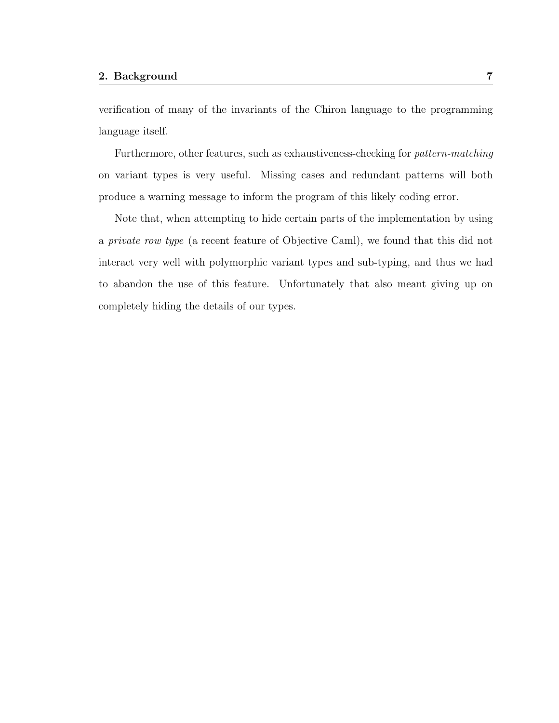verification of many of the invariants of the Chiron language to the programming language itself.

Furthermore, other features, such as exhaustiveness-checking for pattern-matching on variant types is very useful. Missing cases and redundant patterns will both produce a warning message to inform the program of this likely coding error.

Note that, when attempting to hide certain parts of the implementation by using a private row type (a recent feature of Objective Caml), we found that this did not interact very well with polymorphic variant types and sub-typing, and thus we had to abandon the use of this feature. Unfortunately that also meant giving up on completely hiding the details of our types.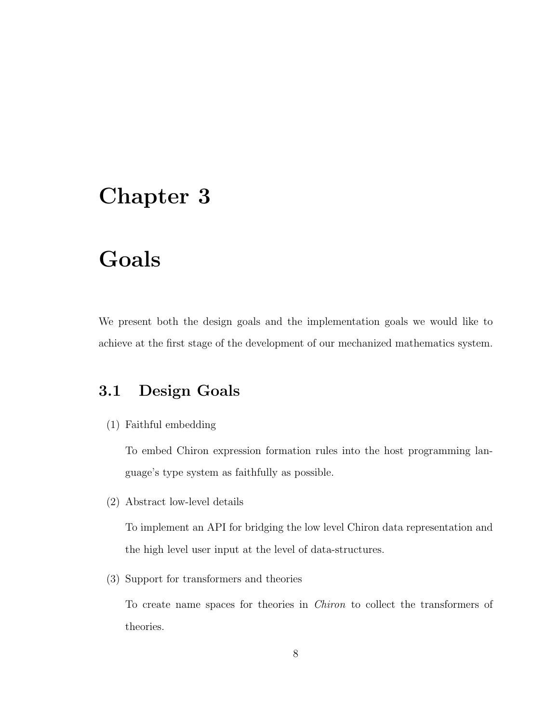### Chapter 3

## Goals

We present both the design goals and the implementation goals we would like to achieve at the first stage of the development of our mechanized mathematics system.

### 3.1 Design Goals

(1) Faithful embedding

To embed Chiron expression formation rules into the host programming language's type system as faithfully as possible.

(2) Abstract low-level details

To implement an API for bridging the low level Chiron data representation and the high level user input at the level of data-structures.

(3) Support for transformers and theories

To create name spaces for theories in Chiron to collect the transformers of theories.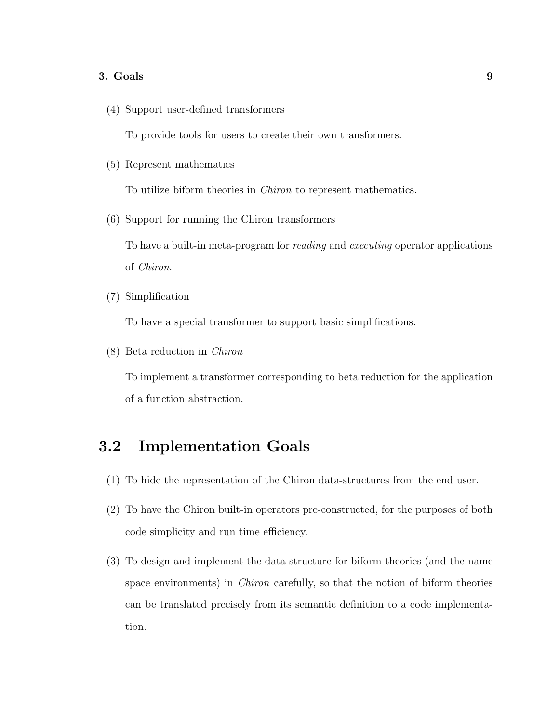(4) Support user-defined transformers

To provide tools for users to create their own transformers.

(5) Represent mathematics

To utilize biform theories in Chiron to represent mathematics.

(6) Support for running the Chiron transformers

To have a built-in meta-program for reading and executing operator applications of Chiron.

(7) Simplification

To have a special transformer to support basic simplifications.

(8) Beta reduction in Chiron

To implement a transformer corresponding to beta reduction for the application of a function abstraction.

### 3.2 Implementation Goals

- (1) To hide the representation of the Chiron data-structures from the end user.
- (2) To have the Chiron built-in operators pre-constructed, for the purposes of both code simplicity and run time efficiency.
- (3) To design and implement the data structure for biform theories (and the name space environments) in Chiron carefully, so that the notion of biform theories can be translated precisely from its semantic definition to a code implementation.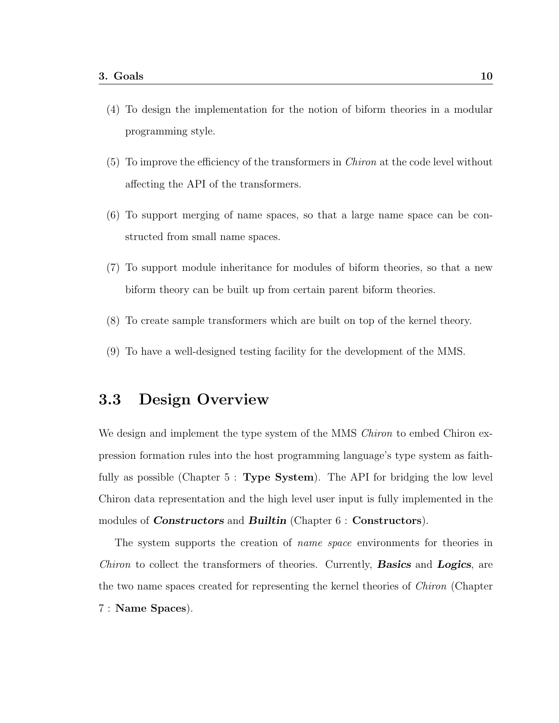- (4) To design the implementation for the notion of biform theories in a modular programming style.
- (5) To improve the efficiency of the transformers in Chiron at the code level without affecting the API of the transformers.
- (6) To support merging of name spaces, so that a large name space can be constructed from small name spaces.
- (7) To support module inheritance for modules of biform theories, so that a new biform theory can be built up from certain parent biform theories.
- (8) To create sample transformers which are built on top of the kernel theory.
- (9) To have a well-designed testing facility for the development of the MMS.

#### 3.3 Design Overview

We design and implement the type system of the MMS *Chiron* to embed Chiron expression formation rules into the host programming language's type system as faithfully as possible (Chapter  $5:$  Type System). The API for bridging the low level Chiron data representation and the high level user input is fully implemented in the modules of **Constructors** and **Builtin** (Chapter 6 : **Constructors**).

The system supports the creation of name space environments for theories in Chiron to collect the transformers of theories. Currently, **Basics** and **Logics**, are the two name spaces created for representing the kernel theories of Chiron (Chapter 7 : Name Spaces).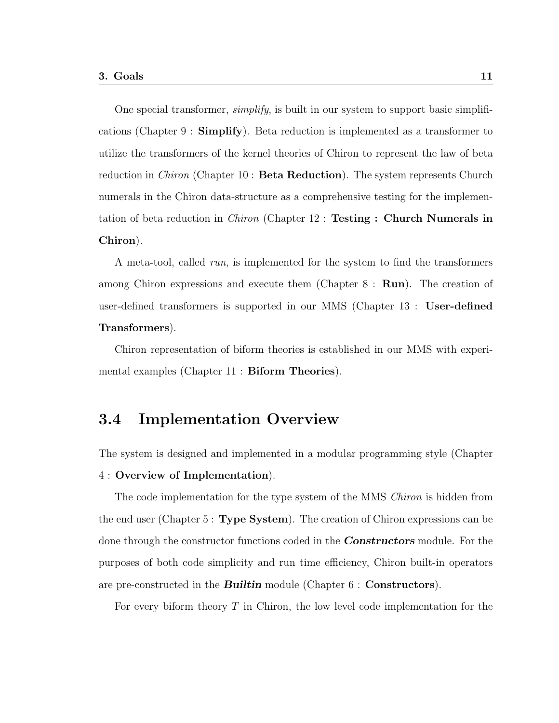One special transformer, simplify, is built in our system to support basic simplifications (Chapter 9 : Simplify). Beta reduction is implemented as a transformer to utilize the transformers of the kernel theories of Chiron to represent the law of beta reduction in *Chiron* (Chapter 10 : **Beta Reduction**). The system represents Church numerals in the Chiron data-structure as a comprehensive testing for the implementation of beta reduction in *Chiron* (Chapter 12 : **Testing : Church Numerals in** Chiron).

A meta-tool, called run, is implemented for the system to find the transformers among Chiron expressions and execute them (Chapter 8 : Run). The creation of user-defined transformers is supported in our MMS (Chapter 13 : User-defined Transformers).

Chiron representation of biform theories is established in our MMS with experimental examples (Chapter 11 : Biform Theories).

#### 3.4 Implementation Overview

The system is designed and implemented in a modular programming style (Chapter 4 : Overview of Implementation).

The code implementation for the type system of the MMS *Chiron* is hidden from the end user (Chapter 5 : Type System). The creation of Chiron expressions can be done through the constructor functions coded in the **Constructors** module. For the purposes of both code simplicity and run time efficiency, Chiron built-in operators are pre-constructed in the **Builtin** module (Chapter  $6:$  **Constructors**).

For every biform theory T in Chiron, the low level code implementation for the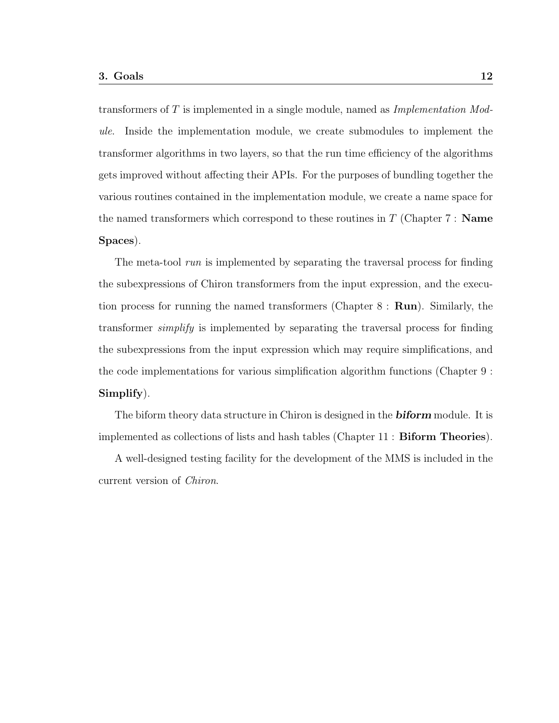transformers of  $T$  is implemented in a single module, named as Implementation Module. Inside the implementation module, we create submodules to implement the transformer algorithms in two layers, so that the run time efficiency of the algorithms gets improved without affecting their APIs. For the purposes of bundling together the various routines contained in the implementation module, we create a name space for the named transformers which correspond to these routines in  $T$  (Chapter 7 : **Name**) Spaces).

The meta-tool *run* is implemented by separating the traversal process for finding the subexpressions of Chiron transformers from the input expression, and the execution process for running the named transformers (Chapter  $8: \text{Run}$ ). Similarly, the transformer simplify is implemented by separating the traversal process for finding the subexpressions from the input expression which may require simplifications, and the code implementations for various simplification algorithm functions (Chapter 9 : Simplify).

The biform theory data structure in Chiron is designed in the **biform** module. It is implemented as collections of lists and hash tables (Chapter 11 : Biform Theories).

A well-designed testing facility for the development of the MMS is included in the current version of Chiron.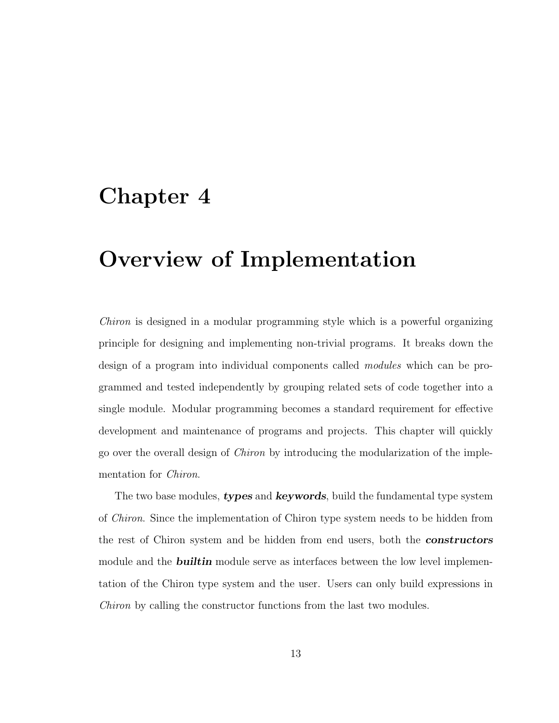### Chapter 4

## Overview of Implementation

Chiron is designed in a modular programming style which is a powerful organizing principle for designing and implementing non-trivial programs. It breaks down the design of a program into individual components called modules which can be programmed and tested independently by grouping related sets of code together into a single module. Modular programming becomes a standard requirement for effective development and maintenance of programs and projects. This chapter will quickly go over the overall design of Chiron by introducing the modularization of the implementation for Chiron.

The two base modules, types and keywords, build the fundamental type system of Chiron. Since the implementation of Chiron type system needs to be hidden from the rest of Chiron system and be hidden from end users, both the **constructors** module and the **builtin** module serve as interfaces between the low level implementation of the Chiron type system and the user. Users can only build expressions in Chiron by calling the constructor functions from the last two modules.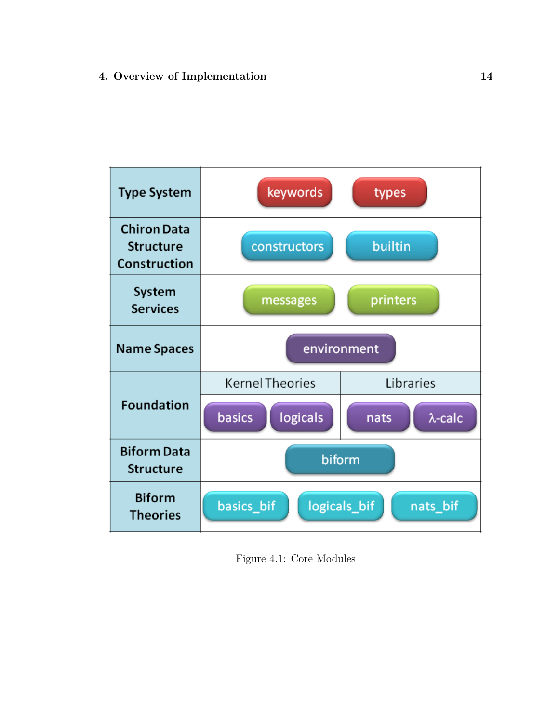

Figure 4.1: Core Modules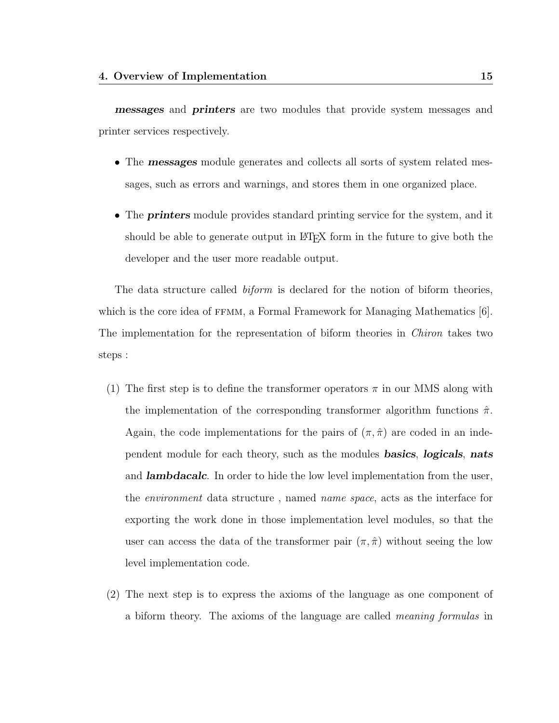messages and printers are two modules that provide system messages and printer services respectively.

- The **messages** module generates and collects all sorts of system related messages, such as errors and warnings, and stores them in one organized place.
- The **printers** module provides standard printing service for the system, and it should be able to generate output in LATEX form in the future to give both the developer and the user more readable output.

The data structure called *biform* is declared for the notion of biform theories, which is the core idea of  $FFMM$ , a Formal Framework for Managing Mathematics  $[6]$ . The implementation for the representation of biform theories in *Chiron* takes two steps :

- (1) The first step is to define the transformer operators  $\pi$  in our MMS along with the implementation of the corresponding transformer algorithm functions  $\hat{\pi}$ . Again, the code implementations for the pairs of  $(\pi, \hat{\pi})$  are coded in an independent module for each theory, such as the modules **basics**, **logicals**, **nats** and **lambdacalc**. In order to hide the low level implementation from the user, the environment data structure , named name space, acts as the interface for exporting the work done in those implementation level modules, so that the user can access the data of the transformer pair  $(\pi, \hat{\pi})$  without seeing the low level implementation code.
- (2) The next step is to express the axioms of the language as one component of a biform theory. The axioms of the language are called meaning formulas in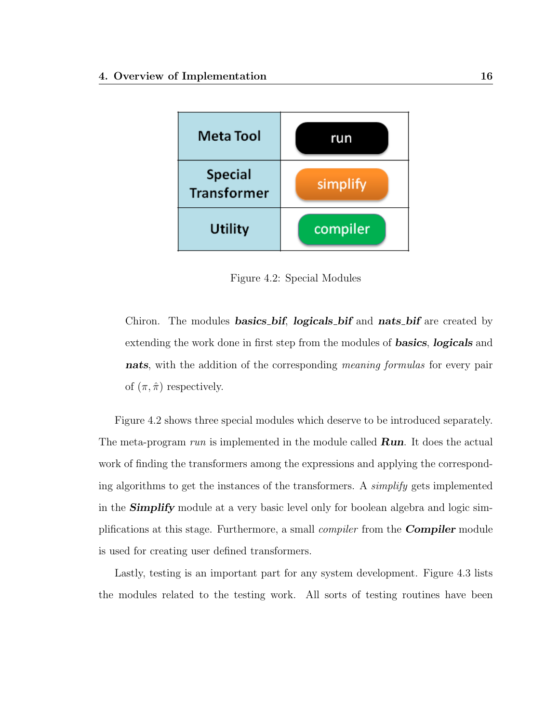

Figure 4.2: Special Modules

Chiron. The modules **basics bif, logicals bif** and **nats bif** are created by extending the work done in first step from the modules of **basics**, **logicals** and nats, with the addition of the corresponding meaning formulas for every pair of  $(\pi, \hat{\pi})$  respectively.

Figure 4.2 shows three special modules which deserve to be introduced separately. The meta-program run is implemented in the module called  $\boldsymbol{Run}$ . It does the actual work of finding the transformers among the expressions and applying the corresponding algorithms to get the instances of the transformers. A simplify gets implemented in the **Simplify** module at a very basic level only for boolean algebra and logic simplifications at this stage. Furthermore, a small *compiler* from the **Compiler** module is used for creating user defined transformers.

Lastly, testing is an important part for any system development. Figure 4.3 lists the modules related to the testing work. All sorts of testing routines have been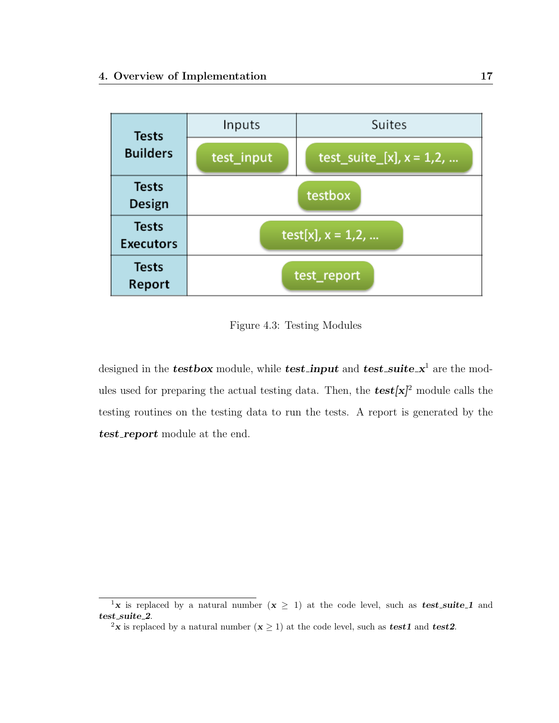

Figure 4.3: Testing Modules

designed in the **testbox** module, while **test\_input** and **test\_suite\_x**<sup>1</sup> are the modules used for preparing the actual testing data. Then, the  $test[x]^2$  module calls the testing routines on the testing data to run the tests. A report is generated by the test\_report module at the end.

<sup>&</sup>lt;sup>1</sup>**x** is replaced by a natural number  $(x \ge 1)$  at the code level, such as **test\_suite\_1** and  $test\_suit_2$ .

<sup>&</sup>lt;sup>2</sup>**x** is replaced by a natural number  $(x \ge 1)$  at the code level, such as **test1** and **test2**.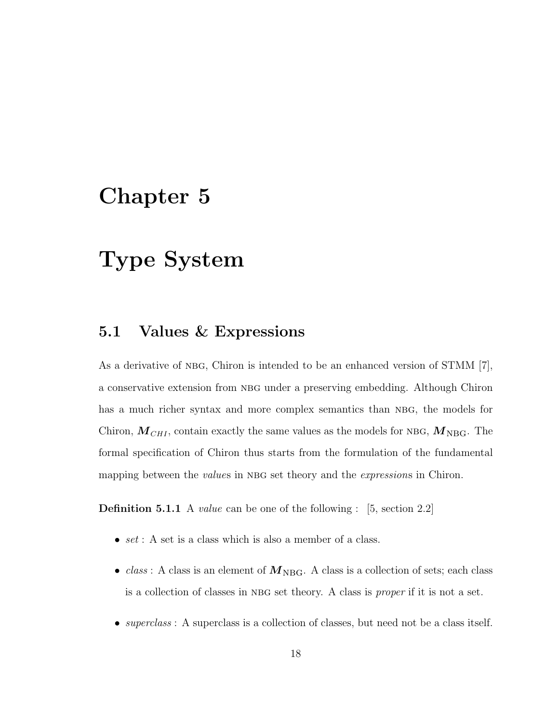### Chapter 5

## Type System

#### 5.1 Values & Expressions

As a derivative of NBG, Chiron is intended to be an enhanced version of STMM [7], a conservative extension from nbg under a preserving embedding. Although Chiron has a much richer syntax and more complex semantics than NBG, the models for Chiron,  $M_{CHI}$ , contain exactly the same values as the models for NBG,  $M_{\text{NBG}}$ . The formal specification of Chiron thus starts from the formulation of the fundamental mapping between the *values* in NBG set theory and the *expressions* in Chiron.

**Definition 5.1.1** A *value* can be one of the following : [5, section 2.2]

- set: A set is a class which is also a member of a class.
- *class*: A class is an element of  $M_{\text{NBG}}$ . A class is a collection of sets; each class is a collection of classes in NBG set theory. A class is *proper* if it is not a set.
- *superclass* : A superclass is a collection of classes, but need not be a class itself.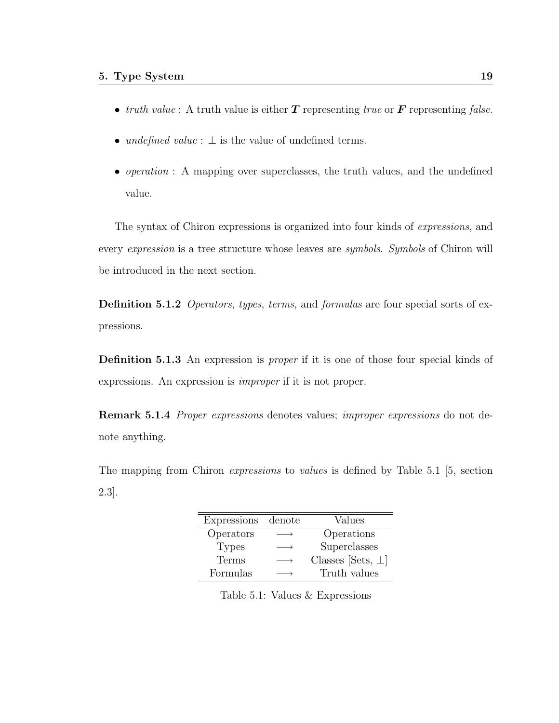- truth value: A truth value is either  $T$  representing true or  $\bf{F}$  representing false.
- undefined value :  $\perp$  is the value of undefined terms.
- *operation* : A mapping over superclasses, the truth values, and the undefined value.

The syntax of Chiron expressions is organized into four kinds of expressions, and every expression is a tree structure whose leaves are symbols. Symbols of Chiron will be introduced in the next section.

Definition 5.1.2 *Operators, types, terms, and formulas are four special sorts of ex*pressions.

Definition 5.1.3 An expression is proper if it is one of those four special kinds of expressions. An expression is improper if it is not proper.

Remark 5.1.4 Proper expressions denotes values; improper expressions do not denote anything.

The mapping from Chiron expressions to values is defined by Table 5.1 [5, section 2.3].

| Expressions  | denote | Values                   |
|--------------|--------|--------------------------|
| Operators    |        | Operations               |
| <b>Types</b> |        | Superclasses             |
| Terms        |        | Classes [Sets, $\perp$ ] |
| Formulas     |        | Truth values             |

Table 5.1: Values & Expressions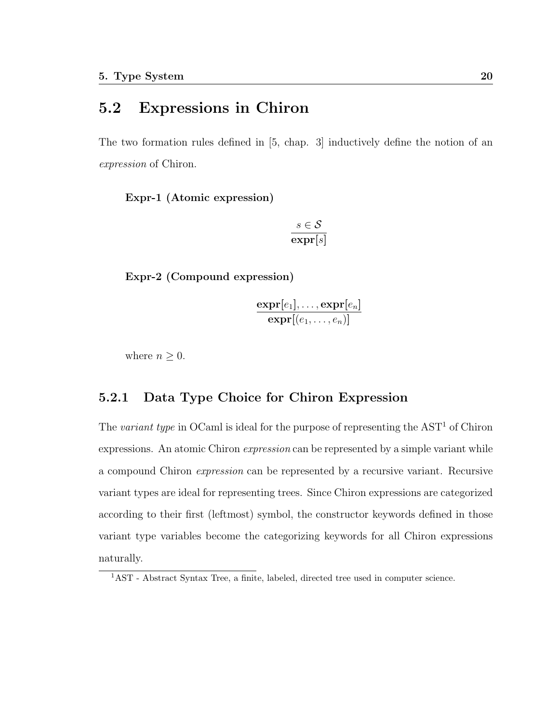### 5.2 Expressions in Chiron

The two formation rules defined in [5, chap. 3] inductively define the notion of an expression of Chiron.

Expr-1 (Atomic expression)

$$
\frac{s \in \mathcal{S}}{\exp \mathbf{r}[s]}
$$

Expr-2 (Compound expression)

$$
\frac{\text{expr}[e_1], \ldots, \text{expr}[e_n]}{\text{expr}[(e_1, \ldots, e_n)]}
$$

where  $n \geq 0$ .

#### 5.2.1 Data Type Choice for Chiron Expression

The variant type in OCaml is ideal for the purpose of representing the  $AST<sup>1</sup>$  of Chiron expressions. An atomic Chiron expression can be represented by a simple variant while a compound Chiron expression can be represented by a recursive variant. Recursive variant types are ideal for representing trees. Since Chiron expressions are categorized according to their first (leftmost) symbol, the constructor keywords defined in those variant type variables become the categorizing keywords for all Chiron expressions naturally.

<sup>1</sup>AST - Abstract Syntax Tree, a finite, labeled, directed tree used in computer science.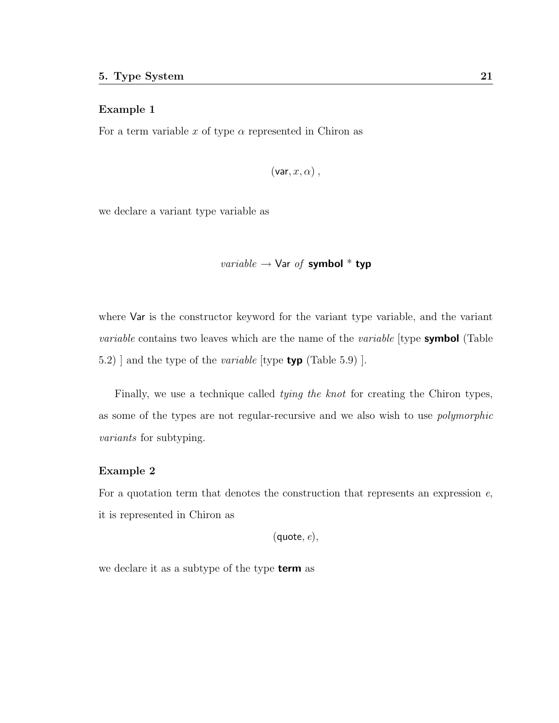#### Example 1

For a term variable x of type  $\alpha$  represented in Chiron as

$$
(\mathsf{var},x,\alpha)\,,
$$

we declare a variant type variable as

*variable* 
$$
\rightarrow
$$
 **Var** *of* **symbol**<sup>\*</sup> **typ**

where Var is the constructor keyword for the variant type variable, and the variant *variable* contains two leaves which are the name of the *variable* [type **symbol** (Table 5.2) and the type of the *variable* [type **typ** (Table 5.9) ].

Finally, we use a technique called *tying the knot* for creating the Chiron types, as some of the types are not regular-recursive and we also wish to use polymorphic variants for subtyping.

#### Example 2

For a quotation term that denotes the construction that represents an expression  $e$ , it is represented in Chiron as

 $(\text{quote}, e),$ 

we declare it as a subtype of the type **term** as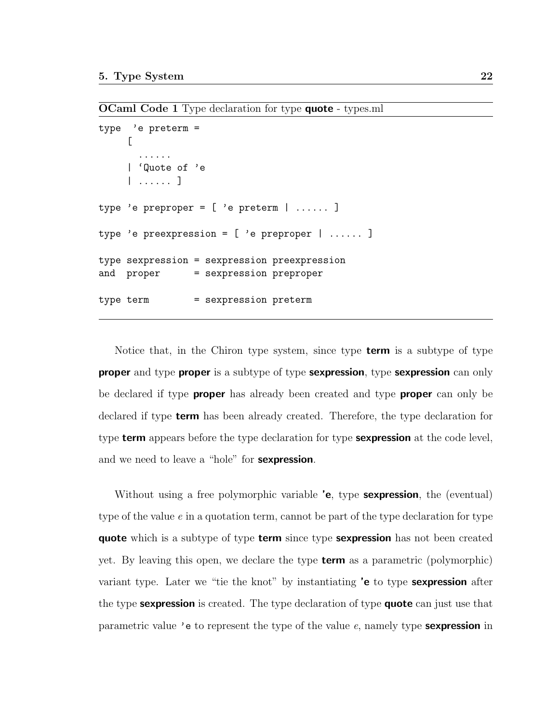**OCaml Code 1** Type declaration for type **quote** - types.ml

```
type 'e preterm =
     \Gamma......
    | 'Quote of 'e
    | ...... ]
type 'e preproper = [ 'e preterm | ...... ]
type 'e preexpression = [ 'e preproper | ...... ]
type sexpression = sexpression preexpression
and proper = sexpression preproper
type term = sexpression preterm
```
Notice that, in the Chiron type system, since type term is a subtype of type **proper** and type **proper** is a subtype of type **sexpression**, type **sexpression** can only be declared if type **proper** has already been created and type **proper** can only be declared if type term has been already created. Therefore, the type declaration for type **term** appears before the type declaration for type **sexpression** at the code level, and we need to leave a "hole" for **sexpression**.

Without using a free polymorphic variable 'e, type **sexpression**, the (eventual) type of the value  $e$  in a quotation term, cannot be part of the type declaration for type quote which is a subtype of type term since type sexpression has not been created yet. By leaving this open, we declare the type **term** as a parametric (polymorphic) variant type. Later we "tie the knot" by instantiating 'e to type sexpression after the type sexpression is created. The type declaration of type quote can just use that parametric value 'e to represent the type of the value  $e$ , namely type **sexpression** in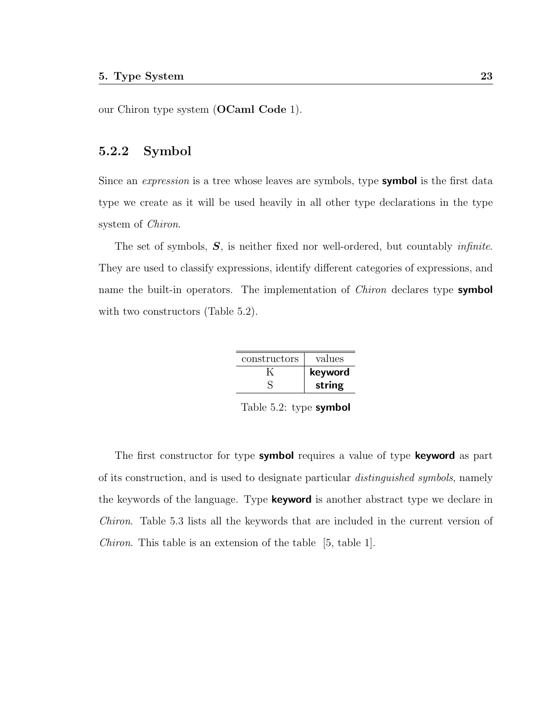our Chiron type system (OCaml Code 1).

#### 5.2.2 Symbol

Since an *expression* is a tree whose leaves are symbols, type **symbol** is the first data type we create as it will be used heavily in all other type declarations in the type system of Chiron.

The set of symbols, S, is neither fixed nor well-ordered, but countably infinite. They are used to classify expressions, identify different categories of expressions, and name the built-in operators. The implementation of *Chiron* declares type **symbol** with two constructors (Table 5.2).

| values  | constructors |
|---------|--------------|
| keyword |              |
| string  |              |

Table 5.2: type symbol

The first constructor for type symbol requires a value of type keyword as part of its construction, and is used to designate particular distinguished symbols, namely the keywords of the language. Type **keyword** is another abstract type we declare in Chiron. Table 5.3 lists all the keywords that are included in the current version of Chiron. This table is an extension of the table [5, table 1].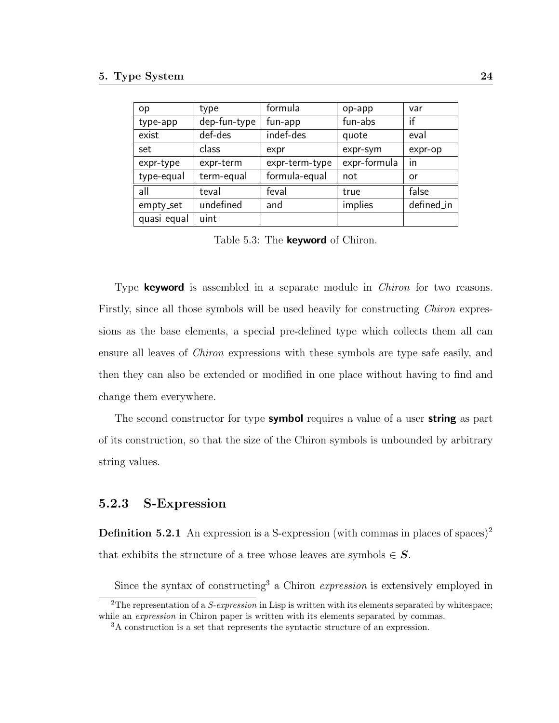| op          | type         | formula        | op-app       | var        |
|-------------|--------------|----------------|--------------|------------|
| type-app    | dep-fun-type | fun-app        | fun-abs      | if         |
| exist       | def-des      | indef-des      | quote        | eval       |
| set         | class        | expr           | expr-sym     | expr-op    |
| expr-type   | expr-term    | expr-term-type | expr-formula | in         |
| type-equal  | term-equal   | formula-equal  | not          | or         |
| all         | teval        | feval          | true         | false      |
| empty_set   | undefined    | and            | implies      | defined_in |
| quasi_equal | uint         |                |              |            |

Table 5.3: The **keyword** of Chiron.

Type **keyword** is assembled in a separate module in *Chiron* for two reasons. Firstly, since all those symbols will be used heavily for constructing *Chiron* expressions as the base elements, a special pre-defined type which collects them all can ensure all leaves of Chiron expressions with these symbols are type safe easily, and then they can also be extended or modified in one place without having to find and change them everywhere.

The second constructor for type **symbol** requires a value of a user **string** as part of its construction, so that the size of the Chiron symbols is unbounded by arbitrary string values.

#### 5.2.3 S-Expression

**Definition 5.2.1** An expression is a S-expression (with commas in places of spaces)<sup>2</sup> that exhibits the structure of a tree whose leaves are symbols  $\in S$ .

Since the syntax of constructing<sup>3</sup> a Chiron *expression* is extensively employed in

<sup>&</sup>lt;sup>2</sup>The representation of a *S-expression* in Lisp is written with its elements separated by whitespace: while an *expression* in Chiron paper is written with its elements separated by commas.

<sup>3</sup>A construction is a set that represents the syntactic structure of an expression.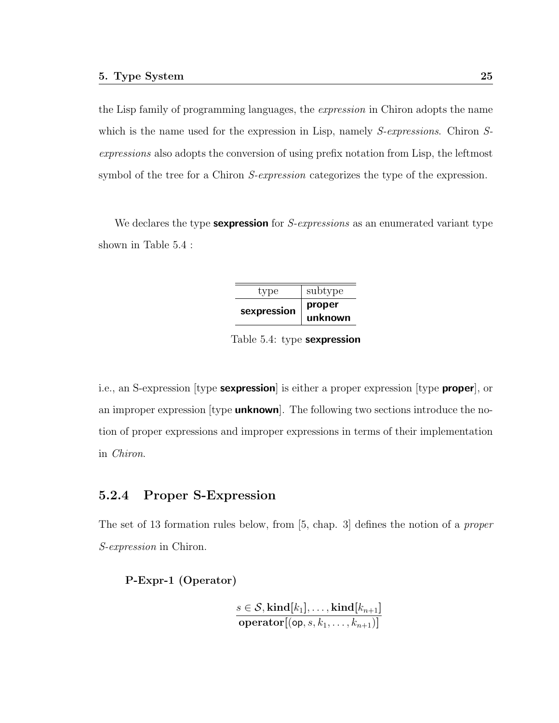the Lisp family of programming languages, the expression in Chiron adopts the name which is the name used for the expression in Lisp, namely *S-expressions*. Chiron *S*expressions also adopts the conversion of using prefix notation from Lisp, the leftmost symbol of the tree for a Chiron S-expression categorizes the type of the expression.

We declares the type **sexpression** for *S-expressions* as an enumerated variant type shown in Table 5.4 :

| type        | subtype           |
|-------------|-------------------|
| sexpression | proper<br>unknown |

Table 5.4: type sexpression

i.e., an S-expression [type **sexpression**] is either a proper expression [type **proper**], or an improper expression [type **unknown**]. The following two sections introduce the notion of proper expressions and improper expressions in terms of their implementation in Chiron.

### 5.2.4 Proper S-Expression

The set of 13 formation rules below, from [5, chap. 3] defines the notion of a proper S-expression in Chiron.

P-Expr-1 (Operator)

$$
\frac{s \in \mathcal{S}, \text{kind}[k_1], \dots, \text{kind}[k_{n+1}]}{\text{operator}[(\text{op}, s, k_1, \dots, k_{n+1})]}
$$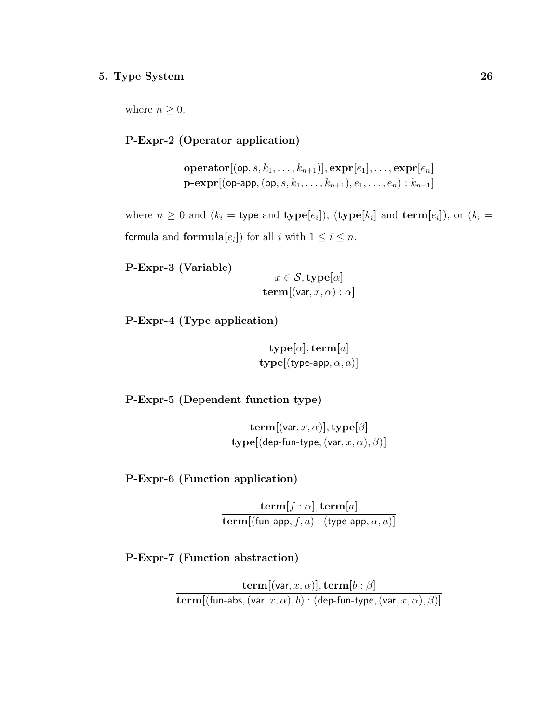where  $n \geq 0$ .

#### P-Expr-2 (Operator application)

 $\mathbf{operator}[(\mathsf{op}, s, k_1, \dots, k_{n+1})], \mathbf{expr}[e_1], \dots, \mathbf{expr}[e_n]$  $\textbf{p-expr}[(\textsf{op-app},(\textsf{op}, s, k_1, \ldots, k_{n+1}), e_1, \ldots, e_n) : k_{n+1}]$ 

where  $n \geq 0$  and  $(k_i =$  type and type[ $e_i$ ]), (type[ $k_i$ ] and term[ $e_i$ ]), or ( $k_i =$ formula and formula $[e_i]$ ) for all i with  $1 \le i \le n$ .

P-Expr-3 (Variable)

$$
\frac{x \in \mathcal{S}, \text{type}[\alpha]}{\text{term}[(\text{var}, x, \alpha) : \alpha]}
$$

P-Expr-4 (Type application)

$$
\frac{\textbf{type}[\alpha], \textbf{term}[a]}{\textbf{type}[(\textbf{type-app}, \alpha, a)]}
$$

P-Expr-5 (Dependent function type)

$$
\frac{\textbf{term}[(\textsf{var},x,\alpha)],\textbf{type}[\beta]}{\textbf{type}[(\textsf{dep-fun-type},(\textsf{var},x,\alpha),\beta)]}
$$

P-Expr-6 (Function application)

$$
\frac{\mathbf{term}[f:\alpha], \mathbf{term}[a]}{\mathbf{term}[(\mathsf{fun}\text{-}\mathsf{app}, f, a): (\mathsf{type}\text{-}\mathsf{app}, \alpha, a)]}
$$

P-Expr-7 (Function abstraction)

$$
\frac{\mathbf{term}[(\mathsf{var},x,\alpha)],\mathbf{term}[b:\beta]}{\mathbf{term}[(\mathsf{fun}\textrm{-} \mathsf{abs},(\mathsf{var},x,\alpha),b):(\mathsf{dep}\textrm{-}\mathsf{fun}\textrm{-}\mathsf{type},(\mathsf{var},x,\alpha),\beta)]}
$$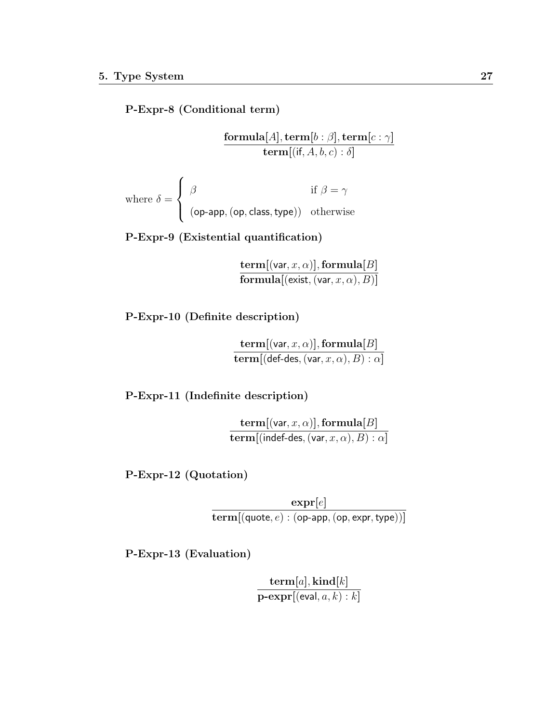P-Expr-8 (Conditional term)

 $\mathbf{formula}[A], \mathbf{term}[b:\beta], \mathbf{term}[c:\gamma]$  ${\bf term} [({\sf if}, A, b, c) : \delta]$ where  $\delta =$  $\sqrt{ }$  $\int$  $\beta$  if  $\beta = \gamma$ 

 $\overline{\mathcal{L}}$  $(op$ -app,  $(op$ , class, type $))$  otherwise

P-Expr-9 (Existential quantification)

 $\textbf{term}[(\text{var}, x, \alpha)]$ , formula $[B]$  $\mathbf{formula}[(\mathsf{exist},(\mathsf{var}, x, \alpha), B)]$ 

P-Expr-10 (Definite description)

 $\textbf{term}[(\text{var}, x, \alpha)]$ , formula $[B]$  ${\bf term} [({\sf def\text{-}des},({\sf var}, x, \alpha), B): \alpha]$ 

P-Expr-11 (Indefinite description)

 ${\bf term} [({\sf var}, x, \alpha)], {\bf formula}[B]$  $\mathbf{term}$ [(indef-des, (var,  $x, \alpha$ ),  $B$ ) :  $\alpha$ ]

P-Expr-12 (Quotation)

 $\exp\!r[e]$  $term[(\text{quote}, e) : (\text{op-app}, (\text{op}, \text{expr}, \text{type}))]$ 

P-Expr-13 (Evaluation)

 ${\bf term}[a], {\bf kind}[k]$  $\mathbf{p}\text{-}\mathbf{expr}[(\mathsf{eval},a,k):k]$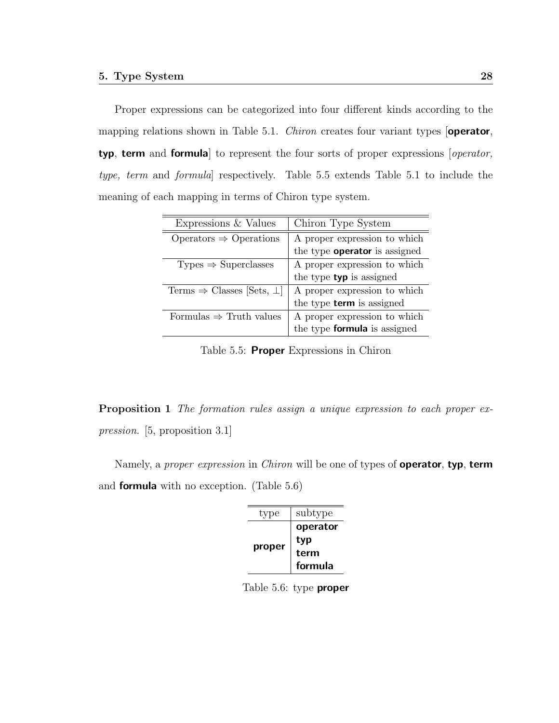Proper expressions can be categorized into four different kinds according to the mapping relations shown in Table 5.1. *Chiron* creates four variant types **operator**, typ, term and formula] to represent the four sorts of proper expressions [operator, type, term and formula] respectively. Table 5.5 extends Table 5.1 to include the meaning of each mapping in terms of Chiron type system.

| Expressions & Values                         | Chiron Type System                   |
|----------------------------------------------|--------------------------------------|
| Operators $\Rightarrow$ Operations           | A proper expression to which         |
|                                              | the type <b>operator</b> is assigned |
| $Types \Rightarrow Superclasses$             | A proper expression to which         |
|                                              | the type <b>typ</b> is assigned      |
| Terms $\Rightarrow$ Classes [Sets, $\perp$ ] | A proper expression to which         |
|                                              | the type <b>term</b> is assigned     |
| Formulas $\Rightarrow$ Truth values          | A proper expression to which         |
|                                              | the type <b>formula</b> is assigned  |

Table 5.5: **Proper** Expressions in Chiron

Proposition 1 The formation rules assign a unique expression to each proper expression. [5, proposition 3.1]

Namely, a *proper expression* in *Chiron* will be one of types of **operator**, typ, term and formula with no exception. (Table 5.6)

| type   | subtype  |
|--------|----------|
| proper | operator |
|        | typ      |
|        | term     |
|        | formula  |

Table 5.6: type **proper**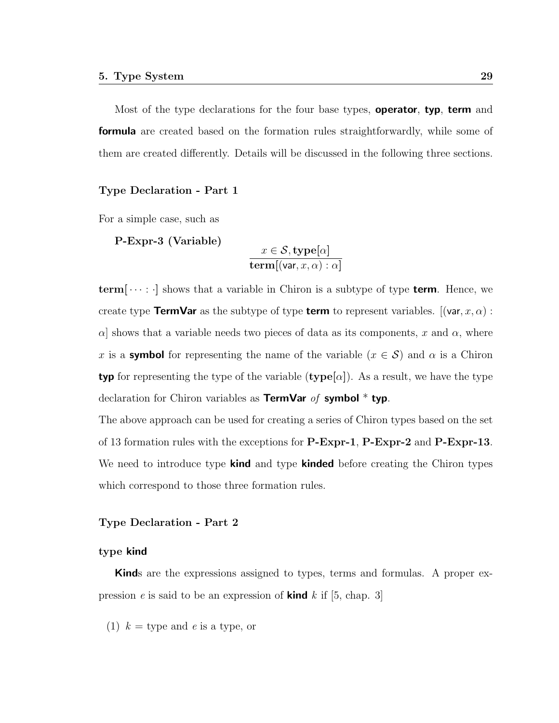Most of the type declarations for the four base types, **operator**, **typ**, **term** and **formula** are created based on the formation rules straightforwardly, while some of them are created differently. Details will be discussed in the following three sections.

#### Type Declaration - Part 1

For a simple case, such as

P-Expr-3 (Variable)

$$
\frac{x \in \mathcal{S}, \text{type}[\alpha]}{\text{term}[(\text{var}, x, \alpha) : \alpha]}
$$

 $term[...]$  shows that a variable in Chiron is a subtype of type **term**. Hence, we create type **TermVar** as the subtype of type **term** to represent variables.  $[(\mathsf{var}, x, \alpha) :$  $\alpha$ ] shows that a variable needs two pieces of data as its components, x and  $\alpha$ , where x is a **symbol** for representing the name of the variable  $(x \in S)$  and  $\alpha$  is a Chiron typ for representing the type of the variable (type  $\alpha$ ). As a result, we have the type declaration for Chiron variables as **TermVar** of **symbol**  $*$  typ.

The above approach can be used for creating a series of Chiron types based on the set of 13 formation rules with the exceptions for P-Expr-1, P-Expr-2 and P-Expr-13. We need to introduce type **kind** and type **kinded** before creating the Chiron types which correspond to those three formation rules.

#### Type Declaration - Part 2

#### type kind

Kinds are the expressions assigned to types, terms and formulas. A proper expression e is said to be an expression of **kind** k if  $[5, \text{ chap. } 3]$ 

(1)  $k =$  type and e is a type, or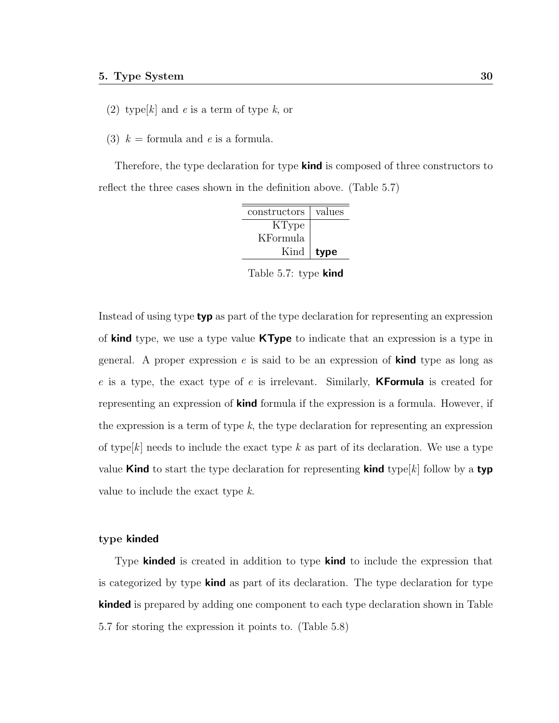- (2) type  $[k]$  and e is a term of type k, or
- (3)  $k =$  formula and e is a formula.

Therefore, the type declaration for type **kind** is composed of three constructors to reflect the three cases shown in the definition above. (Table 5.7)

| constructors | values |
|--------------|--------|
| KType        |        |
| KFormula     |        |
| Kind         | type   |

Table 5.7: type **kind** 

Instead of using type typ as part of the type declaration for representing an expression of kind type, we use a type value KType to indicate that an expression is a type in general. A proper expression e is said to be an expression of **kind** type as long as e is a type, the exact type of e is irrelevant. Similarly, **KFormula** is created for representing an expression of **kind** formula if the expression is a formula. However, if the expression is a term of type  $k$ , the type declaration for representing an expression of type  $[k]$  needs to include the exact type k as part of its declaration. We use a type value **Kind** to start the type declaration for representing **kind** type  $[k]$  follow by a **typ** value to include the exact type k.

#### type kinded

Type **kinded** is created in addition to type **kind** to include the expression that is categorized by type kind as part of its declaration. The type declaration for type **kinded** is prepared by adding one component to each type declaration shown in Table 5.7 for storing the expression it points to. (Table 5.8)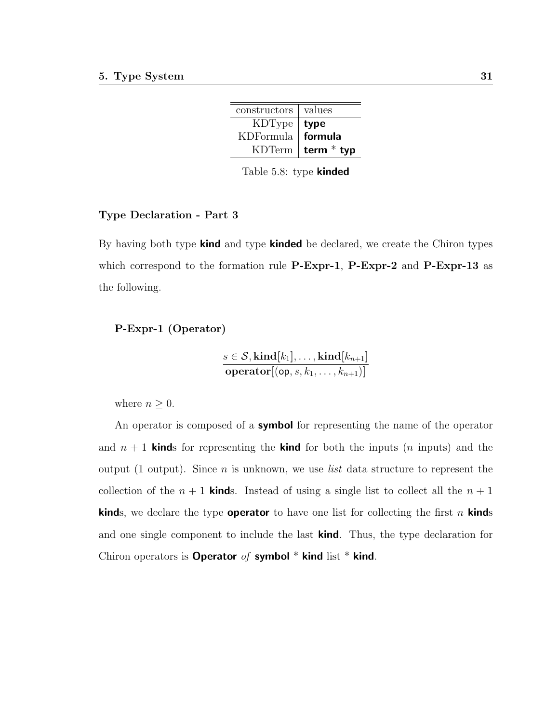| constructors   values |              |
|-----------------------|--------------|
| KDType   type         |              |
| KDFormula   formula   |              |
| KDTerm                | term $*$ typ |

Table 5.8: type kinded

#### Type Declaration - Part 3

By having both type **kind** and type **kinded** be declared, we create the Chiron types which correspond to the formation rule P-Expr-1, P-Expr-2 and P-Expr-13 as the following.

#### P-Expr-1 (Operator)

$$
\frac{s \in \mathcal{S}, \text{kind}[k_1], \dots, \text{kind}[k_{n+1}]}{\text{operator}[(\text{op}, s, k_1, \dots, k_{n+1})]}
$$

where  $n \geq 0$ .

An operator is composed of a **symbol** for representing the name of the operator and  $n + 1$  kinds for representing the kind for both the inputs (*n* inputs) and the output (1 output). Since  $n$  is unknown, we use *list* data structure to represent the collection of the  $n + 1$  kinds. Instead of using a single list to collect all the  $n + 1$ **kinds**, we declare the type **operator** to have one list for collecting the first n **kinds** and one single component to include the last **kind**. Thus, the type declaration for Chiron operators is Operator of symbol  $*$  kind list  $*$  kind.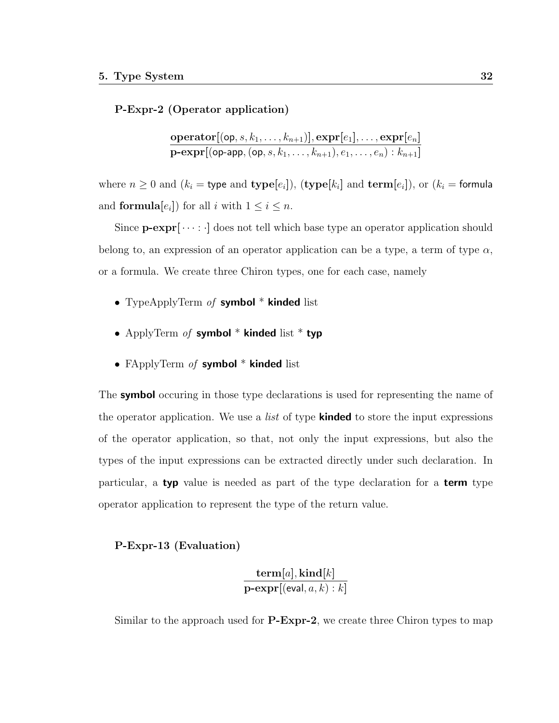#### P-Expr-2 (Operator application)

$$
\frac{\mathbf{operator}[(\mathsf{op},s,k_1,\ldots,k_{n+1})],\mathbf{expr}[e_1],\ldots,\mathbf{expr}[e_n]}{\mathbf{p}\text{-}\mathbf{expr}[(\mathsf{op}\text{-}\mathsf{app},(\mathsf{op},s,k_1,\ldots,k_{n+1}),e_1,\ldots,e_n):k_{n+1}]}
$$

where  $n \geq 0$  and  $(k_i =$  type and type $[e_i]$ ),  $(\text{type}[k_i]$  and  $\text{term}[e_i])$ , or  $(k_i =$  formula and **formula** $[e_i]$  for all *i* with  $1 \leq i \leq n$ .

Since  $\mathbf{p}\text{-}\mathrm{expr}[\cdots]$  does not tell which base type an operator application should belong to, an expression of an operator application can be a type, a term of type  $\alpha$ , or a formula. We create three Chiron types, one for each case, namely

- TypeApplyTerm of symbol \* kinded list
- ApplyTerm of symbol  $*$  kinded list  $*$  typ
- FApplyTerm of symbol  $*$  kinded list

The **symbol** occuring in those type declarations is used for representing the name of the operator application. We use a *list* of type **kinded** to store the input expressions of the operator application, so that, not only the input expressions, but also the types of the input expressions can be extracted directly under such declaration. In particular, a typ value is needed as part of the type declaration for a term type operator application to represent the type of the return value.

#### P-Expr-13 (Evaluation)

```
{\bf term}[a], {\bf kind}[k]\mathbf{p}\text{-}\mathbf{expr}[(\mathsf{eval},a,k):k]
```
Similar to the approach used for **P-Expr-2**, we create three Chiron types to map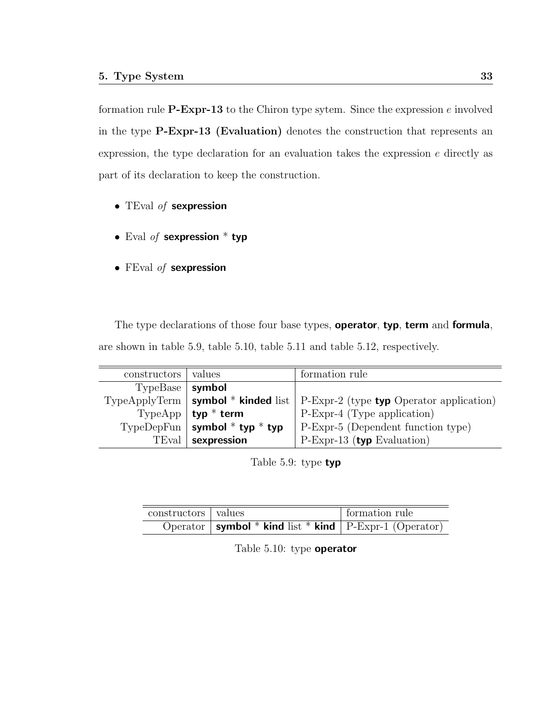formation rule **P-Expr-13** to the Chiron type sytem. Since the expression  $e$  involved in the type P-Expr-13 (Evaluation) denotes the construction that represents an expression, the type declaration for an evaluation takes the expression e directly as part of its declaration to keep the construction.

- TEval of sexpression
- Eval of sexpression  $*$  typ
- FEval of sexpression

The type declarations of those four base types, **operator**, typ, term and formula, are shown in table 5.9, table 5.10, table 5.11 and table 5.12, respectively.

| constructors | values                              | formation rule                                                                  |
|--------------|-------------------------------------|---------------------------------------------------------------------------------|
| TypeBase     | symbol                              |                                                                                 |
|              |                                     | TypeApplyTerm   symbol * kinded list   P-Expr-2 (type typ Operator application) |
|              | TypeApp $\vert$ typ $*$ term        | P-Expr-4 (Type application)                                                     |
|              | TypeDepFun   symbol $*$ typ $*$ typ | P-Expr-5 (Dependent function type)                                              |
| TEval        | $^{\mathrm{+}}$ sexpression         | $P-Expr-13$ (typ Evaluation)                                                    |

Table 5.9: type typ

| constructors   values |                                                                       | formation rule |
|-----------------------|-----------------------------------------------------------------------|----------------|
|                       | $\overline{Operator}$ symbol * kind list * kind   P-Expr-1 (Operator) |                |

Table 5.10: type operator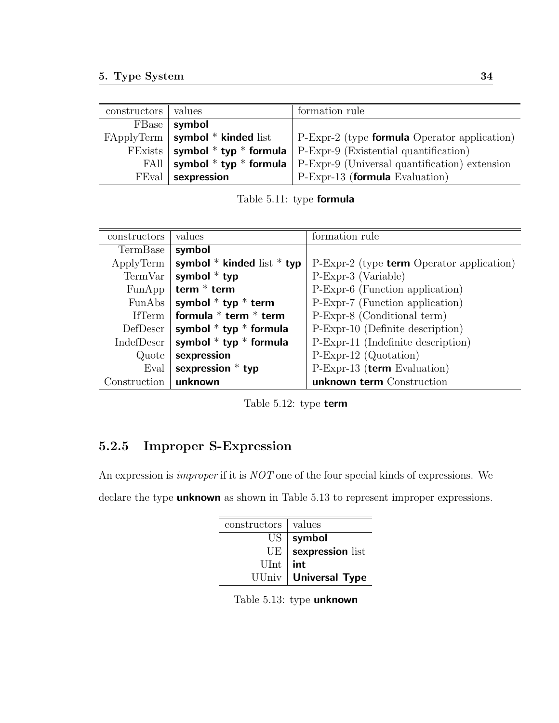| constructors   values |                                        | formation rule                                                                            |
|-----------------------|----------------------------------------|-------------------------------------------------------------------------------------------|
|                       | $FBase$   symbol                       |                                                                                           |
|                       | $FApplyTerm \mid symbol * kinded list$ | P-Expr-2 (type <b>formula</b> Operator application)                                       |
|                       |                                        | FExists   symbol * typ * formula   P-Expr-9 (Existential quantification)                  |
|                       |                                        | FAll $\vert$ symbol * typ * formula $\vert$ P-Expr-9 (Universal quantification) extension |
|                       | $FEval$   sexpression                  | P-Expr-13 (formula Evaluation)                                                            |

Table 5.11: type formula

| constructors   | values                         | formation rule                                     |
|----------------|--------------------------------|----------------------------------------------------|
| TermBase       | symbol                         |                                                    |
| ApplyTerm      | symbol $*$ kinded list $*$ typ | $P-Expr-2$ (type <b>term</b> Operator application) |
| TermVar        | symbol $*$ typ                 | P-Expr-3 (Variable)                                |
| FunApp         | term $*$ term                  | P-Expr-6 (Function application)                    |
| FunAbs $\vert$ | symbol $*$ typ $*$ term        | P-Expr-7 (Function application)                    |
| IfTerm         | formula $*$ term $*$ term      | P-Expr-8 (Conditional term)                        |
| DefDescr       | symbol $*$ typ $*$ formula     | P-Expr-10 (Definite description)                   |
| IndefDescr     | symbol $*$ typ $*$ formula     | P-Expr-11 (Indefinite description)                 |
| Quote          | sexpression                    | $P-Expr-12$ (Quotation)                            |
| Eval           | sexpression $*$ typ            | $P$ -Expr-13 (term Evaluation)                     |
| Construction   | unknown                        | unknown term Construction                          |

Table 5.12: type term

# 5.2.5 Improper S-Expression

An expression is improper if it is NOT one of the four special kinds of expressions. We declare the type **unknown** as shown in Table 5.13 to represent improper expressions.

| constructors   values |                        |
|-----------------------|------------------------|
|                       | $US \mid$ symbol       |
| UE <sup> </sup>       | sexpression list       |
| $UInt$ int            |                        |
|                       | UUniv   Universal Type |

Table 5.13: type unknown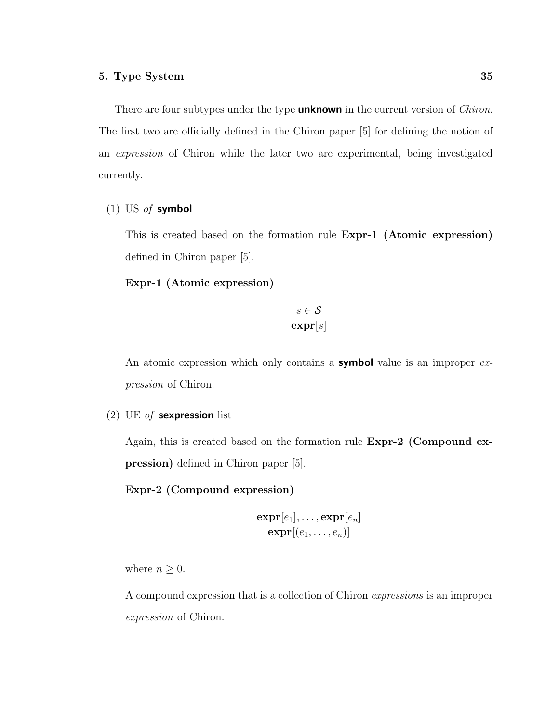There are four subtypes under the type **unknown** in the current version of *Chiron*. The first two are officially defined in the Chiron paper [5] for defining the notion of an expression of Chiron while the later two are experimental, being investigated currently.

#### (1) US of symbol

This is created based on the formation rule Expr-1 (Atomic expression) defined in Chiron paper [5].

Expr-1 (Atomic expression)

$$
\frac{s \in \mathcal{S}}{\exp \mathbf{r}[s]}
$$

An atomic expression which only contains a **symbol** value is an improper expression of Chiron.

(2) UE of sexpression list

Again, this is created based on the formation rule Expr-2 (Compound expression) defined in Chiron paper [5].

#### Expr-2 (Compound expression)

$$
\frac{\mathbf{expr}[e_1], \ldots, \mathbf{expr}[e_n]}{\mathbf{expr}[(e_1, \ldots, e_n)]}
$$

where  $n \geq 0$ .

A compound expression that is a collection of Chiron expressions is an improper expression of Chiron.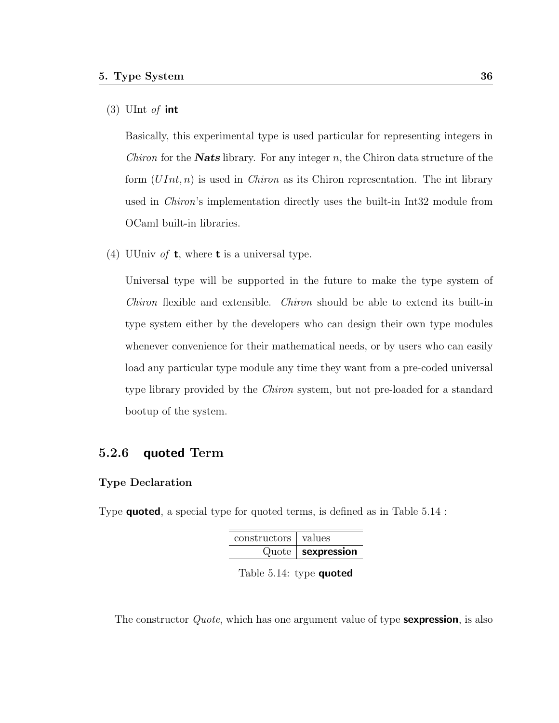#### $(3)$  UInt *of* int

Basically, this experimental type is used particular for representing integers in *Chiron* for the **Nats** library. For any integer n, the Chiron data structure of the form  $(UInt, n)$  is used in *Chiron* as its Chiron representation. The int library used in Chiron's implementation directly uses the built-in Int32 module from OCaml built-in libraries.

(4) UUniv of **t**, where **t** is a universal type.

Universal type will be supported in the future to make the type system of Chiron flexible and extensible. Chiron should be able to extend its built-in type system either by the developers who can design their own type modules whenever convenience for their mathematical needs, or by users who can easily load any particular type module any time they want from a pre-coded universal type library provided by the Chiron system, but not pre-loaded for a standard bootup of the system.

### 5.2.6 quoted Term

#### Type Declaration

Type quoted, a special type for quoted terms, is defined as in Table 5.14 :

|                       | $Quote$   sexpression |
|-----------------------|-----------------------|
| constructors   values |                       |

Table 5.14: type quoted

The constructor *Quote*, which has one argument value of type **sexpression**, is also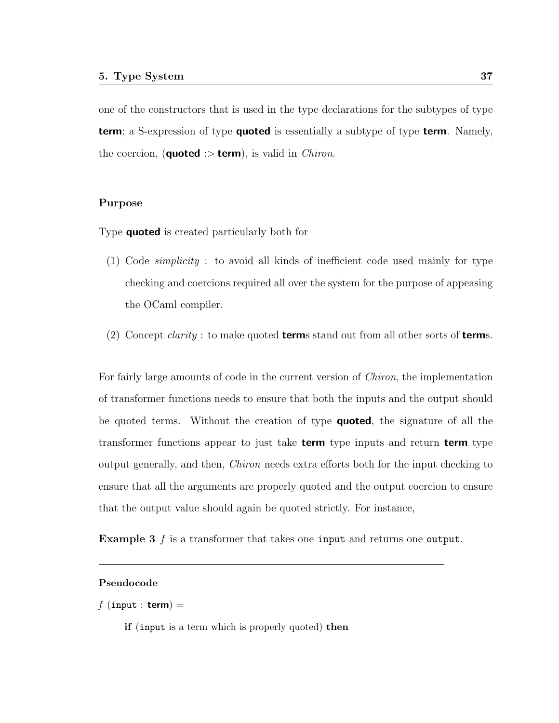one of the constructors that is used in the type declarations for the subtypes of type **term**; a S-expression of type **quoted** is essentially a subtype of type **term**. Namely, the coercion, (**quoted** :> **term**), is valid in *Chiron*.

#### Purpose

Type **quoted** is created particularly both for

- (1) Code simplicity : to avoid all kinds of inefficient code used mainly for type checking and coercions required all over the system for the purpose of appeasing the OCaml compiler.
- (2) Concept *clarity*: to make quoted **term**s stand out from all other sorts of **terms**.

For fairly large amounts of code in the current version of Chiron, the implementation of transformer functions needs to ensure that both the inputs and the output should be quoted terms. Without the creation of type **quoted**, the signature of all the transformer functions appear to just take **term** type inputs and return **term** type output generally, and then, Chiron needs extra efforts both for the input checking to ensure that all the arguments are properly quoted and the output coercion to ensure that the output value should again be quoted strictly. For instance,

Example 3 f is a transformer that takes one input and returns one output.

#### Pseudocode

```
f (input : term) =
```
if (input is a term which is properly quoted) then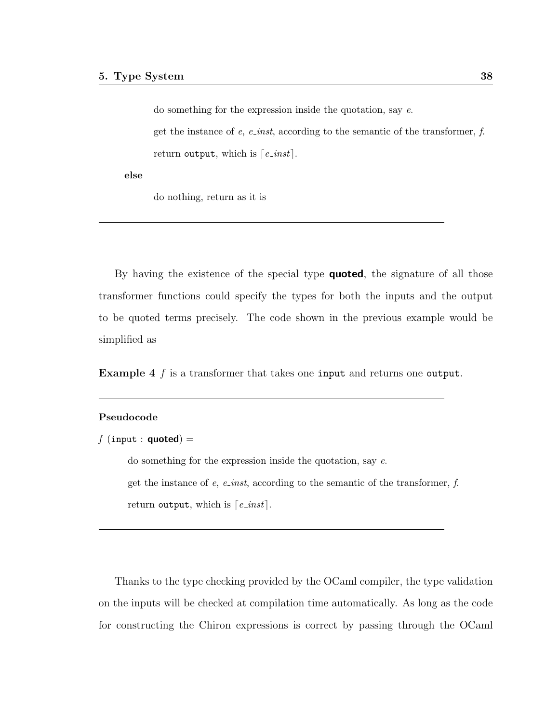do something for the expression inside the quotation, say e. get the instance of e, e<sub>inst</sub>, according to the semantic of the transformer, f. return output, which is  $\lceil e \cdot \text{inst} \rceil$ .

else

do nothing, return as it is

By having the existence of the special type **quoted**, the signature of all those transformer functions could specify the types for both the inputs and the output to be quoted terms precisely. The code shown in the previous example would be simplified as

Example 4 f is a transformer that takes one input and returns one output.

#### Pseudocode

```
f (input : quoted) =
```
do something for the expression inside the quotation, say e. get the instance of  $e$ ,  $e$ <sub>inst</sub>, according to the semantic of the transformer,  $f$ . return output, which is  $\lceil e \cdot \text{inst} \rceil$ .

Thanks to the type checking provided by the OCaml compiler, the type validation on the inputs will be checked at compilation time automatically. As long as the code for constructing the Chiron expressions is correct by passing through the OCaml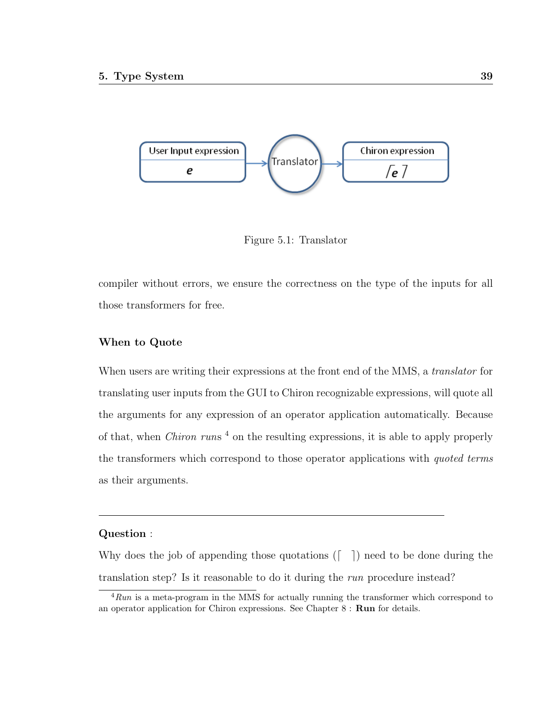

Figure 5.1: Translator

compiler without errors, we ensure the correctness on the type of the inputs for all those transformers for free.

#### When to Quote

When users are writing their expressions at the front end of the MMS, a *translator* for translating user inputs from the GUI to Chiron recognizable expressions, will quote all the arguments for any expression of an operator application automatically. Because of that, when *Chiron runs*<sup>4</sup> on the resulting expressions, it is able to apply properly the transformers which correspond to those operator applications with quoted terms as their arguments.

#### Question :

Why does the job of appending those quotations  $(\lceil \quad \rceil)$  need to be done during the translation step? Is it reasonable to do it during the run procedure instead?

 $4$ Run is a meta-program in the MMS for actually running the transformer which correspond to an operator application for Chiron expressions. See Chapter 8 : Run for details.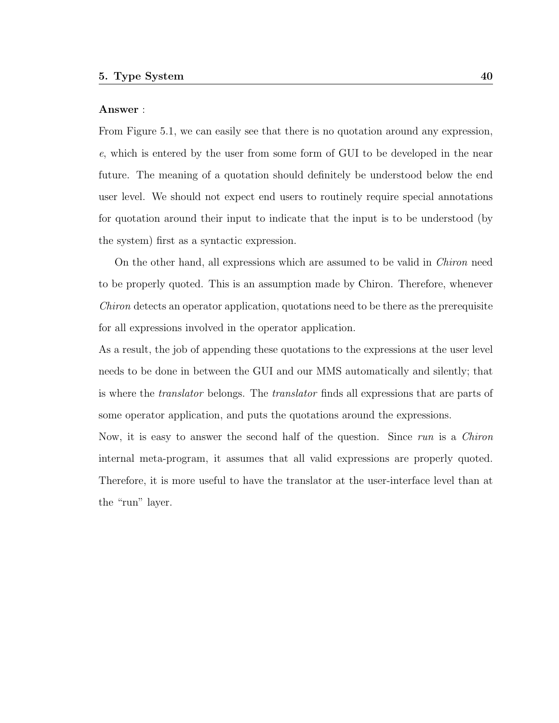#### Answer :

From Figure 5.1, we can easily see that there is no quotation around any expression, e, which is entered by the user from some form of GUI to be developed in the near future. The meaning of a quotation should definitely be understood below the end user level. We should not expect end users to routinely require special annotations for quotation around their input to indicate that the input is to be understood (by the system) first as a syntactic expression.

On the other hand, all expressions which are assumed to be valid in Chiron need to be properly quoted. This is an assumption made by Chiron. Therefore, whenever Chiron detects an operator application, quotations need to be there as the prerequisite for all expressions involved in the operator application.

As a result, the job of appending these quotations to the expressions at the user level needs to be done in between the GUI and our MMS automatically and silently; that is where the translator belongs. The translator finds all expressions that are parts of some operator application, and puts the quotations around the expressions.

Now, it is easy to answer the second half of the question. Since run is a Chiron internal meta-program, it assumes that all valid expressions are properly quoted. Therefore, it is more useful to have the translator at the user-interface level than at the "run" layer.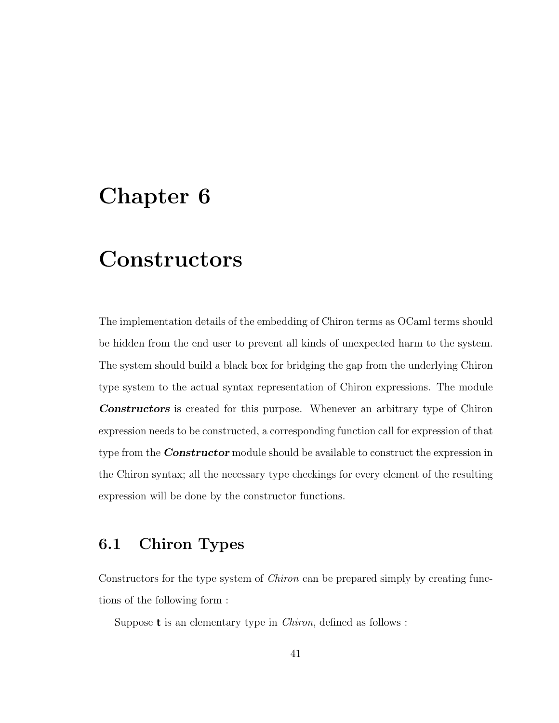# Chapter 6

# **Constructors**

The implementation details of the embedding of Chiron terms as OCaml terms should be hidden from the end user to prevent all kinds of unexpected harm to the system. The system should build a black box for bridging the gap from the underlying Chiron type system to the actual syntax representation of Chiron expressions. The module Constructors is created for this purpose. Whenever an arbitrary type of Chiron expression needs to be constructed, a corresponding function call for expression of that type from the **Constructor** module should be available to construct the expression in the Chiron syntax; all the necessary type checkings for every element of the resulting expression will be done by the constructor functions.

# 6.1 Chiron Types

Constructors for the type system of Chiron can be prepared simply by creating functions of the following form :

Suppose  $t$  is an elementary type in *Chiron*, defined as follows :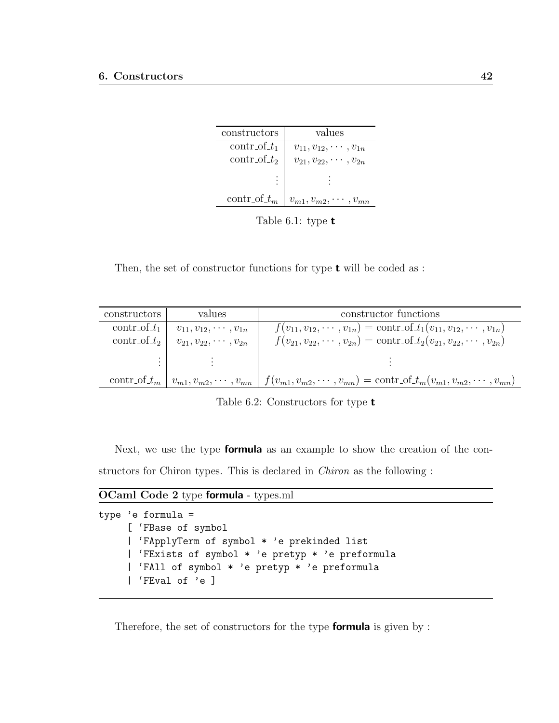| constructors    | values                           |
|-----------------|----------------------------------|
| $contr_of_t_1$  | $v_{11}, v_{12}, \cdots, v_{1n}$ |
| $contr_of_t_2$  | $v_{21}, v_{22}, \cdots, v_{2n}$ |
|                 |                                  |
| contr_of_ $t_m$ | $v_{m1}, v_{m2}, \cdots, v_n$    |

Table 6.1: type t

Then, the set of constructor functions for type  $t$  will be coded as :

| constructors   | values                           | constructor functions                                                                                                                             |
|----------------|----------------------------------|---------------------------------------------------------------------------------------------------------------------------------------------------|
| $contr_of_t$   | $v_{11}, v_{12}, \cdots, v_{1n}$ | $f(v_{11}, v_{12}, \cdots, v_{1n}) = \text{contr\_of\_}t_1(v_{11}, v_{12}, \cdots, v_{1n})$                                                       |
| $contr_of_t_2$ | $v_{21}, v_{22}, \cdots, v_{2n}$ | $f(v_{21}, v_{22}, \cdots, v_{2n}) = \text{contr\_of\_}t_2(v_{21}, v_{22}, \cdots, v_{2n})$                                                       |
|                |                                  |                                                                                                                                                   |
|                |                                  | contr_of_t <sub>m</sub>   $v_{m1}, v_{m2}, \cdots, v_{mn}$    $f(v_{m1}, v_{m2}, \cdots, v_{mn}) = \text{contr}\_0f_{m1}, v_{m2}, \cdots, v_{mn}$ |

Table 6.2: Constructors for type t

Next, we use the type **formula** as an example to show the creation of the constructors for Chiron types. This is declared in Chiron as the following :

OCaml Code 2 type formula - types.ml

```
type 'e formula =
     [ 'FBase of symbol
     | 'FApplyTerm of symbol * 'e prekinded list
     | 'FExists of symbol * 'e pretyp * 'e preformula
     | 'FAll of symbol * 'e pretyp * 'e preformula
     | 'FEval of 'e ]
```
Therefore, the set of constructors for the type **formula** is given by :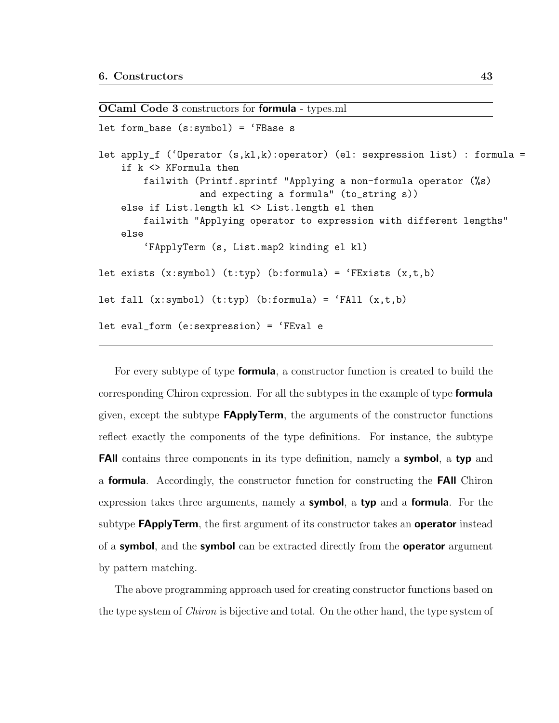OCaml Code 3 constructors for formula - types.ml

```
let form_base (s:symbol) = 'FBase s
let apply_f ('Operator (s,kl,k):operator) (el: sexpression list) : formula =
    if k <> KFormula then
        failwith (Printf.sprintf "Applying a non-formula operator (%s)
                  and expecting a formula" (to_string s))
    else if List.length kl <> List.length el then
        failwith "Applying operator to expression with different lengths"
    else
        'FApplyTerm (s, List.map2 kinding el kl)
let exists (x:symbol) (t:typ) (b:formula) = 'FExists (x,t,b)let fall (x:symbol) (t:typ) (b:formula) = 'FAll (x,t,b)let eval_form (e:sexpression) = 'FEval e
```
For every subtype of type formula, a constructor function is created to build the corresponding Chiron expression. For all the subtypes in the example of type **formula** given, except the subtype  $FApplyTerm$ , the arguments of the constructor functions reflect exactly the components of the type definitions. For instance, the subtype **FAII** contains three components in its type definition, namely a **symbol**, a typ and a formula. Accordingly, the constructor function for constructing the FAll Chiron expression takes three arguments, namely a symbol, a typ and a formula. For the subtype **FApplyTerm**, the first argument of its constructor takes an **operator** instead of a **symbol**, and the **symbol** can be extracted directly from the **operator** argument by pattern matching.

The above programming approach used for creating constructor functions based on the type system of *Chiron* is bijective and total. On the other hand, the type system of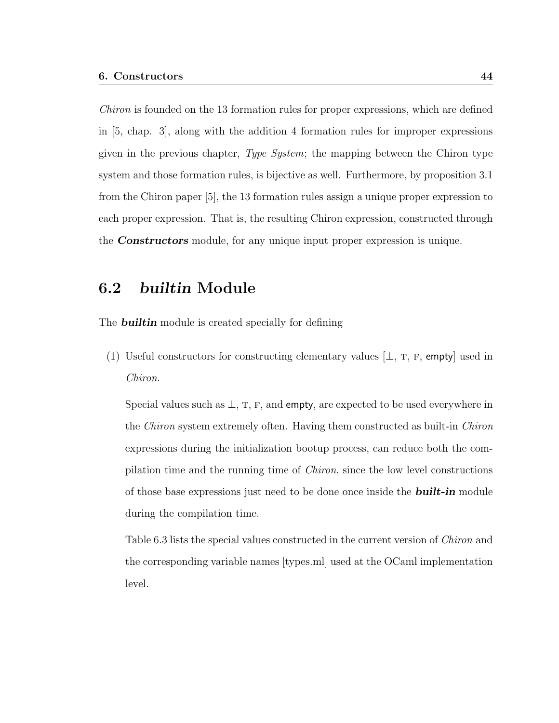Chiron is founded on the 13 formation rules for proper expressions, which are defined in [5, chap. 3], along with the addition 4 formation rules for improper expressions given in the previous chapter, Type System; the mapping between the Chiron type system and those formation rules, is bijective as well. Furthermore, by proposition 3.1 from the Chiron paper [5], the 13 formation rules assign a unique proper expression to each proper expression. That is, the resulting Chiron expression, constructed through the **Constructors** module, for any unique input proper expression is unique.

# 6.2 builtin Module

The **builtin** module is created specially for defining

(1) Useful constructors for constructing elementary values  $\bot$ , T, F, empty used in Chiron.

Special values such as  $\perp$ , T, F, and empty, are expected to be used everywhere in the Chiron system extremely often. Having them constructed as built-in Chiron expressions during the initialization bootup process, can reduce both the compilation time and the running time of Chiron, since the low level constructions of those base expressions just need to be done once inside the **built-in** module during the compilation time.

Table 6.3 lists the special values constructed in the current version of Chiron and the corresponding variable names [types.ml] used at the OCaml implementation level.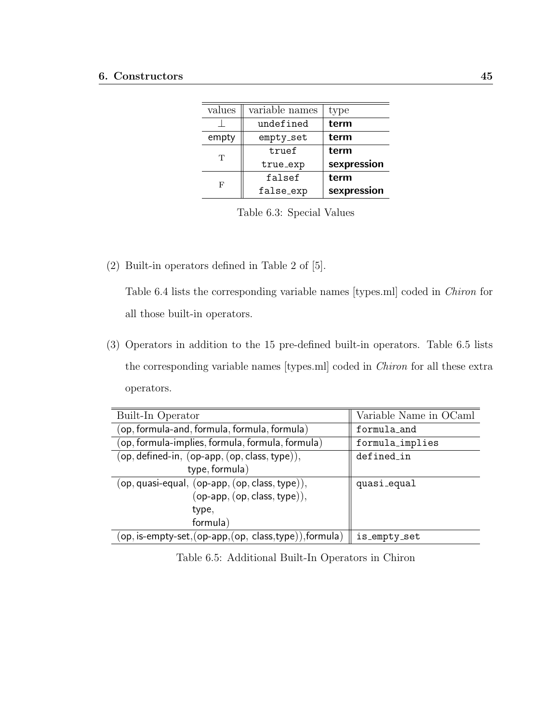| values | variable names | type                |
|--------|----------------|---------------------|
|        | undefined      | term                |
| empty  | empty_set      | term                |
| Т      | truef          | term                |
|        | true_exp       | sexpression         |
| F      | falsef         | term<br>sexpression |
|        | false_exp      |                     |

Table 6.3: Special Values

(2) Built-in operators defined in Table 2 of [5].

Table 6.4 lists the corresponding variable names [types.ml] coded in Chiron for all those built-in operators.

(3) Operators in addition to the 15 pre-defined built-in operators. Table 6.5 lists the corresponding variable names [types.ml] coded in Chiron for all these extra operators.

| Built-In Operator                                          | Variable Name in OCaml |
|------------------------------------------------------------|------------------------|
| (op, formula-and, formula, formula, formula)               | formula_and            |
| (op, formula-implies, formula, formula, formula)           | formula_implies        |
| $(op, defined-in, (op-app, (op, class, type)),$            | defined_in             |
| type, formula)                                             |                        |
| (op, quasi-equal, (op-app, (op, class, type)),             | quasi_equal            |
| $(op$ -app, $(op, class, type)),$                          |                        |
| type,                                                      |                        |
| formula)                                                   |                        |
| $(op, is-empty-set, (op-app, (op, class, type)), formula)$ | is_empty_set           |

Table 6.5: Additional Built-In Operators in Chiron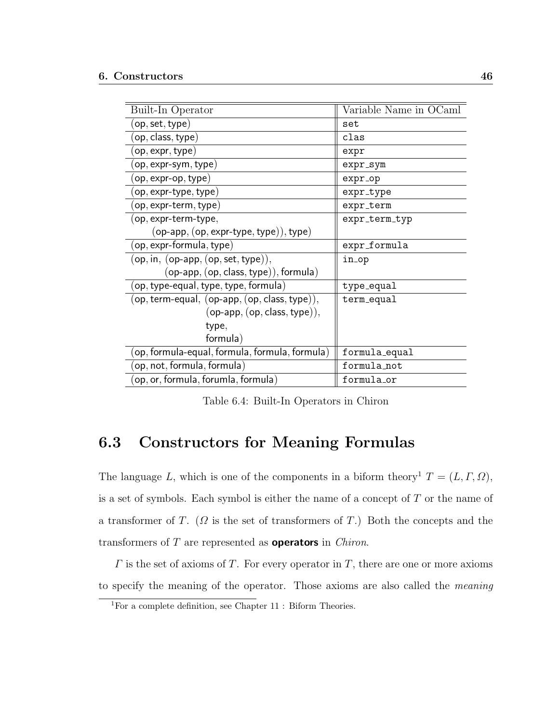| Built-In Operator                              | Variable Name in OCaml |
|------------------------------------------------|------------------------|
| $({\sf op},{\sf set},{\sf type})$              | set                    |
| (op, class, type)                              | clas                   |
| $(\mathsf{op}, \mathsf{expr}, \mathsf{type})$  | expr                   |
| $\left($ op, expr-sym, type $\right)$          | expr_sym               |
| $[op, expr-op, type)$                          | expr_op                |
| $\left($ op, expr-type, type $\right)$         | expr_type              |
| op, expr-term, type)                           | expr_term              |
| (op, expr-term-type,                           | expr_term_typ          |
| $(op-app, (op, expr-type, type)), type)$       |                        |
| $(op, expr-formula, type)$                     | expr_formula           |
| $(op, in, (op-app, (op, set, type)),$          | in_op                  |
| $(op$ -app, $(op, class, type)), formula)$     |                        |
| (op, type-equal, type, type, formula)          | type_equal             |
| (op, term-equal, (op-app, (op, class, type)),  | term_equal             |
| $(op-app, (op, class, type)),$                 |                        |
| type,                                          |                        |
| formula)                                       |                        |
| (op, formula-equal, formula, formula, formula) | formula_equal          |
| op, not, formula, formula)                     | formula_not            |
| op, or, formula, forumla, formula)             | formula_or             |

Table 6.4: Built-In Operators in Chiron

# 6.3 Constructors for Meaning Formulas

The language L, which is one of the components in a biform theory<sup>1</sup>  $T = (L, \Gamma, \Omega)$ , is a set of symbols. Each symbol is either the name of a concept of T or the name of a transformer of T. ( $\Omega$  is the set of transformers of T.) Both the concepts and the transformers of  $T$  are represented as **operators** in *Chiron*.

 $\Gamma$  is the set of axioms of  $T$ . For every operator in  $T$ , there are one or more axioms to specify the meaning of the operator. Those axioms are also called the meaning

<sup>1</sup>For a complete definition, see Chapter 11 : Biform Theories.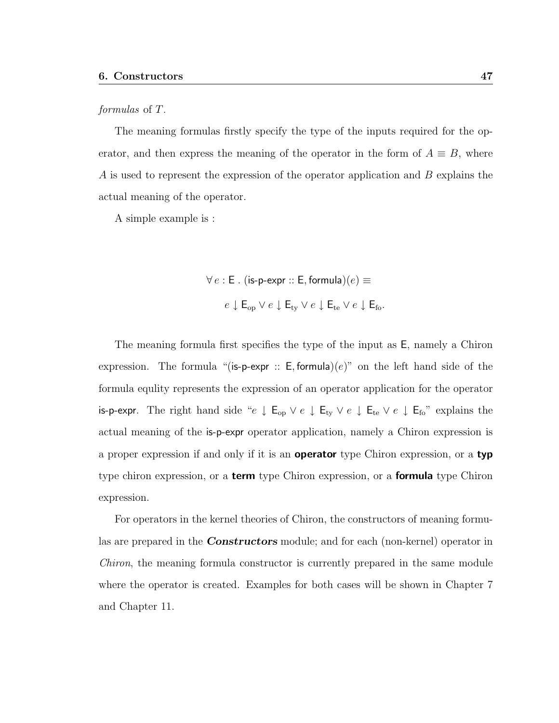#### formulas of T.

The meaning formulas firstly specify the type of the inputs required for the operator, and then express the meaning of the operator in the form of  $A \equiv B$ , where A is used to represent the expression of the operator application and B explains the actual meaning of the operator.

A simple example is :

$$
\forall e : \mathsf{E} \ . \ (\mathsf{is-p-expr} :: \mathsf{E}, \mathsf{formula})(e) \equiv
$$
\n
$$
e \downarrow \mathsf{E}_{\text{op}} \lor e \downarrow \mathsf{E}_{\text{ty}} \lor e \downarrow \mathsf{E}_{\text{te}} \lor e \downarrow \mathsf{E}_{\text{fo}}.
$$

The meaning formula first specifies the type of the input as E, namely a Chiron expression. The formula "(is-p-expr :: E, formula) $(e)$ " on the left hand side of the formula equlity represents the expression of an operator application for the operator is-p-expr. The right hand side " $e \downarrow E_{op} \vee e \downarrow E_{ty} \vee e \downarrow E_{te} \vee e \downarrow E_{fo}$ " explains the actual meaning of the is-p-expr operator application, namely a Chiron expression is a proper expression if and only if it is an operator type Chiron expression, or a typ type chiron expression, or a **term** type Chiron expression, or a **formula** type Chiron expression.

For operators in the kernel theories of Chiron, the constructors of meaning formulas are prepared in the **Constructors** module; and for each (non-kernel) operator in Chiron, the meaning formula constructor is currently prepared in the same module where the operator is created. Examples for both cases will be shown in Chapter 7 and Chapter 11.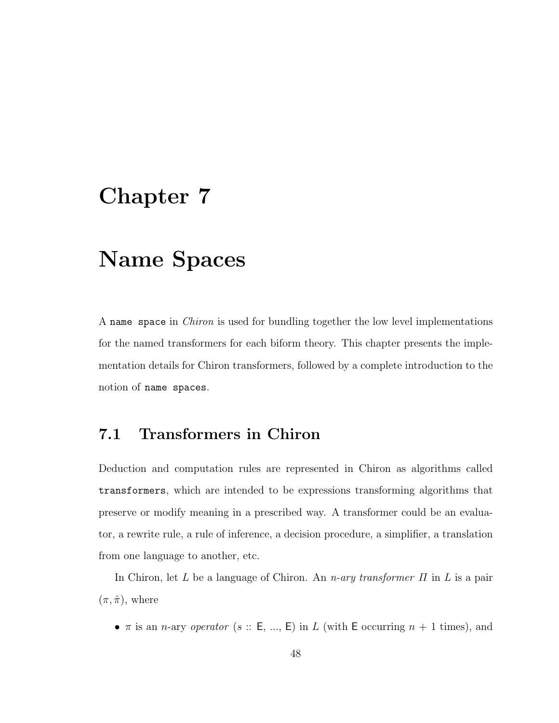# Chapter 7

# Name Spaces

A name space in Chiron is used for bundling together the low level implementations for the named transformers for each biform theory. This chapter presents the implementation details for Chiron transformers, followed by a complete introduction to the notion of name spaces.

# 7.1 Transformers in Chiron

Deduction and computation rules are represented in Chiron as algorithms called transformers, which are intended to be expressions transforming algorithms that preserve or modify meaning in a prescribed way. A transformer could be an evaluator, a rewrite rule, a rule of inference, a decision procedure, a simplifier, a translation from one language to another, etc.

In Chiron, let L be a language of Chiron. An n-ary transformer  $\Pi$  in L is a pair  $(\pi, \hat{\pi})$ , where

•  $\pi$  is an *n*-ary *operator* (s: E, ..., E) in L (with E occurring  $n + 1$  times), and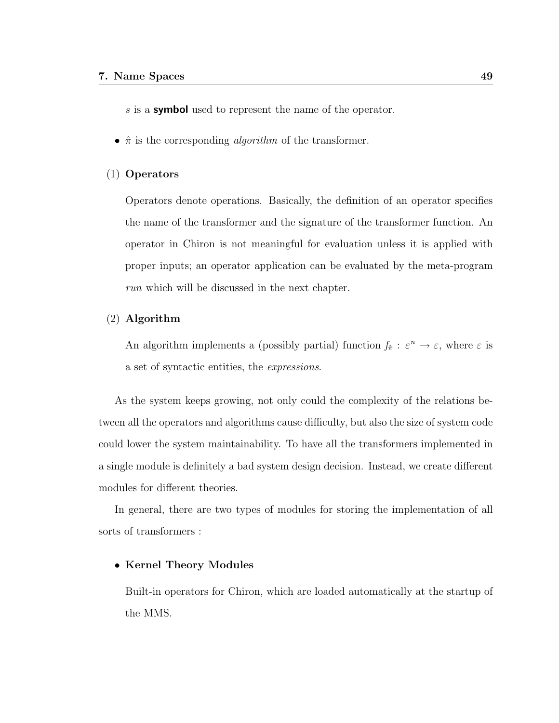s is a **symbol** used to represent the name of the operator.

•  $\hat{\pi}$  is the corresponding *algorithm* of the transformer.

#### (1) Operators

Operators denote operations. Basically, the definition of an operator specifies the name of the transformer and the signature of the transformer function. An operator in Chiron is not meaningful for evaluation unless it is applied with proper inputs; an operator application can be evaluated by the meta-program run which will be discussed in the next chapter.

#### (2) Algorithm

An algorithm implements a (possibly partial) function  $f_{\hat{\pi}} : \varepsilon^n \to \varepsilon$ , where  $\varepsilon$  is a set of syntactic entities, the expressions.

As the system keeps growing, not only could the complexity of the relations between all the operators and algorithms cause difficulty, but also the size of system code could lower the system maintainability. To have all the transformers implemented in a single module is definitely a bad system design decision. Instead, we create different modules for different theories.

In general, there are two types of modules for storing the implementation of all sorts of transformers :

#### • Kernel Theory Modules

Built-in operators for Chiron, which are loaded automatically at the startup of the MMS.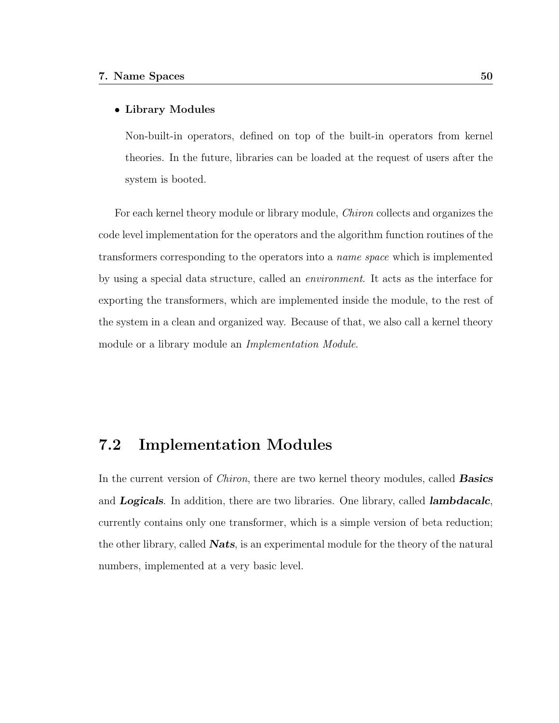#### • Library Modules

Non-built-in operators, defined on top of the built-in operators from kernel theories. In the future, libraries can be loaded at the request of users after the system is booted.

For each kernel theory module or library module, Chiron collects and organizes the code level implementation for the operators and the algorithm function routines of the transformers corresponding to the operators into a name space which is implemented by using a special data structure, called an environment. It acts as the interface for exporting the transformers, which are implemented inside the module, to the rest of the system in a clean and organized way. Because of that, we also call a kernel theory module or a library module an Implementation Module.

# 7.2 Implementation Modules

In the current version of *Chiron*, there are two kernel theory modules, called **Basics** and **Logicals**. In addition, there are two libraries. One library, called **lambdacalc**, currently contains only one transformer, which is a simple version of beta reduction; the other library, called **Nats**, is an experimental module for the theory of the natural numbers, implemented at a very basic level.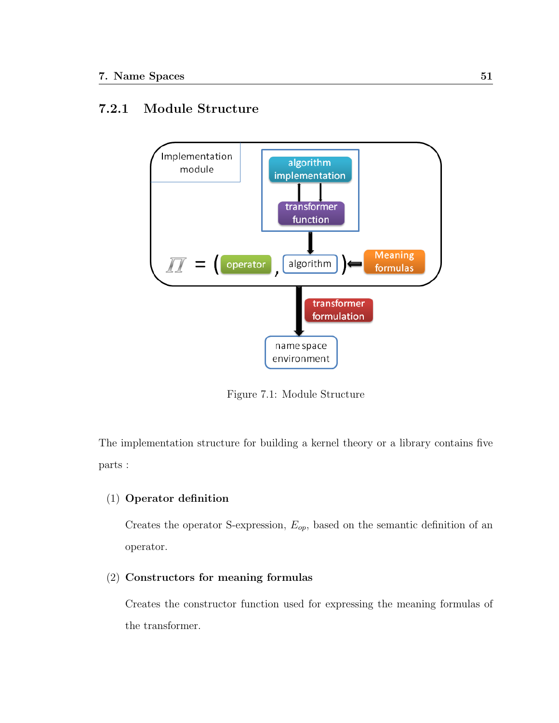# 7.2.1 Module Structure



Figure 7.1: Module Structure

The implementation structure for building a kernel theory or a library contains five parts :

# (1) Operator definition

Creates the operator S-expression,  $E_{op}$ , based on the semantic definition of an operator.

### (2) Constructors for meaning formulas

Creates the constructor function used for expressing the meaning formulas of the transformer.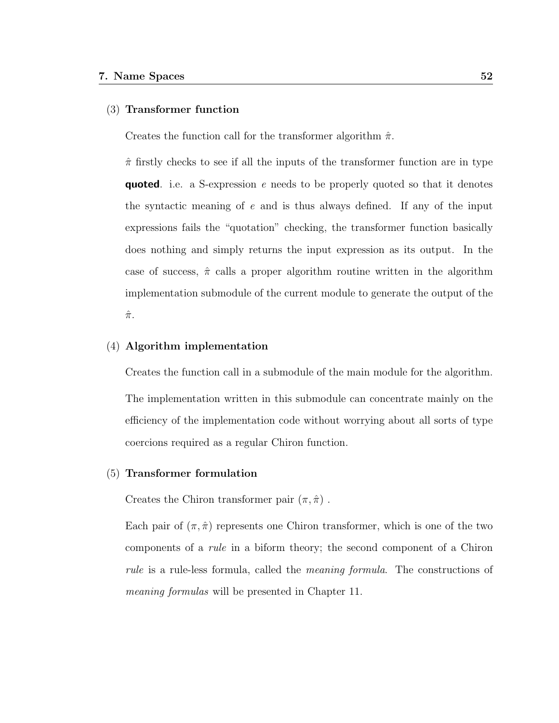#### (3) Transformer function

Creates the function call for the transformer algorithm  $\hat{\pi}$ .

 $\hat{\pi}$  firstly checks to see if all the inputs of the transformer function are in type **quoted.** i.e. a S-expression e needs to be properly quoted so that it denotes the syntactic meaning of e and is thus always defined. If any of the input expressions fails the "quotation" checking, the transformer function basically does nothing and simply returns the input expression as its output. In the case of success,  $\hat{\pi}$  calls a proper algorithm routine written in the algorithm implementation submodule of the current module to generate the output of the  $\hat{\pi}$ .

#### (4) Algorithm implementation

Creates the function call in a submodule of the main module for the algorithm. The implementation written in this submodule can concentrate mainly on the efficiency of the implementation code without worrying about all sorts of type coercions required as a regular Chiron function.

#### (5) Transformer formulation

Creates the Chiron transformer pair  $(\pi, \hat{\pi})$ .

Each pair of  $(\pi, \hat{\pi})$  represents one Chiron transformer, which is one of the two components of a rule in a biform theory; the second component of a Chiron rule is a rule-less formula, called the meaning formula. The constructions of meaning formulas will be presented in Chapter 11.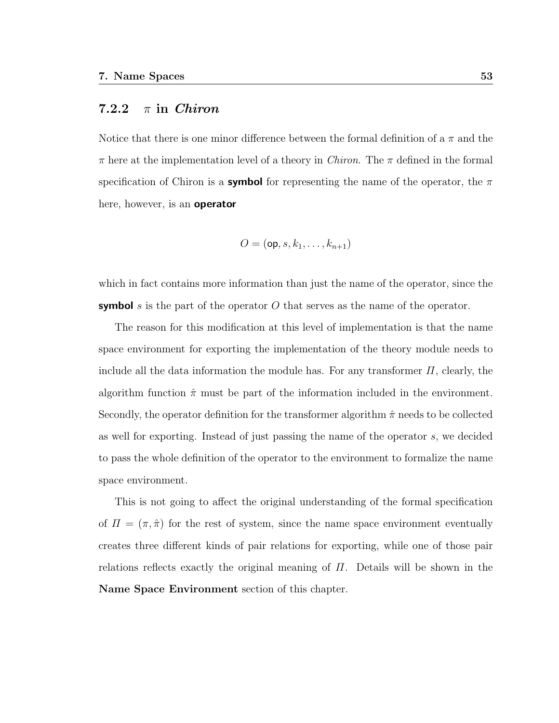### 7.2.2  $\pi$  in Chiron

Notice that there is one minor difference between the formal definition of a  $\pi$  and the  $\pi$  here at the implementation level of a theory in *Chiron*. The  $\pi$  defined in the formal specification of Chiron is a **symbol** for representing the name of the operator, the  $\pi$ here, however, is an **operator** 

$$
O = (\mathsf{op}, s, k_1, \ldots, k_{n+1})
$$

which in fact contains more information than just the name of the operator, since the **symbol** s is the part of the operator O that serves as the name of the operator.

The reason for this modification at this level of implementation is that the name space environment for exporting the implementation of the theory module needs to include all the data information the module has. For any transformer  $\Pi$ , clearly, the algorithm function  $\hat{\pi}$  must be part of the information included in the environment. Secondly, the operator definition for the transformer algorithm  $\hat{\pi}$  needs to be collected as well for exporting. Instead of just passing the name of the operator s, we decided to pass the whole definition of the operator to the environment to formalize the name space environment.

This is not going to affect the original understanding of the formal specification of  $\Pi = (\pi, \hat{\pi})$  for the rest of system, since the name space environment eventually creates three different kinds of pair relations for exporting, while one of those pair relations reflects exactly the original meaning of  $\Pi$ . Details will be shown in the Name Space Environment section of this chapter.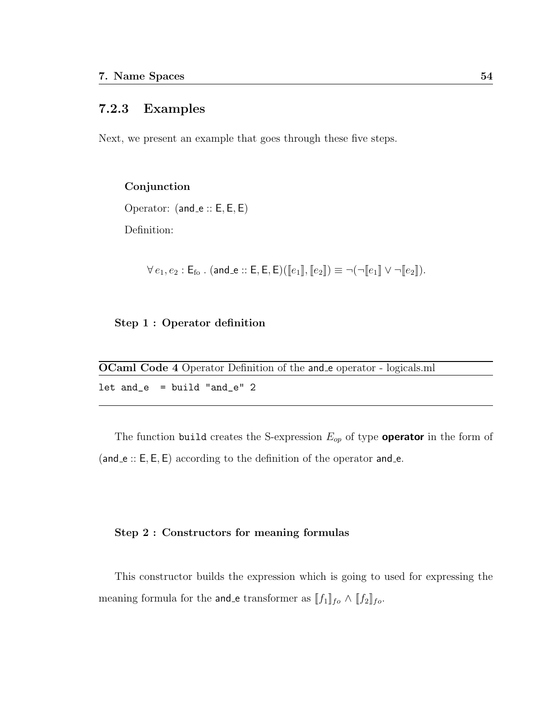## 7.2.3 Examples

Next, we present an example that goes through these five steps.

#### Conjunction

Operator:  $(and_e::E, E, E)$ 

Definition:

$$
\forall e_1, e_2 : \mathsf{E}_{\mathsf{fo}} \ . \ (and_e :: \mathsf{E}, \mathsf{E}, \mathsf{E}) (\llbracket e_1 \rrbracket, \llbracket e_2 \rrbracket) \equiv \neg(\neg \llbracket e_1 \rrbracket \lor \neg \llbracket e_2 \rrbracket).
$$

#### Step 1 : Operator definition

| <b>OCaml Code 4</b> Operator Definition of the <b>and</b> e operator - logicals.ml |  |
|------------------------------------------------------------------------------------|--|
| $let$ and $e$ = build "and $e$ " 2                                                 |  |

The function build creates the S-expression  $E_{op}$  of type **operator** in the form of (and  $\epsilon$  :: E, E, E) according to the definition of the operator and  $\epsilon$ .

#### Step 2 : Constructors for meaning formulas

This constructor builds the expression which is going to used for expressing the meaning formula for the **and** e transformer as  $[[f_1]]_{fo} \wedge [[f_2]]_{fo}$ .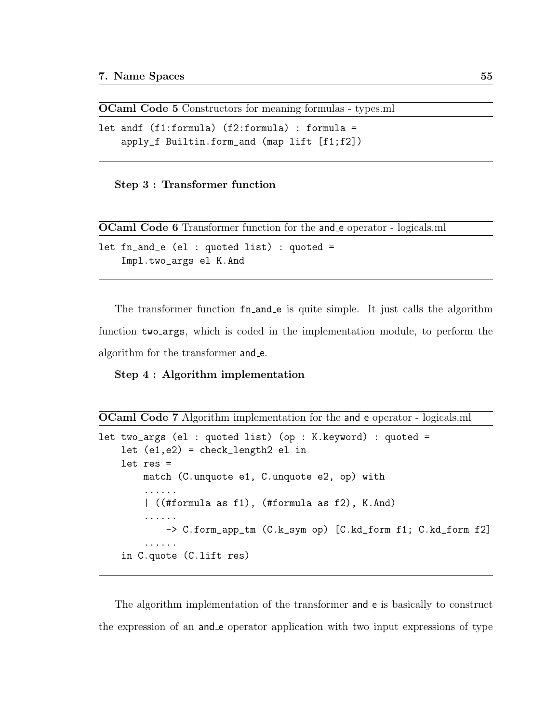OCaml Code 5 Constructors for meaning formulas - types.ml

```
let andf (f1:formula) (f2:formula) : formula =
    apply_f Builtin.form_and (map lift [f1;f2])
```
Step 3 : Transformer function

OCaml Code 6 Transformer function for the and e operator - logicals.ml

```
let fn_and_e (el : quoted list) : quoted =
    Impl.two_args el K.And
```
The transformer function  $fn_and_e$  is quite simple. It just calls the algorithm function two args, which is coded in the implementation module, to perform the algorithm for the transformer and e.

#### Step 4 : Algorithm implementation

```
OCaml Code 7 Algorithm implementation for the and e operator - logicals.ml
```

```
let two_args (el : quoted list) (op : K.keyword) : quoted =
    let (e1,e2) = check_length2 el in
    let res =
        match (C.unquote e1, C.unquote e2, op) with
        ......
        | ((#formula as f1), (#formula as f2), K.And)
        ......
            -> C.form_app_tm (C.k_sym op) [C.kd_form f1; C.kd_form f2]
        ......
    in C.quote (C.lift res)
```
The algorithm implementation of the transformer and e is basically to construct the expression of an and e operator application with two input expressions of type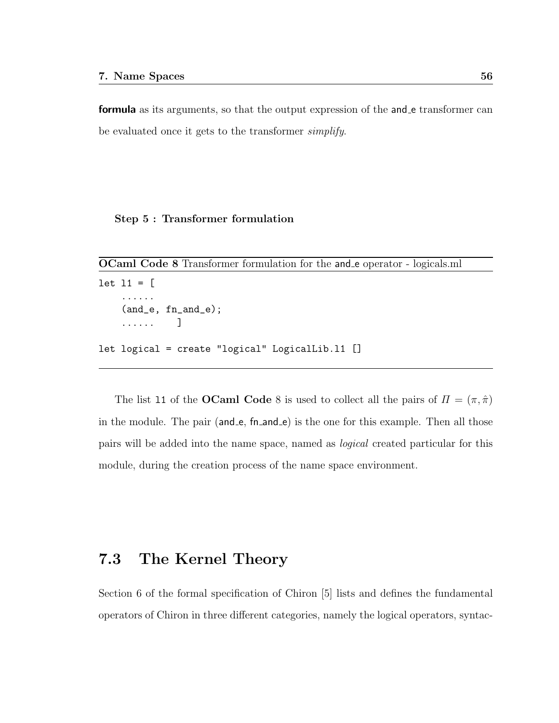formula as its arguments, so that the output expression of the and e transformer can be evaluated once it gets to the transformer simplify.

#### Step 5 : Transformer formulation

```
OCaml Code 8 Transformer formulation for the and e operator - logicals.ml
```

```
let 11 = [......
    (and_e, fn_and_e);
    ...... ]
let logical = create "logical" LogicalLib.l1 []
```
The list 11 of the **OCaml Code** 8 is used to collect all the pairs of  $\Pi = (\pi, \hat{\pi})$ in the module. The pair (and e, fn and e) is the one for this example. Then all those pairs will be added into the name space, named as logical created particular for this module, during the creation process of the name space environment.

# 7.3 The Kernel Theory

Section 6 of the formal specification of Chiron [5] lists and defines the fundamental operators of Chiron in three different categories, namely the logical operators, syntac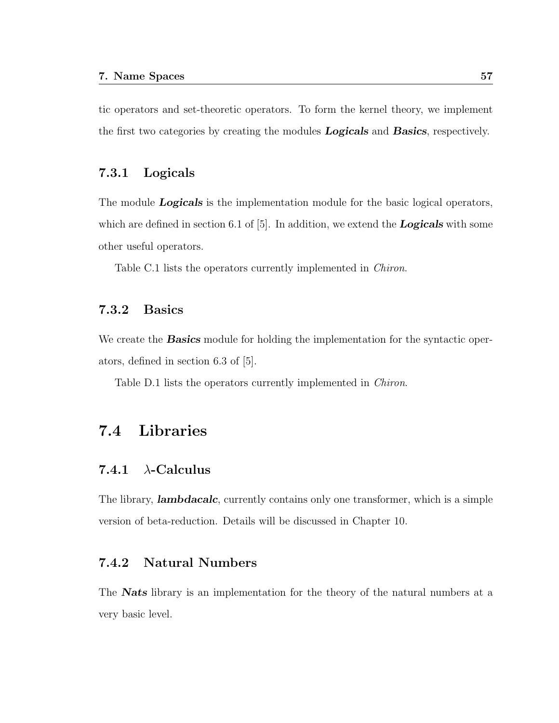tic operators and set-theoretic operators. To form the kernel theory, we implement the first two categories by creating the modules **Logicals** and **Basics**, respectively.

### 7.3.1 Logicals

The module **Logicals** is the implementation module for the basic logical operators, which are defined in section 6.1 of  $[5]$ . In addition, we extend the **Logicals** with some other useful operators.

Table C.1 lists the operators currently implemented in *Chiron*.

### 7.3.2 Basics

We create the **Basics** module for holding the implementation for the syntactic operators, defined in section 6.3 of [5].

Table D.1 lists the operators currently implemented in Chiron.

# 7.4 Libraries

### 7.4.1  $\lambda$ -Calculus

The library, **lambdacalc**, currently contains only one transformer, which is a simple version of beta-reduction. Details will be discussed in Chapter 10.

### 7.4.2 Natural Numbers

The **Nats** library is an implementation for the theory of the natural numbers at a very basic level.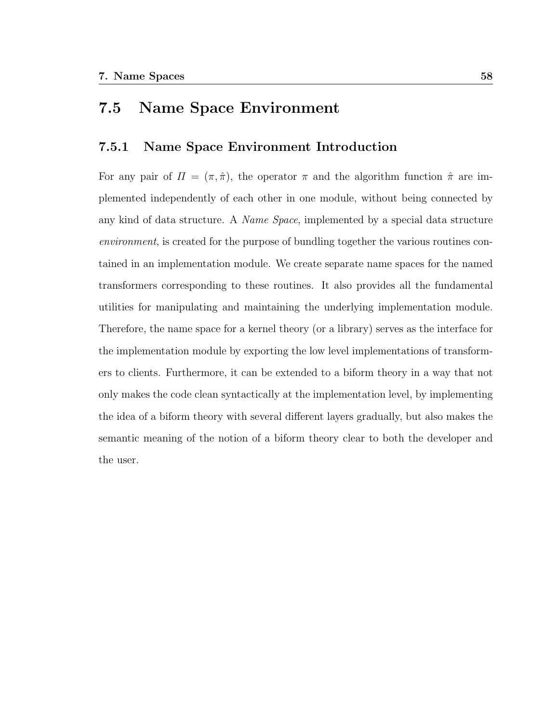# 7.5 Name Space Environment

### 7.5.1 Name Space Environment Introduction

For any pair of  $\Pi = (\pi, \hat{\pi})$ , the operator  $\pi$  and the algorithm function  $\hat{\pi}$  are implemented independently of each other in one module, without being connected by any kind of data structure. A Name Space, implemented by a special data structure environment, is created for the purpose of bundling together the various routines contained in an implementation module. We create separate name spaces for the named transformers corresponding to these routines. It also provides all the fundamental utilities for manipulating and maintaining the underlying implementation module. Therefore, the name space for a kernel theory (or a library) serves as the interface for the implementation module by exporting the low level implementations of transformers to clients. Furthermore, it can be extended to a biform theory in a way that not only makes the code clean syntactically at the implementation level, by implementing the idea of a biform theory with several different layers gradually, but also makes the semantic meaning of the notion of a biform theory clear to both the developer and the user.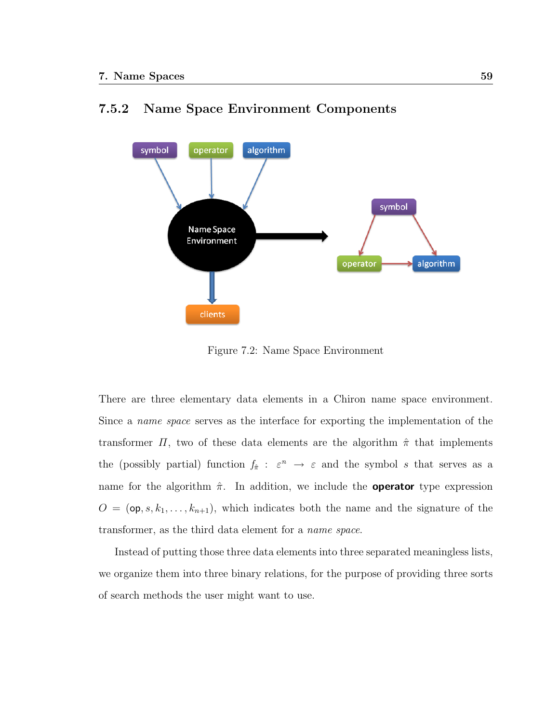

# 7.5.2 Name Space Environment Components

Figure 7.2: Name Space Environment

There are three elementary data elements in a Chiron name space environment. Since a name space serves as the interface for exporting the implementation of the transformer  $\Pi$ , two of these data elements are the algorithm  $\hat{\pi}$  that implements the (possibly partial) function  $f_{\hat{\pi}}$ :  $\varepsilon^n \to \varepsilon$  and the symbol s that serves as a name for the algorithm  $\hat{\pi}$ . In addition, we include the **operator** type expression  $O = (\mathsf{op}, s, k_1, \ldots, k_{n+1}),$  which indicates both the name and the signature of the transformer, as the third data element for a name space.

Instead of putting those three data elements into three separated meaningless lists, we organize them into three binary relations, for the purpose of providing three sorts of search methods the user might want to use.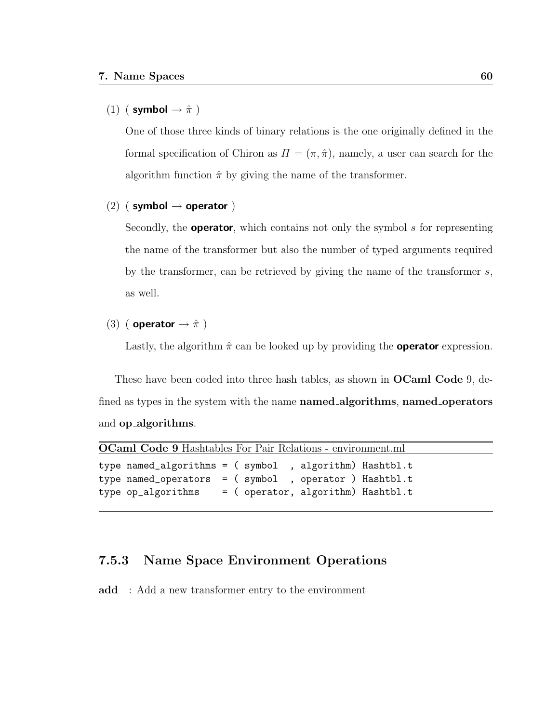## (1) ( symbol  $\rightarrow \hat{\pi}$  )

One of those three kinds of binary relations is the one originally defined in the formal specification of Chiron as  $\Pi = (\pi, \hat{\pi})$ , namely, a user can search for the algorithm function  $\hat{\pi}$  by giving the name of the transformer.

### (2) ( symbol  $\rightarrow$  operator )

Secondly, the **operator**, which contains not only the symbol  $s$  for representing the name of the transformer but also the number of typed arguments required by the transformer, can be retrieved by giving the name of the transformer  $s$ , as well.

# (3) ( operator  $\rightarrow \hat{\pi}$  )

Lastly, the algorithm  $\hat{\pi}$  can be looked up by providing the **operator** expression.

These have been coded into three hash tables, as shown in **OCaml Code** 9, defined as types in the system with the name named\_algorithms, named\_operators and op algorithms.

|                                                                                                                                                                                  | OCaml Code 9 Hashtables For Pair Relations - environment.ml |  |  |  |  |  |  |  |
|----------------------------------------------------------------------------------------------------------------------------------------------------------------------------------|-------------------------------------------------------------|--|--|--|--|--|--|--|
| type named_algorithms = ( symbol , algorithm) Hashtbl.t<br>type named_operators = $($ symbol , operator $)$ Hashtbl.t<br>type op_algorithms = $($ operator, algorithm) Hashtbl.t |                                                             |  |  |  |  |  |  |  |

## 7.5.3 Name Space Environment Operations

add : Add a new transformer entry to the environment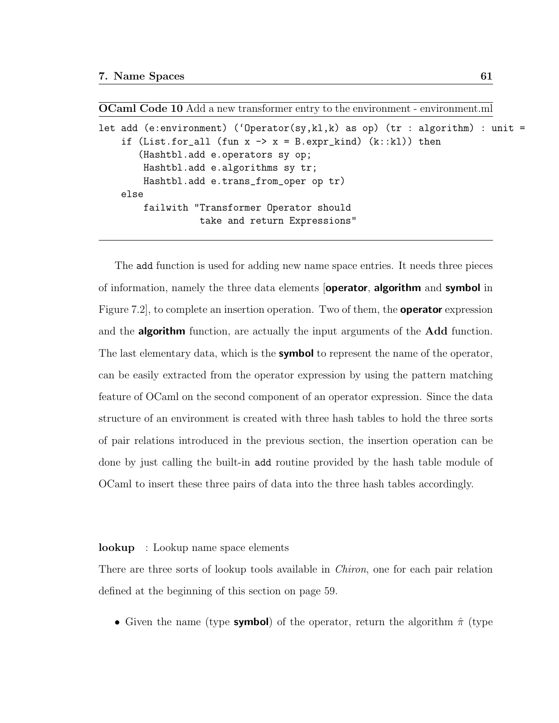OCaml Code 10 Add a new transformer entry to the environment - environment.ml

```
let add (e:environment) ('Operator(sy, kl, k) as op) (tr : algorithm) : unit =
    if (List.for_all (fun x \rightarrow x = B.\exp r_k kind) (k::kl)) then
       (Hashtbl.add e.operators sy op;
        Hashtbl.add e.algorithms sy tr;
        Hashtbl.add e.trans_from_oper op tr)
    else
        failwith "Transformer Operator should
                   take and return Expressions"
```
The add function is used for adding new name space entries. It needs three pieces of information, namely the three data elements **[operator, algorithm** and **symbol** in Figure 7.2, to complete an insertion operation. Two of them, the **operator** expression and the **algorithm** function, are actually the input arguments of the **Add** function. The last elementary data, which is the **symbol** to represent the name of the operator, can be easily extracted from the operator expression by using the pattern matching feature of OCaml on the second component of an operator expression. Since the data structure of an environment is created with three hash tables to hold the three sorts of pair relations introduced in the previous section, the insertion operation can be done by just calling the built-in add routine provided by the hash table module of OCaml to insert these three pairs of data into the three hash tables accordingly.

#### lookup : Lookup name space elements

There are three sorts of lookup tools available in *Chiron*, one for each pair relation defined at the beginning of this section on page 59.

• Given the name (type **symbol**) of the operator, return the algorithm  $\hat{\pi}$  (type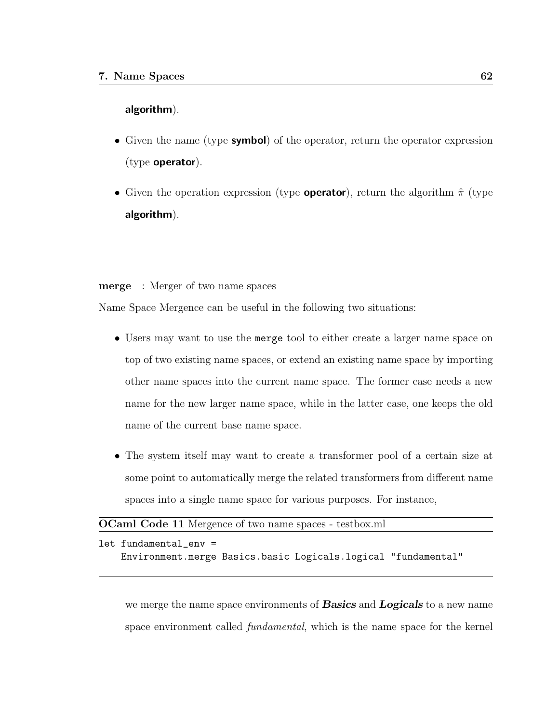#### algorithm).

- Given the name (type **symbol**) of the operator, return the operator expression (type operator).
- Given the operation expression (type **operator**), return the algorithm  $\hat{\pi}$  (type algorithm).

merge : Merger of two name spaces

Name Space Mergence can be useful in the following two situations:

- Users may want to use the merge tool to either create a larger name space on top of two existing name spaces, or extend an existing name space by importing other name spaces into the current name space. The former case needs a new name for the new larger name space, while in the latter case, one keeps the old name of the current base name space.
- The system itself may want to create a transformer pool of a certain size at some point to automatically merge the related transformers from different name spaces into a single name space for various purposes. For instance,

| <b>OCaml Code 11</b> Mergence of two name spaces - testbox.ml |  |
|---------------------------------------------------------------|--|
|---------------------------------------------------------------|--|

| let fundamental env = |                                                               |  |
|-----------------------|---------------------------------------------------------------|--|
|                       | Environment.merge Basics.basic Logicals.logical "fundamental" |  |

we merge the name space environments of **Basics** and **Logicals** to a new name space environment called *fundamental*, which is the name space for the kernel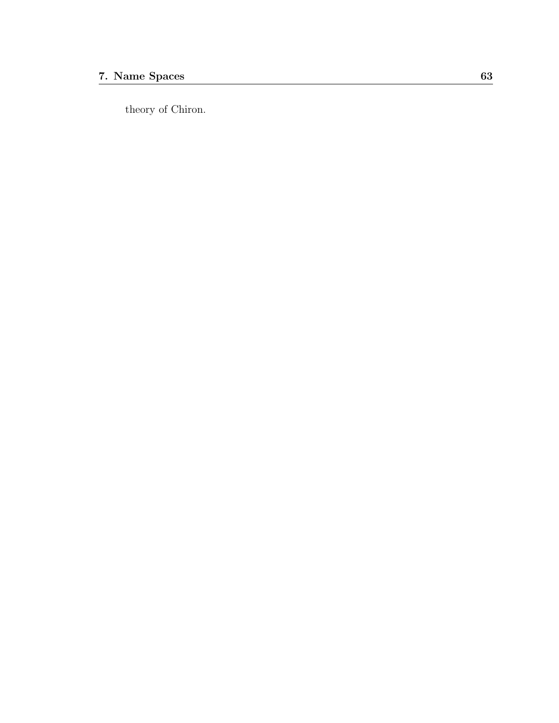theory of Chiron.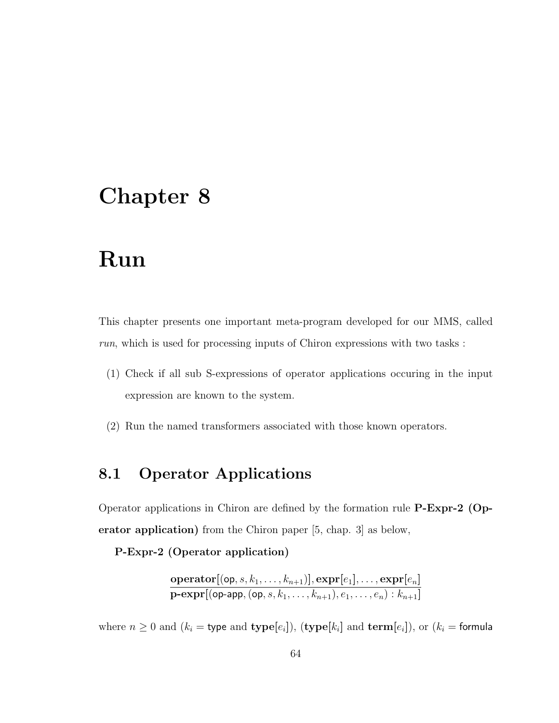# Run

This chapter presents one important meta-program developed for our MMS, called run, which is used for processing inputs of Chiron expressions with two tasks :

- (1) Check if all sub S-expressions of operator applications occuring in the input expression are known to the system.
- (2) Run the named transformers associated with those known operators.

# 8.1 Operator Applications

Operator applications in Chiron are defined by the formation rule P-Expr-2 (Operator application) from the Chiron paper [5, chap. 3] as below,

P-Expr-2 (Operator application)

$$
\frac{\textbf{operator}[(\textsf{op},s,k_1,\ldots,k_{n+1})],\textbf{expr}[e_1],\ldots,\textbf{expr}[e_n]}{\textbf{p-expr}[(\textsf{op-app},(\textsf{op},s,k_1,\ldots,k_{n+1}),e_1,\ldots,e_n):k_{n+1}]}
$$

where  $n \geq 0$  and  $(k_i = \text{type and type}[e_i])$ ,  $(\text{type}[k_i]$  and  $\text{term}[e_i])$ , or  $(k_i = \text{formula}$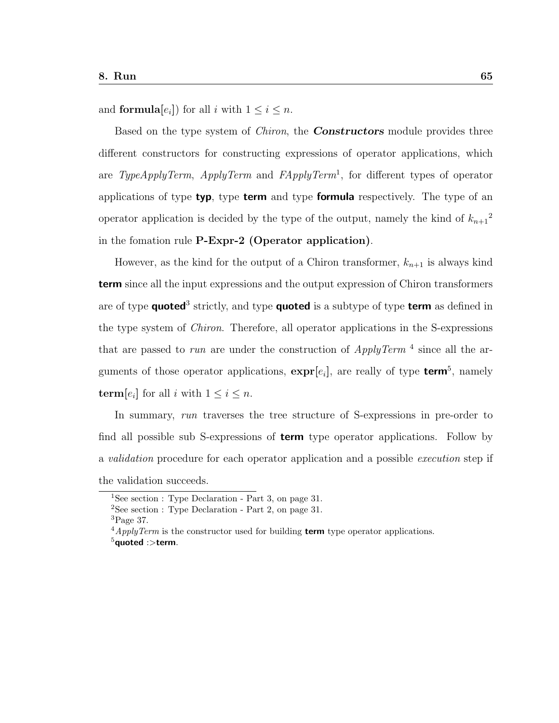and **formula** $[e_i]$  for all i with  $1 \leq i \leq n$ .

Based on the type system of *Chiron*, the **Constructors** module provides three different constructors for constructing expressions of operator applications, which are TypeApplyTerm, ApplyTerm and  $FApplyTerm<sup>1</sup>$ , for different types of operator applications of type typ, type term and type formula respectively. The type of an operator application is decided by the type of the output, namely the kind of  $k_{n+1}^2$ in the fomation rule P-Expr-2 (Operator application).

However, as the kind for the output of a Chiron transformer,  $k_{n+1}$  is always kind term since all the input expressions and the output expression of Chiron transformers are of type **quoted**<sup>3</sup> strictly, and type **quoted** is a subtype of type **term** as defined in the type system of Chiron. Therefore, all operator applications in the S-expressions that are passed to run are under the construction of  $ApplyTerm^{-4}$  since all the arguments of those operator applications,  $exp[r_i]$ , are really of type **term**<sup>5</sup>, namely **term**[ $e_i$ ] for all i with  $1 \leq i \leq n$ .

In summary, run traverses the tree structure of S-expressions in pre-order to find all possible sub S-expressions of **term** type operator applications. Follow by a validation procedure for each operator application and a possible execution step if the validation succeeds.

<sup>&</sup>lt;sup>1</sup>See section : Type Declaration - Part 3, on page 31.

<sup>2</sup>See section : Type Declaration - Part 2, on page 31.

 ${}^{3}$ Page 37.

 $^{4}$ *ApplyTerm* is the constructor used for building **term** type operator applications.

 $^5$ quoted :>term.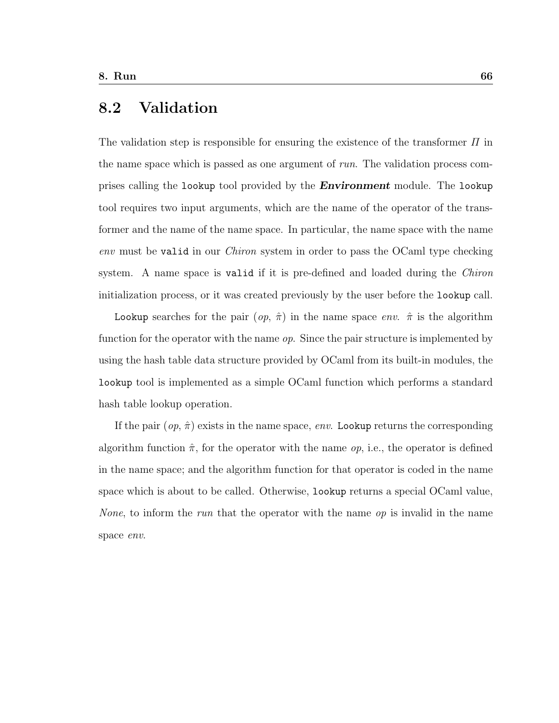# 8.2 Validation

The validation step is responsible for ensuring the existence of the transformer  $\Pi$  in the name space which is passed as one argument of run. The validation process comprises calling the lookup tool provided by the **Environment** module. The lookup tool requires two input arguments, which are the name of the operator of the transformer and the name of the name space. In particular, the name space with the name env must be valid in our Chiron system in order to pass the OCaml type checking system. A name space is valid if it is pre-defined and loaded during the *Chiron* initialization process, or it was created previously by the user before the lookup call.

Lookup searches for the pair  $(op, \hat{\pi})$  in the name space env.  $\hat{\pi}$  is the algorithm function for the operator with the name  $op.$  Since the pair structure is implemented by using the hash table data structure provided by OCaml from its built-in modules, the lookup tool is implemented as a simple OCaml function which performs a standard hash table lookup operation.

If the pair  $(op, \hat{\pi})$  exists in the name space, env. Lookup returns the corresponding algorithm function  $\hat{\pi}$ , for the operator with the name *op*, i.e., the operator is defined in the name space; and the algorithm function for that operator is coded in the name space which is about to be called. Otherwise, lookup returns a special OCaml value, *None*, to inform the *run* that the operator with the name  $op$  is invalid in the name space env.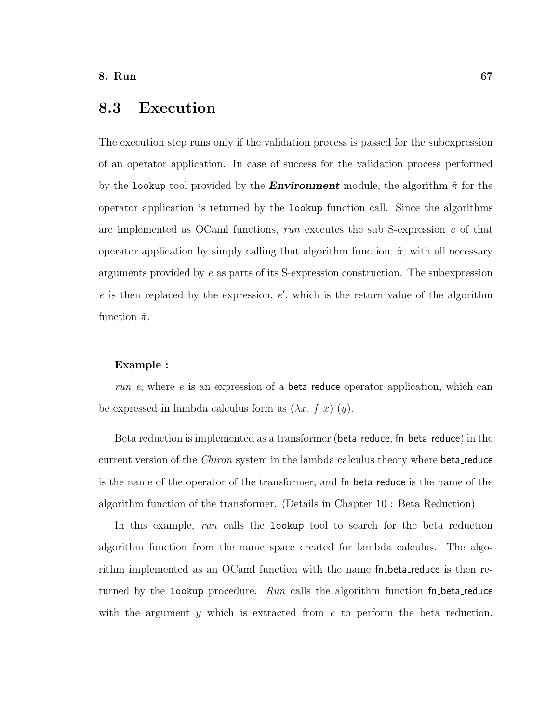## 8.3 Execution

The execution step runs only if the validation process is passed for the subexpression of an operator application. In case of success for the validation process performed by the lookup tool provided by the **Environment** module, the algorithm  $\hat{\pi}$  for the operator application is returned by the lookup function call. Since the algorithms are implemented as OCaml functions,  $run$  executes the sub S-expression  $e$  of that operator application by simply calling that algorithm function,  $\hat{\pi}$ , with all necessary arguments provided by e as parts of its S-expression construction. The subexpression  $e$  is then replaced by the expression,  $e'$ , which is the return value of the algorithm function  $\hat{\pi}$ .

#### Example :

run e, where e is an expression of a **beta** reduce operator application, which can be expressed in lambda calculus form as  $(\lambda x. f x)(y)$ .

Beta reduction is implemented as a transformer (beta\_reduce, fn\_beta\_reduce) in the current version of the *Chiron* system in the lambda calculus theory where **beta** reduce is the name of the operator of the transformer, and fn beta reduce is the name of the algorithm function of the transformer. (Details in Chapter 10 : Beta Reduction)

In this example, run calls the lookup tool to search for the beta reduction algorithm function from the name space created for lambda calculus. The algorithm implemented as an OCaml function with the name fn beta reduce is then returned by the lookup procedure. Run calls the algorithm function  $fn$ -beta-reduce with the argument y which is extracted from e to perform the beta reduction.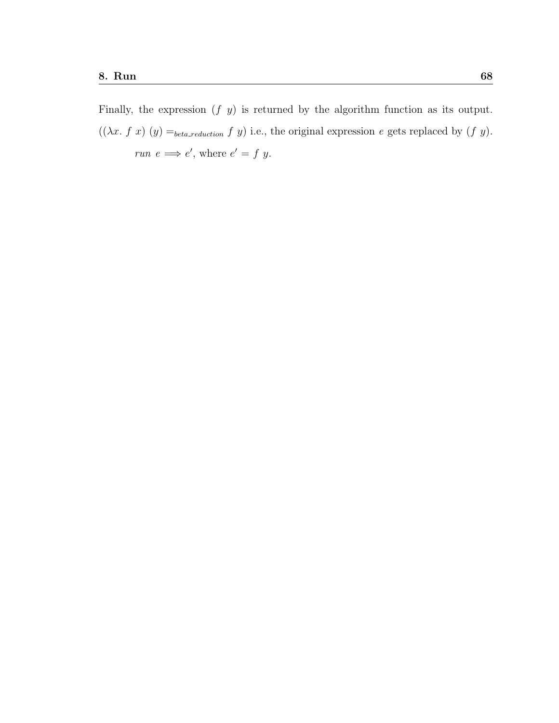Finally, the expression  $(f\ y)$  is returned by the algorithm function as its output.  $((\lambda x. f x) (y) =_{beta\_reduction} f y)$  i.e., the original expression e gets replaced by  $(f y)$ . run  $e \implies e'$ , where  $e' = f y$ .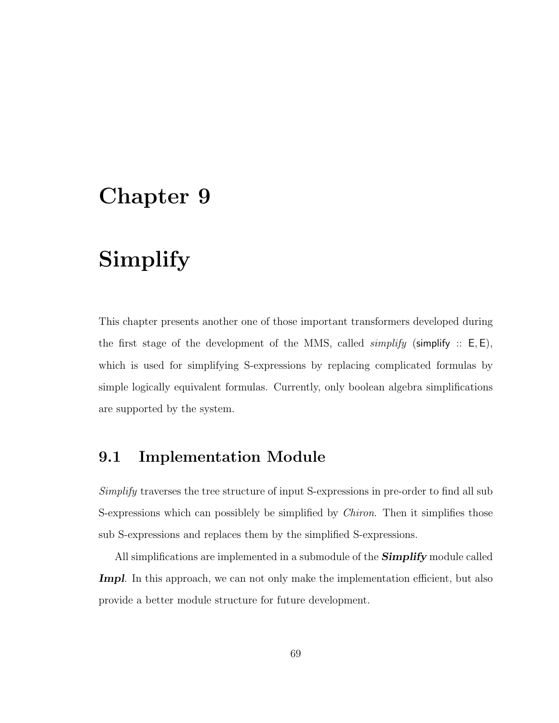# Simplify

This chapter presents another one of those important transformers developed during the first stage of the development of the MMS, called *simplify* (simplify ::  $E, E$ ), which is used for simplifying S-expressions by replacing complicated formulas by simple logically equivalent formulas. Currently, only boolean algebra simplifications are supported by the system.

## 9.1 Implementation Module

Simplify traverses the tree structure of input S-expressions in pre-order to find all sub S-expressions which can possiblely be simplified by *Chiron*. Then it simplifies those sub S-expressions and replaces them by the simplified S-expressions.

All simplifications are implemented in a submodule of the **Simplify** module called **Impl**. In this approach, we can not only make the implementation efficient, but also provide a better module structure for future development.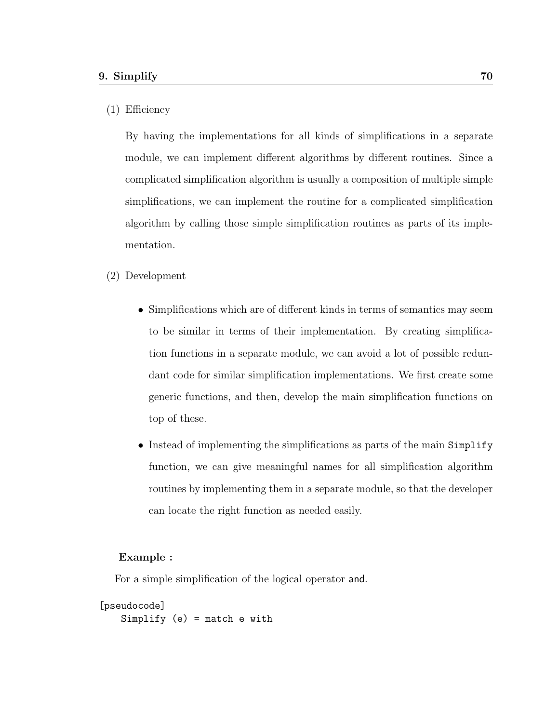#### (1) Efficiency

By having the implementations for all kinds of simplifications in a separate module, we can implement different algorithms by different routines. Since a complicated simplification algorithm is usually a composition of multiple simple simplifications, we can implement the routine for a complicated simplification algorithm by calling those simple simplification routines as parts of its implementation.

#### (2) Development

- Simplifications which are of different kinds in terms of semantics may seem to be similar in terms of their implementation. By creating simplification functions in a separate module, we can avoid a lot of possible redundant code for similar simplification implementations. We first create some generic functions, and then, develop the main simplification functions on top of these.
- Instead of implementing the simplifications as parts of the main Simplify function, we can give meaningful names for all simplification algorithm routines by implementing them in a separate module, so that the developer can locate the right function as needed easily.

#### Example :

For a simple simplification of the logical operator and.

```
[pseudocode]
   Simplify (e) = match e with
```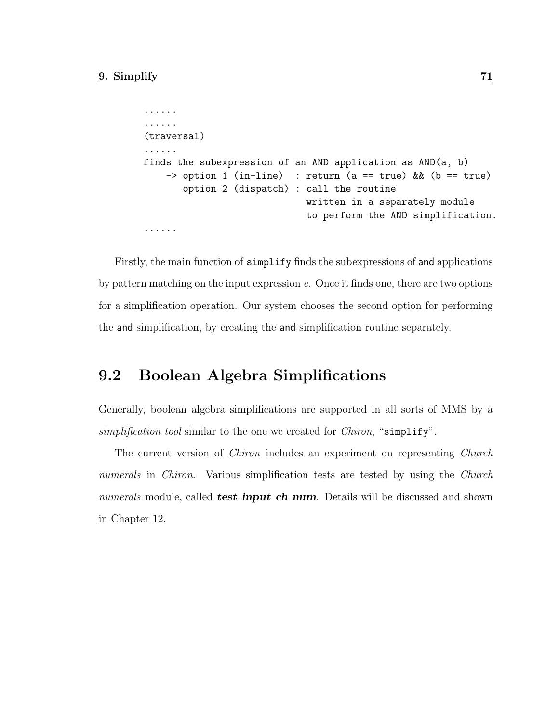```
......
......
(traversal)
......
finds the subexpression of an AND application as AND(a, b)
    \Rightarrow option 1 (in-line) : return (a == true) && (b == true)
       option 2 (dispatch) : call the routine
                              written in a separately module
                              to perform the AND simplification.
......
```
Firstly, the main function of simplify finds the subexpressions of and applications by pattern matching on the input expression e. Once it finds one, there are two options for a simplification operation. Our system chooses the second option for performing the and simplification, by creating the and simplification routine separately.

## 9.2 Boolean Algebra Simplifications

Generally, boolean algebra simplifications are supported in all sorts of MMS by a simplification tool similar to the one we created for *Chiron*, "simplify".

The current version of Chiron includes an experiment on representing Church numerals in Chiron. Various simplification tests are tested by using the Church numerals module, called **test\_input\_ch\_num**. Details will be discussed and shown in Chapter 12.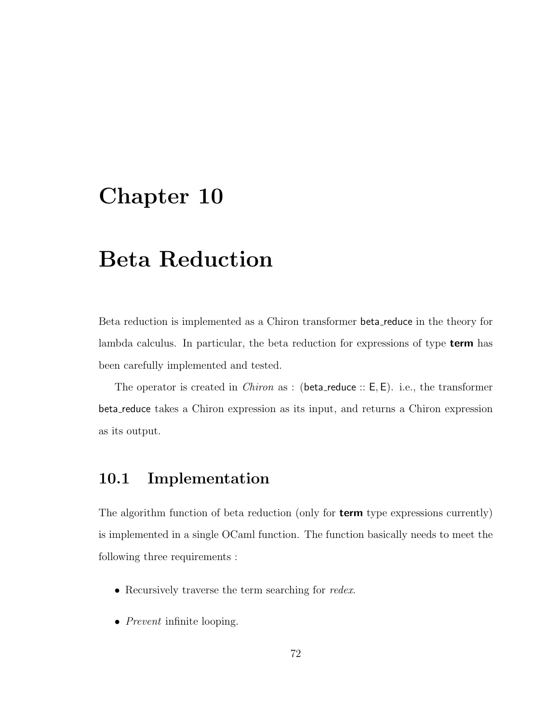# Beta Reduction

Beta reduction is implemented as a Chiron transformer beta reduce in the theory for lambda calculus. In particular, the beta reduction for expressions of type **term** has been carefully implemented and tested.

The operator is created in *Chiron* as : (beta\_reduce ::  $E, E$ ). i.e., the transformer beta reduce takes a Chiron expression as its input, and returns a Chiron expression as its output.

## 10.1 Implementation

The algorithm function of beta reduction (only for **term** type expressions currently) is implemented in a single OCaml function. The function basically needs to meet the following three requirements :

- Recursively traverse the term searching for *redex*.
- *Prevent* infinite looping.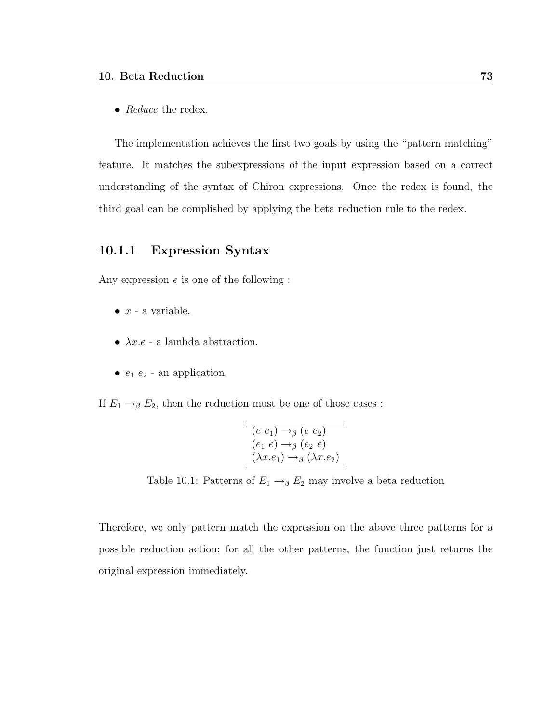• Reduce the redex.

The implementation achieves the first two goals by using the "pattern matching" feature. It matches the subexpressions of the input expression based on a correct understanding of the syntax of Chiron expressions. Once the redex is found, the third goal can be complished by applying the beta reduction rule to the redex.

## 10.1.1 Expression Syntax

Any expression  $e$  is one of the following :

- $\bullet$   $x$  a variable.
- $\lambda x.e$  a lambda abstraction.
- $e_1$   $e_2$  an application.

If  $E_1 \rightarrow_{\beta} E_2$ , then the reduction must be one of those cases :

$$
\overline{(e e_1) \rightarrow_{\beta} (e e_2)}
$$
  
\n
$$
(e_1 e) \rightarrow_{\beta} (e_2 e)
$$
  
\n
$$
(\lambda x.e_1) \rightarrow_{\beta} (\lambda x.e_2)
$$

Table 10.1: Patterns of  $E_1 \rightarrow_{\beta} E_2$  may involve a beta reduction

Therefore, we only pattern match the expression on the above three patterns for a possible reduction action; for all the other patterns, the function just returns the original expression immediately.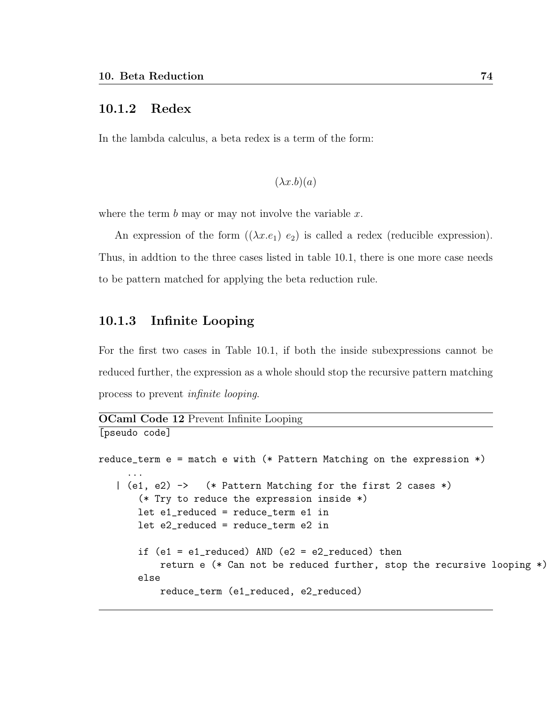#### 10.1.2 Redex

In the lambda calculus, a beta redex is a term of the form:

```
(\lambda x.b)(a)
```
where the term  $b$  may or may not involve the variable  $x$ .

An expression of the form  $((\lambda x.e_1) e_2)$  is called a redex (reducible expression). Thus, in addtion to the three cases listed in table 10.1, there is one more case needs to be pattern matched for applying the beta reduction rule.

## 10.1.3 Infinite Looping

[pseudo code]

For the first two cases in Table 10.1, if both the inside subexpressions cannot be reduced further, the expression as a whole should stop the recursive pattern matching process to prevent infinite looping.

```
OCaml Code 12 Prevent Infinite Looping
```

```
reduce_term e = match e with (* Pattern Matching on the expression *)
     ...
   | (e1, e2) -> (* Pattern Matching for the first 2 cases *)
       (* Try to reduce the expression inside *)
       let e1_reduced = reduce_term e1 in
       let e2_reduced = reduce_term e2 in
       if (e1 = e1_{reduced}) AND (e2 = e2_{reduced}) then
           return e (* Can not be reduced further, stop the recursive looping *)
       else
           reduce_term (e1_reduced, e2_reduced)
```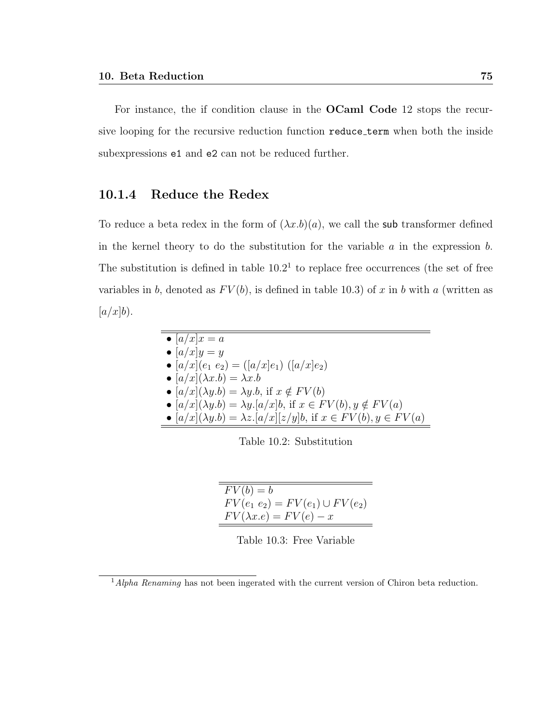For instance, the if condition clause in the OCaml Code 12 stops the recursive looping for the recursive reduction function reduce term when both the inside subexpressions e1 and e2 can not be reduced further.

## 10.1.4 Reduce the Redex

To reduce a beta redex in the form of  $(\lambda x.b)(a)$ , we call the sub transformer defined in the kernel theory to do the substitution for the variable  $a$  in the expression  $b$ . The substitution is defined in table  $10.2<sup>1</sup>$  to replace free occurrences (the set of free variables in b, denoted as  $FV(b)$ , is defined in table 10.3) of x in b with a (written as  $[a/x]b$ .

| $\bullet \left[ a/x \right] x = a$                                              |  |
|---------------------------------------------------------------------------------|--|
| • $[a/x]y = y$                                                                  |  |
| • $[a/x](e_1 \, e_2) = ([a/x]e_1) \, ([a/x]e_2)$                                |  |
| • $[a/x](\lambda x.b) = \lambda x.b$                                            |  |
| • $[a/x](\lambda y.b) = \lambda y.b$ , if $x \notin FV(b)$                      |  |
| • $[a/x](\lambda y.b) = \lambda y.[a/x]b$ , if $x \in FV(b)$ , $y \notin FV(a)$ |  |
| • $[a/x](\lambda y.b) = \lambda z.[a/x][z/y]b$ , if $x \in FV(b), y \in FV(a)$  |  |

Table 10.2: Substitution

| $FV(b) = b$                          |
|--------------------------------------|
| $FV(e_1 e_2) = FV(e_1) \cup FV(e_2)$ |
| $FV(\lambda x.e) = FV(e) - x$        |

Table 10.3: Free Variable

 $1$ Alpha Renaming has not been ingerated with the current version of Chiron beta reduction.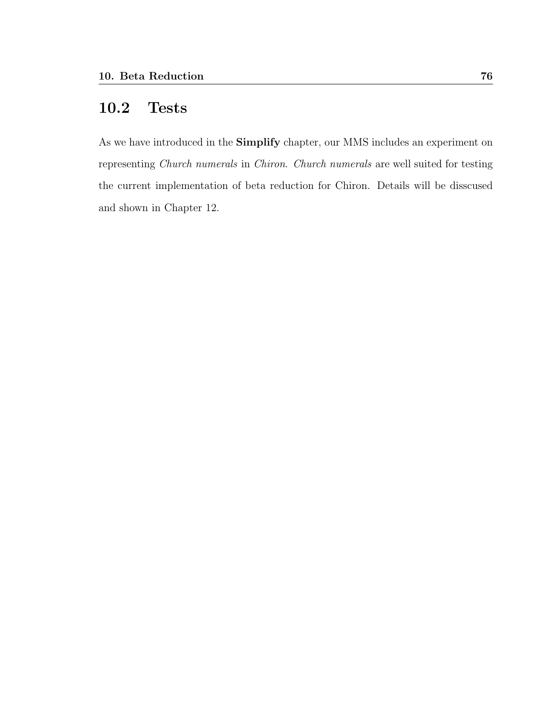# 10.2 Tests

As we have introduced in the Simplify chapter, our MMS includes an experiment on representing Church numerals in Chiron. Church numerals are well suited for testing the current implementation of beta reduction for Chiron. Details will be disscused and shown in Chapter 12.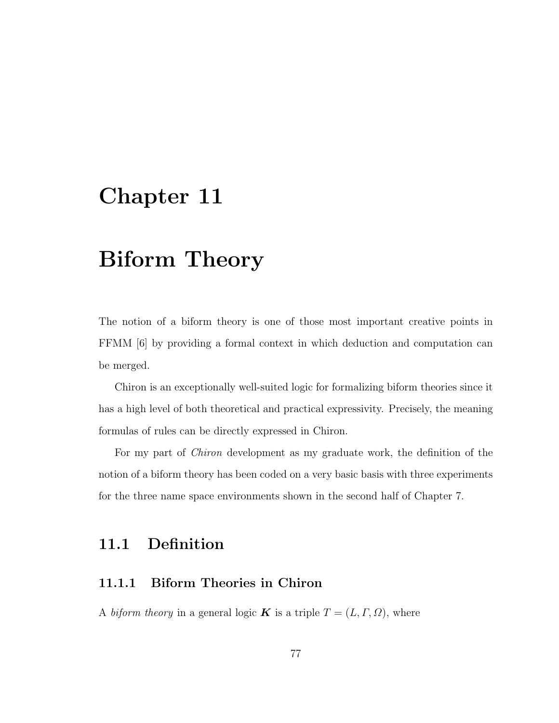# Biform Theory

The notion of a biform theory is one of those most important creative points in FFMM [6] by providing a formal context in which deduction and computation can be merged.

Chiron is an exceptionally well-suited logic for formalizing biform theories since it has a high level of both theoretical and practical expressivity. Precisely, the meaning formulas of rules can be directly expressed in Chiron.

For my part of Chiron development as my graduate work, the definition of the notion of a biform theory has been coded on a very basic basis with three experiments for the three name space environments shown in the second half of Chapter 7.

# 11.1 Definition

## 11.1.1 Biform Theories in Chiron

A biform theory in a general logic **K** is a triple  $T = (L, \Gamma, \Omega)$ , where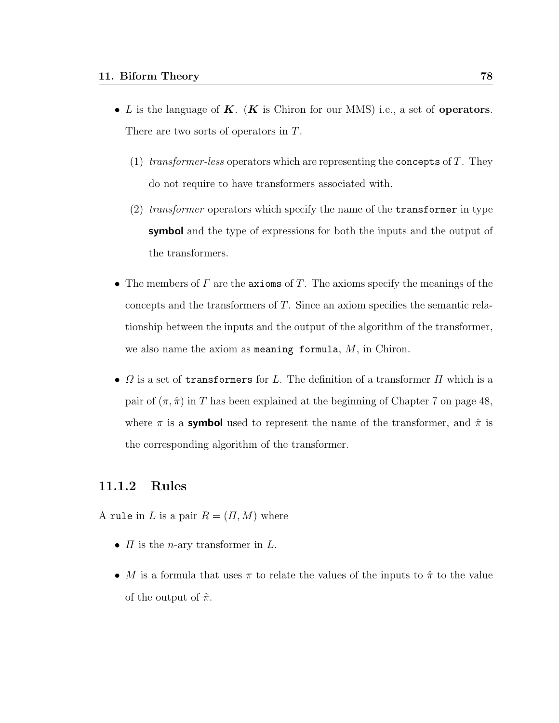- L is the language of  $\mathbf{K}$ . ( $\mathbf{K}$  is Chiron for our MMS) i.e., a set of **operators**. There are two sorts of operators in T.
	- (1) transformer-less operators which are representing the concepts of  $T$ . They do not require to have transformers associated with.
	- (2) transformer operators which specify the name of the  $transformer$  in type symbol and the type of expressions for both the inputs and the output of the transformers.
- The members of  $\Gamma$  are the axioms of  $T$ . The axioms specify the meanings of the concepts and the transformers of T. Since an axiom specifies the semantic relationship between the inputs and the output of the algorithm of the transformer, we also name the axiom as meaning formula,  $M$ , in Chiron.
- $\Omega$  is a set of **transformers** for L. The definition of a transformer  $\Pi$  which is a pair of  $(\pi, \hat{\pi})$  in T has been explained at the beginning of Chapter 7 on page 48, where  $\pi$  is a **symbol** used to represent the name of the transformer, and  $\hat{\pi}$  is the corresponding algorithm of the transformer.

## 11.1.2 Rules

A rule in L is a pair  $R = (\Pi, M)$  where

- $\Pi$  is the *n*-ary transformer in  $L$ .
- M is a formula that uses  $\pi$  to relate the values of the inputs to  $\hat{\pi}$  to the value of the output of  $\hat{\pi}$ .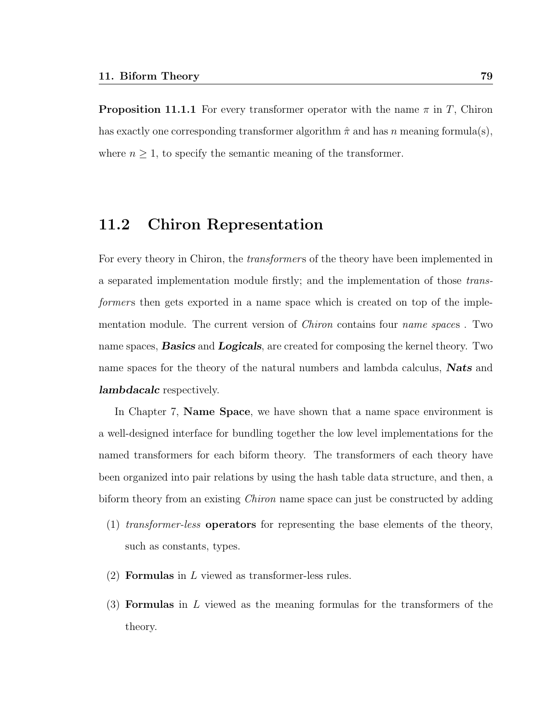**Proposition 11.1.1** For every transformer operator with the name  $\pi$  in T, Chiron has exactly one corresponding transformer algorithm  $\hat{\pi}$  and has n meaning formula(s), where  $n \geq 1$ , to specify the semantic meaning of the transformer.

## 11.2 Chiron Representation

For every theory in Chiron, the *transformers* of the theory have been implemented in a separated implementation module firstly; and the implementation of those transformers then gets exported in a name space which is created on top of the implementation module. The current version of *Chiron* contains four *name spaces*. Two name spaces, **Basics** and **Logicals**, are created for composing the kernel theory. Two name spaces for the theory of the natural numbers and lambda calculus, **Nats** and **lambdacalc** respectively.

In Chapter 7, Name Space, we have shown that a name space environment is a well-designed interface for bundling together the low level implementations for the named transformers for each biform theory. The transformers of each theory have been organized into pair relations by using the hash table data structure, and then, a biform theory from an existing *Chiron* name space can just be constructed by adding

- (1) transformer-less operators for representing the base elements of the theory, such as constants, types.
- $(2)$  **Formulas** in L viewed as transformer-less rules.
- $(3)$  Formulas in L viewed as the meaning formulas for the transformers of the theory.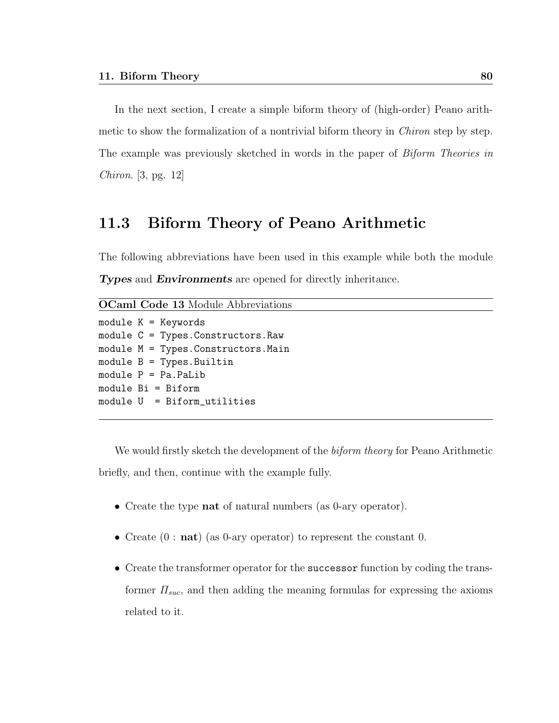In the next section, I create a simple biform theory of (high-order) Peano arithmetic to show the formalization of a nontrivial biform theory in *Chiron* step by step. The example was previously sketched in words in the paper of Biform Theories in Chiron. [3, pg. 12]

## 11.3 Biform Theory of Peano Arithmetic

The following abbreviations have been used in this example while both the module **Types** and **Environments** are opened for directly inheritance.

OCaml Code 13 Module Abbreviations

```
module K = Keywords
module C = Types.Constructors.Raw
module M = Types.Constructors.Main
module B = Types. Builtin
module P = Pa.PaLib
module Bi = Biform
module U = Biform_utilities
```
We would firstly sketch the development of the *biform theory* for Peano Arithmetic briefly, and then, continue with the example fully.

- Create the type **nat** of natural numbers (as 0-ary operator).
- Create  $(0: \textbf{nat})$  (as 0-ary operator) to represent the constant 0.
- Create the transformer operator for the successor function by coding the transformer  $\Pi_{suc}$ , and then adding the meaning formulas for expressing the axioms related to it.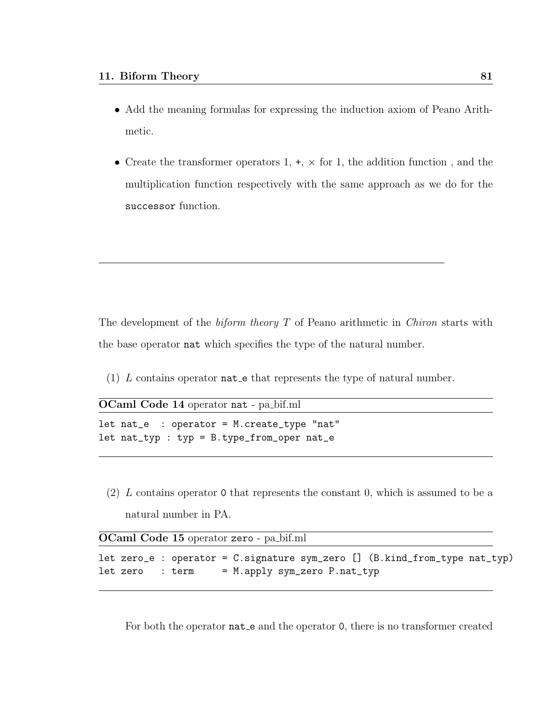- Add the meaning formulas for expressing the induction axiom of Peano Arithmetic.
- Create the transformer operators  $1, +, \times$  for 1, the addition function, and the multiplication function respectively with the same approach as we do for the successor function.

The development of the *biform theory*  $T$  of Peano arithmetic in *Chiron* starts with the base operator nat which specifies the type of the natural number.

(1) L contains operator nat e that represents the type of natural number.

OCaml Code 14 operator nat - pa bif.ml

```
let nat_e : operator = M.create_type "nat"
let nat_typ : typ = B.type_from_oper nat_e
```
(2) L contains operator 0 that represents the constant 0, which is assumed to be a natural number in PA.

| OCaml Code 15 operator zero - pa_bif.ml |  |
|-----------------------------------------|--|
|-----------------------------------------|--|

|  |  | let zero_e : operator = C.signature sym_zero [] (B.kind_from_type nat_typ) |  |  |  |  |
|--|--|----------------------------------------------------------------------------|--|--|--|--|
|  |  | let zero : term = M.apply sym_zero P.nat_typ                               |  |  |  |  |

For both the operator **nat** e and the operator 0, there is no transformer created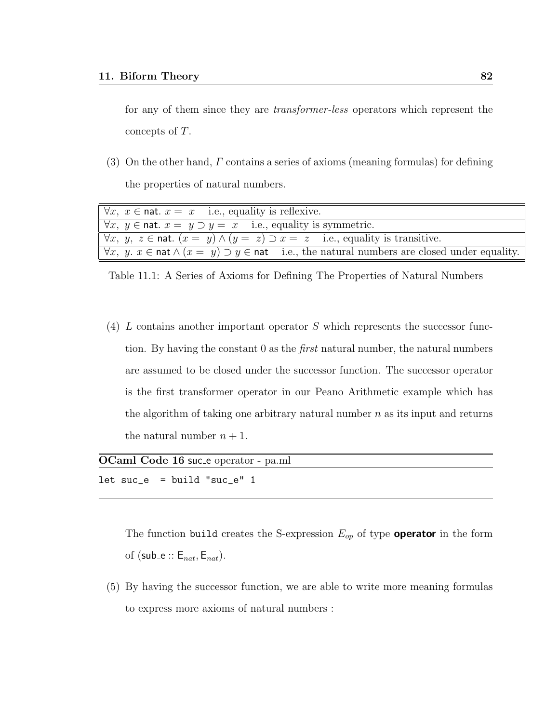for any of them since they are transformer-less operators which represent the concepts of T.

(3) On the other hand, Γ contains a series of axioms (meaning formulas) for defining the properties of natural numbers.

| $\forall x, x \in \text{nat. } x = x$ i.e., equality is reflexive.                                                           |
|------------------------------------------------------------------------------------------------------------------------------|
| $\forall x, y \in \text{nat. } x = y \supset y = x$ i.e., equality is symmetric.                                             |
| $\forall x, y, z \in \text{nat.}$ $(x = y) \wedge (y = z) \supset x = z$ i.e., equality is transitive.                       |
| $\forall x, y, x \in \text{nat} \land (x = y) \supset y \in \text{nat}$ i.e., the natural numbers are closed under equality. |

Table 11.1: A Series of Axioms for Defining The Properties of Natural Numbers

(4)  $L$  contains another important operator  $S$  which represents the successor function. By having the constant  $0$  as the *first* natural number, the natural numbers are assumed to be closed under the successor function. The successor operator is the first transformer operator in our Peano Arithmetic example which has the algorithm of taking one arbitrary natural number  $n$  as its input and returns the natural number  $n + 1$ .

| OCaml Code 16 suc_e operator - pa.ml |  |  |  |  |  |
|--------------------------------------|--|--|--|--|--|
| $let succ_e = build "succ_e" 1$      |  |  |  |  |  |

The function build creates the S-expression  $E_{op}$  of type **operator** in the form of (sub\_e ::  $E_{nat}$ ,  $E_{nat}$ ).

(5) By having the successor function, we are able to write more meaning formulas to express more axioms of natural numbers :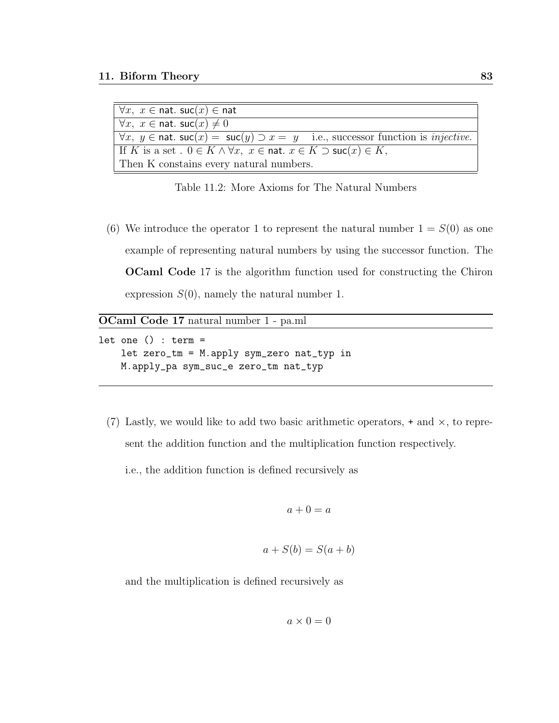| $\forall x, x \in \text{nat.}$ suc $(x) \in \text{nat}$                                                                |  |
|------------------------------------------------------------------------------------------------------------------------|--|
| $\forall x, x \in \text{nat.}$ suc $(x) \neq 0$                                                                        |  |
| $\forall x, y \in \text{nat.}$ suc $(x) = \text{succ}(y) \supset x = y$ i.e., successor function is <i>injective</i> . |  |
| If K is a set $0 \in K \wedge \forall x, x \in \text{nat. } x \in K \supset \text{succ}(x) \in K$ ,                    |  |
| Then K constains every natural numbers.                                                                                |  |

Table 11.2: More Axioms for The Natural Numbers

(6) We introduce the operator 1 to represent the natural number  $1 = S(0)$  as one example of representing natural numbers by using the successor function. The OCaml Code 17 is the algorithm function used for constructing the Chiron expression  $S(0)$ , namely the natural number 1.

OCaml Code 17 natural number 1 - pa.ml

let one () : term  $=$ let zero\_tm = M.apply sym\_zero nat\_typ in M.apply\_pa sym\_suc\_e zero\_tm nat\_typ

(7) Lastly, we would like to add two basic arithmetic operators,  $+$  and  $\times$ , to represent the addition function and the multiplication function respectively.

i.e., the addition function is defined recursively as

$$
a + 0 = a
$$

$$
a + S(b) = S(a + b)
$$

and the multiplication is defined recursively as

$$
a \times 0 = 0
$$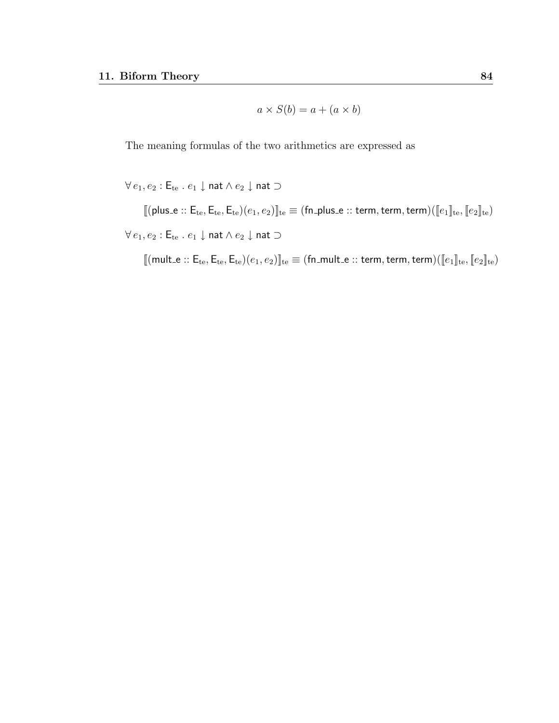$$
a \times S(b) = a + (a \times b)
$$

The meaning formulas of the two arithmetics are expressed as

 $\forall e_1, e_2 : \mathsf{E}_{\mathsf{te}} \ . \ e_1 \downarrow \mathsf{nat} \land e_2 \downarrow \mathsf{nat} \supset$ 

 $[\![ (\mathsf{plus}\_\mathsf{e}\xspace: \mathsf{E}_\mathsf{te}, \mathsf{E}_\mathsf{te}, \mathsf{E}_\mathsf{te})(e_1, e_2)]\!]_\mathsf{te} \equiv (\mathsf{fn}\_\mathsf{plus}\_\mathsf{e}\xspace: \mathsf{term}, \mathsf{term}, \mathsf{term})([\![ e_1]\!]_\mathsf{te}, [\![ e_2]\!]_\mathsf{te})$  $\forall e_1, e_2 : \mathsf{E}_{\mathsf{te}}$  .  $e_1 \downarrow$  nat  $\wedge e_2 \downarrow$  nat  $\supset$ 

 $[\![ (\mathsf{mult}\_\mathsf{e} \text{:: } \mathsf{E}_\mathsf{te}, \mathsf{E}_\mathsf{te}, \mathsf{E}_\mathsf{te}) (e_1, e_2)]\!]_\mathsf{te} \equiv (\mathsf{fn}\_\mathsf{mult}\_\mathsf{e} \text{:: } \mathsf{term}, \mathsf{term}, \mathsf{term}) (\llbracket e_1 \rrbracket_\mathsf{te}, \llbracket e_2 \rrbracket_\mathsf{te})$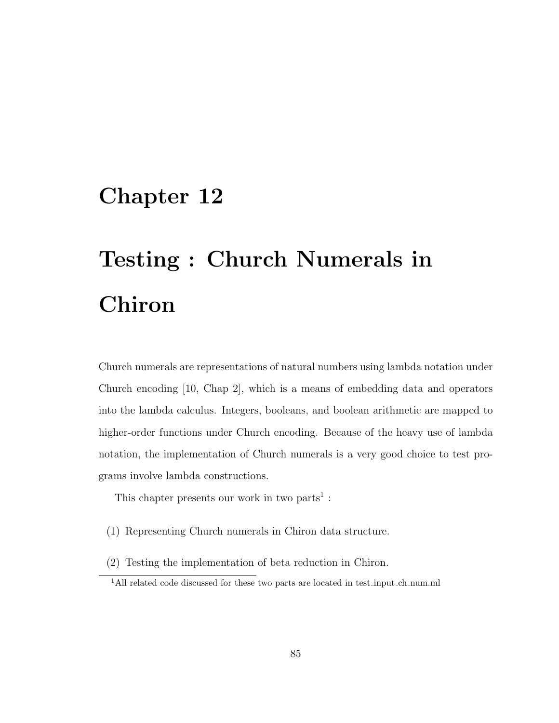# Testing : Church Numerals in Chiron

Church numerals are representations of natural numbers using lambda notation under Church encoding [10, Chap 2], which is a means of embedding data and operators into the lambda calculus. Integers, booleans, and boolean arithmetic are mapped to higher-order functions under Church encoding. Because of the heavy use of lambda notation, the implementation of Church numerals is a very good choice to test programs involve lambda constructions.

This chapter presents our work in two parts<sup>1</sup>:

- (1) Representing Church numerals in Chiron data structure.
- (2) Testing the implementation of beta reduction in Chiron.

<sup>&</sup>lt;sup>1</sup>All related code discussed for these two parts are located in test\_input\_ch\_num.ml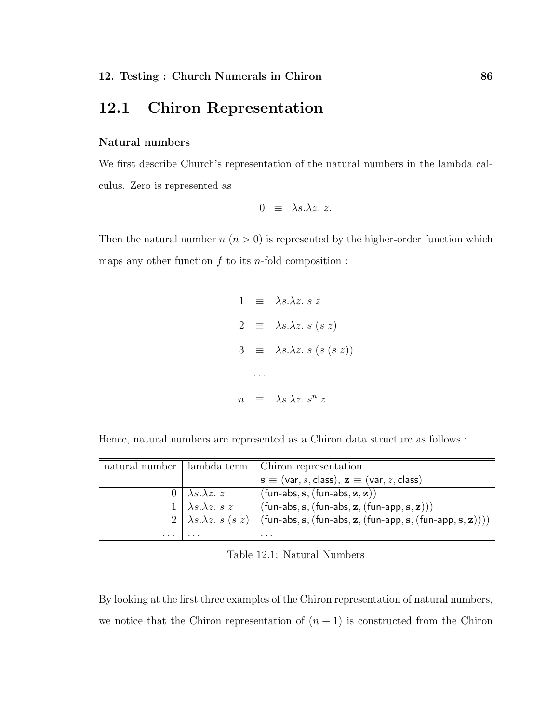# 12.1 Chiron Representation

#### Natural numbers

We first describe Church's representation of the natural numbers in the lambda calculus. Zero is represented as

$$
0 \equiv \lambda s.\lambda z. z.
$$

Then the natural number  $n (n > 0)$  is represented by the higher-order function which maps any other function  $f$  to its n-fold composition :

$$
1 \equiv \lambda s.\lambda z. \ s \ z
$$
  

$$
2 \equiv \lambda s.\lambda z. \ s \ (s \ z)
$$
  

$$
3 \equiv \lambda s.\lambda z. \ s \ (s \ (s \ z))
$$
  

$$
\cdots
$$
  

$$
n \equiv \lambda s.\lambda z. \ s^n \ z
$$

Hence, natural numbers are represented as a Chiron data structure as follows :

|          |                                   | natural number   lambda term   Chiron representation                                                       |
|----------|-----------------------------------|------------------------------------------------------------------------------------------------------------|
|          |                                   | $\mathbf{s} \equiv (\mathsf{var}, s, \mathsf{class}), \mathbf{z} \equiv (\mathsf{var}, z, \mathsf{class})$ |
| ()       | $\lambda s.\lambda z. z$          | $\vert$ (fun-abs, s, (fun-abs, z, z))                                                                      |
|          | $1 \mid \lambda s.\lambda z. s z$ | $(fun-abs, s, (fun-abs, z, (fun-app, s, z)))$                                                              |
|          |                                   | $2   \lambda s.\lambda z. s (s z)   (fun-abs, s, (fun-abs, z, (fun-app, s, (fun-app, s, z))))$             |
| $\cdots$ | $\cdots$                          | .                                                                                                          |

Table 12.1: Natural Numbers

By looking at the first three examples of the Chiron representation of natural numbers, we notice that the Chiron representation of  $(n + 1)$  is constructed from the Chiron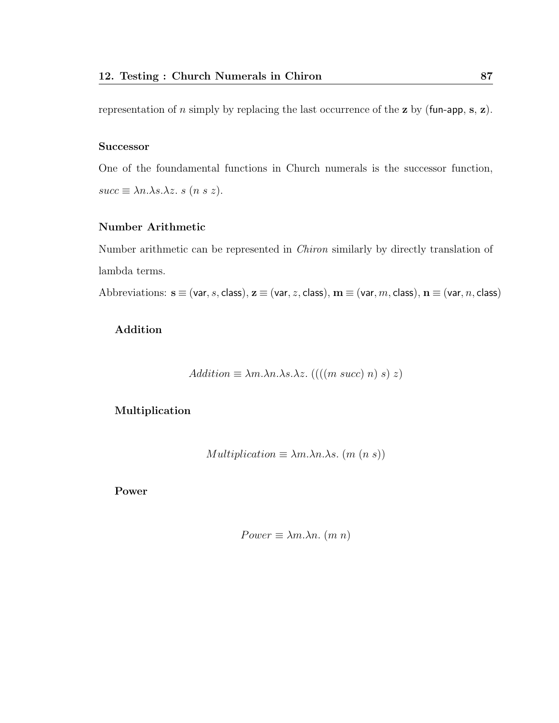representation of *n* simply by replacing the last occurrence of the **z** by (fun-app, s, **z**).

#### **Successor**

One of the foundamental functions in Church numerals is the successor function,  $succ \equiv \lambda n.\lambda s.\lambda z. s (n s z).$ 

### Number Arithmetic

Number arithmetic can be represented in Chiron similarly by directly translation of lambda terms.

Abbreviations:  $s \equiv (var, s, class), z \equiv (var, z, class), m \equiv (var, m, class), n \equiv (var, n, class)$ 

### Addition

Addition 
$$
\equiv \lambda m.\lambda n.\lambda s.\lambda z.
$$
 (((m succ) n) s) z)

#### Multiplication

$$
Multiplication \equiv \lambda m.\lambda n.\lambda s. (m (n s))
$$

Power

$$
Power \equiv \lambda m. \lambda n. (m n)
$$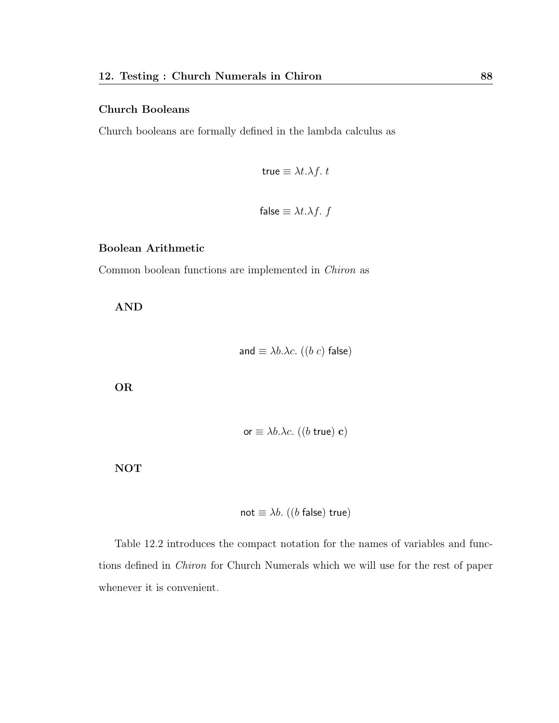#### Church Booleans

Church booleans are formally defined in the lambda calculus as

$$
true \equiv \lambda t. \lambda f. t
$$

false 
$$
\equiv \lambda t \cdot \lambda f
$$
. f

#### Boolean Arithmetic

Common boolean functions are implemented in Chiron as

AND

and 
$$
\equiv \lambda b \cdot \lambda c
$$
. ((b c) false)

OR

or  $\equiv \lambda b.\lambda c.$  ((*b* true) c)

NOT

$$
\mathsf{not} \equiv \lambda b.~((b \mathsf{ false}) \mathsf{ true})
$$

Table 12.2 introduces the compact notation for the names of variables and functions defined in Chiron for Church Numerals which we will use for the rest of paper whenever it is convenient.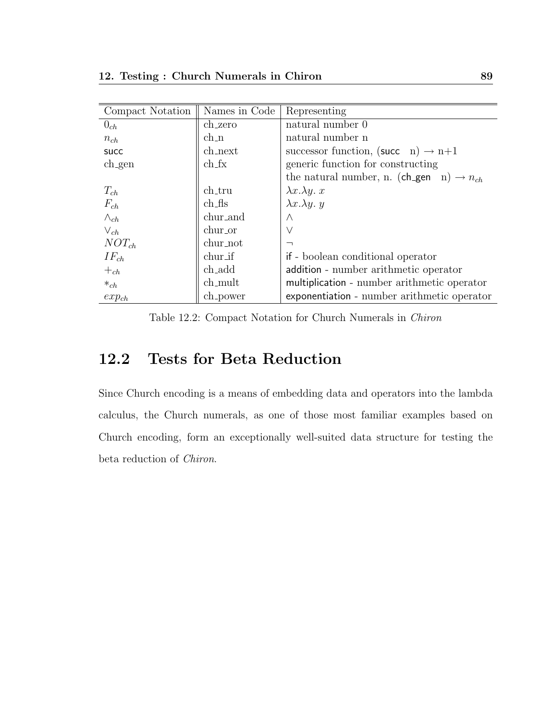| Compact Notation | Names in Code                   | Representing                                                |
|------------------|---------------------------------|-------------------------------------------------------------|
| $0_{ch}$         | ch_zero                         | natural number 0                                            |
| $n_{ch}$         | $ch_n$                          | natural number n                                            |
| <b>SUCC</b>      | ch_next                         | successor function, (succ n) $\rightarrow$ n+1              |
| $ch$ gen         | $ch$ <sub><math>f</math>x</sub> | generic function for constructing                           |
|                  |                                 | the natural number, n. (ch_gen $n$ ) $\rightarrow$ $n_{ch}$ |
| $T_{ch}$         | ch_tru                          | $\lambda x.\lambda y. x$                                    |
| $F_{ch}$         | $ch$ <sub>f</sub> $f$ s         | $\lambda x.\lambda y. y$                                    |
| $\wedge_{ch}$    | chur_and                        | $\wedge$                                                    |
| $V_{ch}$         | chur_or                         | $\vee$                                                      |
| $NOT_{ch}$       | chur_not                        | $\overline{\phantom{0}}$                                    |
| $IF_{ch}$        | chur_if                         | if - boolean conditional operator                           |
| $+_{ch}$         | ch_add                          | addition - number arithmetic operator                       |
| $*_{ch}$         | ch_mult                         | multiplication - number arithmetic operator                 |
| $exp_{ch}$       | ch_power                        | exponentiation - number arithmetic operator                 |

Table 12.2: Compact Notation for Church Numerals in Chiron

# 12.2 Tests for Beta Reduction

Since Church encoding is a means of embedding data and operators into the lambda calculus, the Church numerals, as one of those most familiar examples based on Church encoding, form an exceptionally well-suited data structure for testing the beta reduction of Chiron.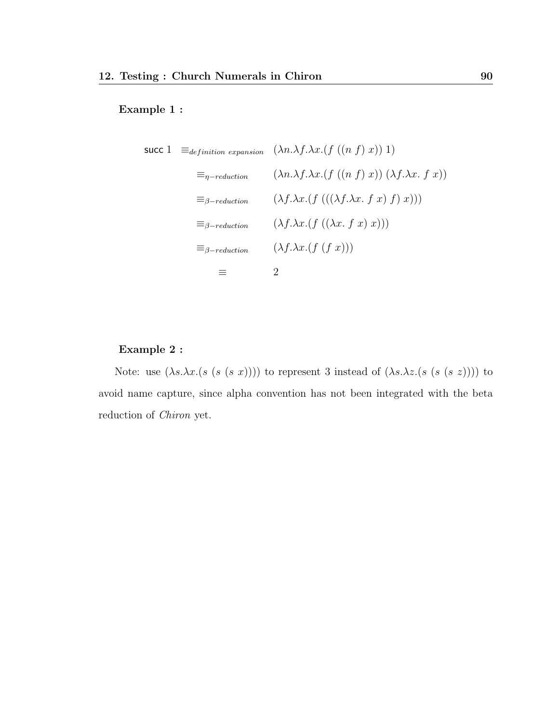#### Example 1 :

$$
\begin{aligned}\n\text{succ 1} & \equiv_{definition \; expansion} \quad (\lambda n. \lambda f. \lambda x. (f ((n f) x)) 1) \\
& \equiv_{\eta-reduction} \quad (\lambda n. \lambda f. \lambda x. (f ((n f) x)) (\lambda f. \lambda x. f x)) \\
& \equiv_{\beta-reduction} \quad (\lambda f. \lambda x. (f ((\lambda f. \lambda x. f x) f) x))) \\
& \equiv_{\beta-reduction} \quad (\lambda f. \lambda x. (f ((\lambda x. f x) x))) \\
& \equiv_{\beta-reduction} \quad (\lambda f. \lambda x. (f (f x))) \\
& \equiv_{\beta-reduction} \quad 2\n\end{aligned}
$$

## Example 2 :

Note: use  $(\lambda s.\lambda x.(s (s (s x))))$  to represent 3 instead of  $(\lambda s.\lambda z.(s (s (s z))))$  to avoid name capture, since alpha convention has not been integrated with the beta reduction of Chiron yet.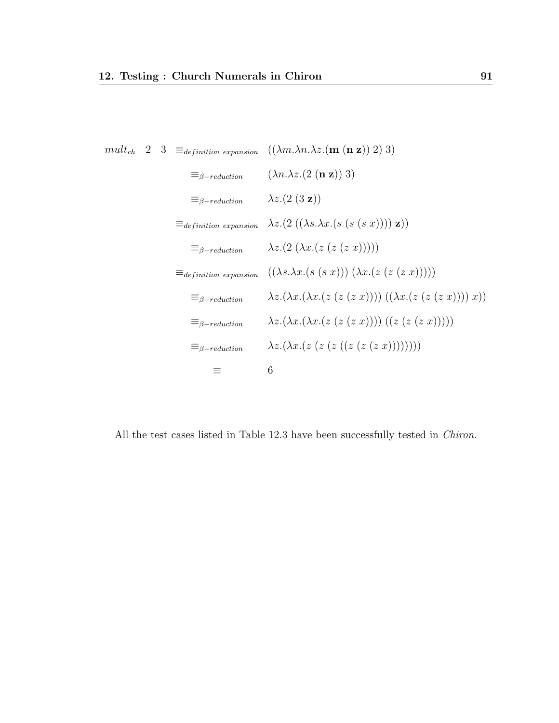$$
\begin{aligned}\n\text{mult}_{ch} \quad & 2 \quad 3 \quad \equiv_{definition \; expansion} \quad ((\lambda m.\lambda n.\lambda z.(\mathbf{m} \cdot (\mathbf{n} \cdot \mathbf{z})) \cdot 2) \cdot 3) \\
& \equiv_{\beta-reduction} \quad (\lambda n.\lambda z.(\mathbf{2} \cdot (\mathbf{n} \cdot \mathbf{z})) \cdot 3) \\
& \equiv_{\beta-reduction} \quad \lambda z.(\mathbf{2} \cdot (\mathbf{3} \cdot \mathbf{z})) \\
& \equiv_{definition \; expansion} \quad \lambda z.(\mathbf{2} \cdot ((\lambda s.\lambda x.(\mathbf{s} \cdot (\mathbf{s} \cdot \mathbf{x})))) \cdot \mathbf{z})) \\
& \equiv_{\beta-reduction} \quad \lambda z.(\mathbf{2} \cdot (\lambda x.(\mathbf{z} \cdot (\mathbf{z} \cdot (\mathbf{z} \cdot \mathbf{x})))))) \\
& \equiv_{definition \; expansion} \quad ((\lambda s.\lambda x.(\mathbf{s} \cdot (\mathbf{s} \cdot \mathbf{x})) \cdot (\lambda x.(\mathbf{z} \cdot (\mathbf{z} \cdot (\mathbf{z} \cdot \mathbf{x})))))) \\
& \equiv_{\beta-reduction} \quad \lambda z.(\lambda x.(\lambda x.(\mathbf{z} \cdot (\mathbf{z} \cdot (\mathbf{z} \cdot \mathbf{x})))) \cdot ((\mathbf{z} \cdot (\mathbf{z} \cdot (\mathbf{z} \cdot \mathbf{x})))))) \\
& \equiv_{\beta-reduction} \quad \lambda z.(\lambda x.(\lambda x.(\mathbf{z} \cdot (\mathbf{z} \cdot (\mathbf{z} \cdot (\mathbf{z} \cdot (\mathbf{z} \cdot \mathbf{x}))))))) \\
& \equiv_{\beta-reduction} \quad \lambda z.(\lambda x.(\mathbf{z} \cdot (\mathbf{z} \cdot (\mathbf{z} \cdot (\mathbf{z} \cdot (\mathbf{z} \cdot \mathbf{x}))))))) \\
& \equiv_{\beta-reduction} \quad \lambda z.(\lambda x.(\mathbf{z} \cdot (\mathbf{z} \cdot (\mathbf{z} \cdot (\mathbf{z} \cdot (\mathbf{z} \cdot \mathbf{x}))))))) \\
& \equiv_{\beta-reduction} \quad \lambda z.(\lambda x.(\mathbf{z} \cdot (\mathbf{z} \cdot (\mathbf{z} \cdot (\mathbf{z} \cdot \mathbf{x})))))) \\
& \equiv_{\beta-reduction} \quad \lambda z.(\lambda x.(\mathbf{z} \cdot (\mathbf{z} \cdot (\mathbf{z
$$

All the test cases listed in Table 12.3 have been successfully tested in *Chiron*.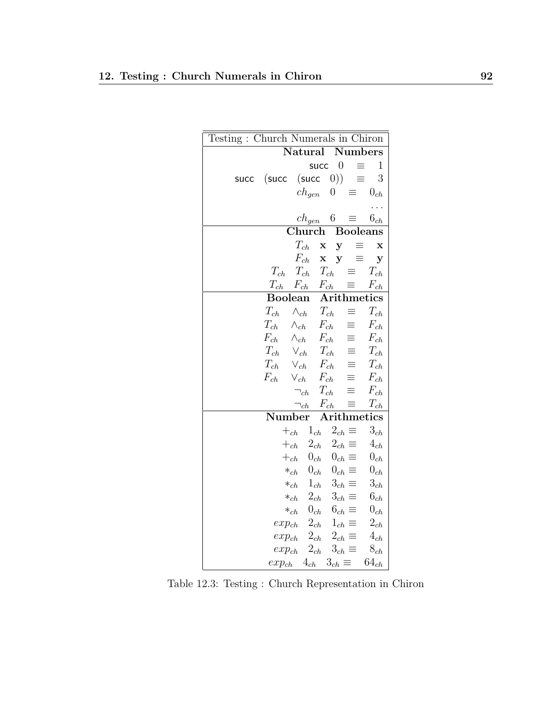| Testing: Church Numerals in Chiron |                   |                            |                 |                       |  |  |  |
|------------------------------------|-------------------|----------------------------|-----------------|-----------------------|--|--|--|
| Natural Numbers                    |                   |                            |                 |                       |  |  |  |
|                                    |                   | succ $0$                   | $\equiv$        | $\mathbf{1}$          |  |  |  |
| (succ<br>succ                      | (succ             | 0))                        | ≡               | 3                     |  |  |  |
|                                    | $ch_{gen}$        | $\boldsymbol{0}$           | $\equiv$        | $0_{ch}$              |  |  |  |
|                                    |                   |                            |                 |                       |  |  |  |
|                                    | $ch_{gen}$        | $6\quad$                   | $\equiv$        | $6_{ch}$              |  |  |  |
|                                    | Church            |                            |                 | <b>Booleans</b>       |  |  |  |
|                                    | $T_{ch}$          | $\mathbf X$<br>y           | $\equiv$        | $\mathbf x$           |  |  |  |
|                                    | $F_{ch}$          | $\mathbf x$<br>y           | ≡               | y                     |  |  |  |
| $T_{ch}$                           | $T_{ch}$ $T_{ch}$ |                            | $\equiv$        | $T_{ch}$              |  |  |  |
| $T_{ch}$                           | $F_{ch}$          | $F_{ch}$                   |                 | $F_{ch}$              |  |  |  |
| <b>Boolean</b>                     |                   |                            |                 | Arithmetics           |  |  |  |
| $\mathcal{T}_{ch}$                 | $\wedge_{ch}$     | $T_{ch}$                   | $\equiv$        | $\mathcal{T}_{ch}$    |  |  |  |
| $T_{ch}$                           | $\wedge_{ch}$     | $F_{ch}$                   | $\equiv$        | $F_{ch}$              |  |  |  |
| $F_{ch}$                           | $\wedge_{ch}$     | $F_{ch}$                   | $\equiv$        | $F_{ch}$              |  |  |  |
| $T_{ch}$                           | $\vee_{ch}$       | $\mathcal{T}_{ch}$         | $\equiv$        | $\mathcal{T}_{ch}$    |  |  |  |
| $T_{ch}$                           | $\vee_{ch}$       | $F_{ch}$                   | $\equiv$        | $T_{ch}$              |  |  |  |
| $F_{ch}$                           | $\vee_{ch}$       | $F_{ch}$                   | $\equiv$        | $F_{ch}$              |  |  |  |
|                                    | $\neg_{ch}$       | $T_{ch}$                   | ≡               | $F_{ch}$              |  |  |  |
|                                    | $\neg_{ch}$       | $F_{\underline{ch}}$       | ≡               | $\mathcal{T}_{ch}$    |  |  |  |
| Number                             |                   |                            |                 | Arithmetics           |  |  |  |
| $+$ <sub>ch</sub>                  | $1_{ch}$          |                            | $2_{ch} \equiv$ | $3_{ch}$              |  |  |  |
| $+$ <sub>ch</sub>                  |                   | $2_{ch}$                   | $2_{ch} \equiv$ | $4_{\ensuremath{ch}}$ |  |  |  |
| $+_{ch}$                           |                   | $0_{ch}$                   | $0_{ch} \equiv$ | $0_{\ensuremath{ch}}$ |  |  |  |
| $*_{ch}$                           |                   | $0_{ch}$ $0_{ch}$ $\equiv$ |                 | $0_{\ensuremath{ch}}$ |  |  |  |
| $\ast_{ch}$                        |                   | $1_{ch}$ $3_{ch}$ $\equiv$ |                 | $3_{ch}$              |  |  |  |
| $*_{ch}$                           |                   | $2_{ch}$                   | $3_{ch} \equiv$ | $6_{\ensuremath{ch}}$ |  |  |  |
| $*_{ch}$                           |                   | $0_{ch}$                   | $6_{ch} \equiv$ | $0_{\ensuremath{ch}}$ |  |  |  |
| $exp_{ch}$                         |                   | $2_{ch}$ $1_{ch}$ $\equiv$ |                 | $2_{ch}$              |  |  |  |
| $exp_{ch}$                         | $2_{ch}$          |                            | $2_{ch} \equiv$ | $4_{ch}$              |  |  |  |
| $exp_{ch}$                         |                   | $2_{ch}$                   | $3_{ch} \equiv$ | $8_{\ensuremath{ch}}$ |  |  |  |
| $exp_{ch}$                         | $4_{ch}$          | $3_{ch} \equiv$            |                 | $64_{ch}$             |  |  |  |

Table 12.3: Testing : Church Representation in Chiron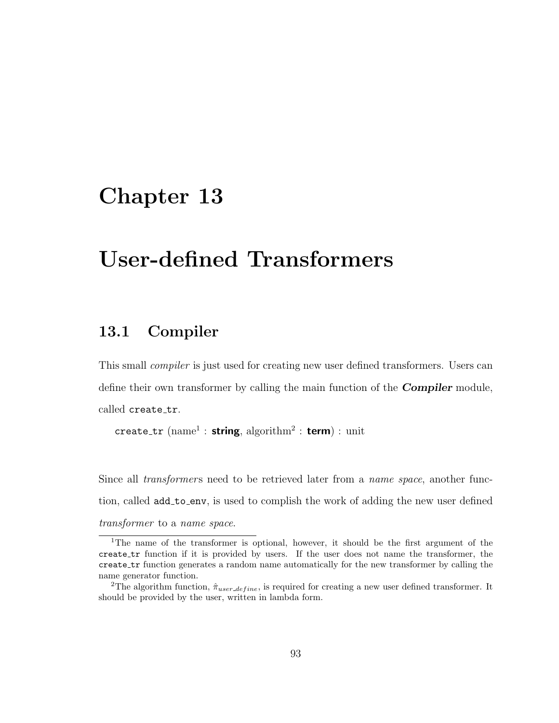# User-defined Transformers

## 13.1 Compiler

This small compiler is just used for creating new user defined transformers. Users can define their own transformer by calling the main function of the **Compiler** module, called create\_tr.

```
create_tr (name<sup>1</sup> : string, algorithm<sup>2</sup> : term) : unit
```
Since all *transformers* need to be retrieved later from a *name space*, another function, called **add\_to\_env**, is used to complish the work of adding the new user defined transformer to a name space.

<sup>&</sup>lt;sup>1</sup>The name of the transformer is optional, however, it should be the first argument of the create tr function if it is provided by users. If the user does not name the transformer, the create tr function generates a random name automatically for the new transformer by calling the name generator function.

<sup>&</sup>lt;sup>2</sup>The algorithm function,  $\hat{\pi}_{user\_define}$ , is required for creating a new user defined transformer. It should be provided by the user, written in lambda form.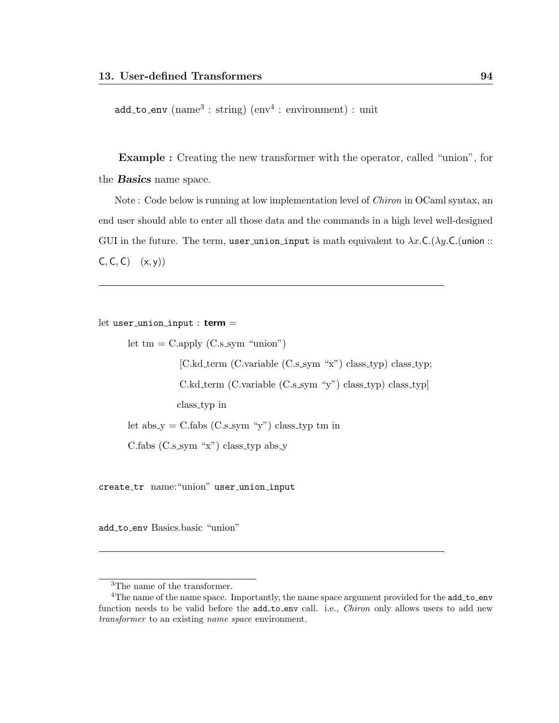add\_to\_env (name<sup>3</sup>: string) (env<sup>4</sup>: environment) : unit

Example : Creating the new transformer with the operator, called "union", for the **Basics** name space.

Note : Code below is running at low implementation level of Chiron in OCaml syntax, an end user should able to enter all those data and the commands in a high level well-designed GUI in the future. The term, user union input is math equivalent to  $\lambda x.C.(\lambda y.C.(\text{union}::$  $C, C, C$   $(x, y)$ 

let user\_union\_input :  $term =$ 

```
let tm = C.\text{apply} (C.s_sym "union")
            [C.kd_term (C.variable (C.s_sym "x") class_typ) class_typ;
            C.kd term (C.variable (C.s sym "y") class typ) class typ]
           class typ in
let abs_y = C.fabs (C.s_5ym "y") class_typ tm in
C.fabs (C.s.sym "x") class_typ abs_y
```
create tr name:"union" user union input

add to env Basics.basic "union"

<sup>3</sup>The name of the transformer.

<sup>&</sup>lt;sup>4</sup>The name of the name space. Importantly, the name space argument provided for the add\_to\_env function needs to be valid before the add\_to\_env call. i.e., *Chiron* only allows users to add new transformer to an existing name space environment.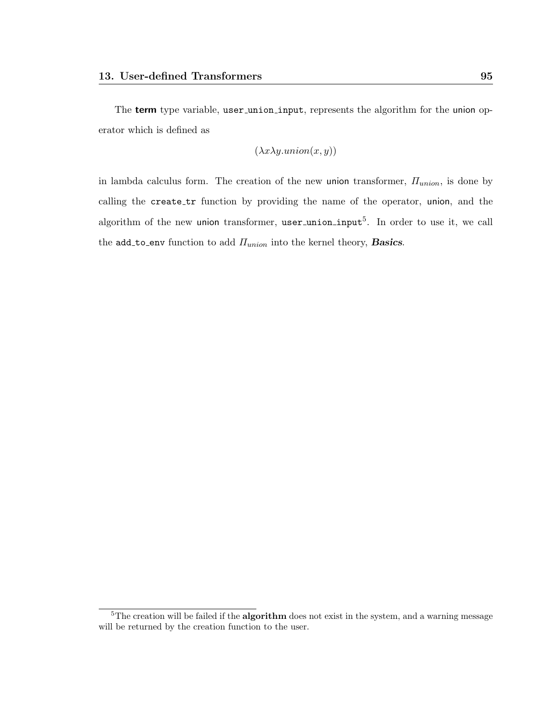The term type variable, user\_union\_input, represents the algorithm for the union operator which is defined as

$$
(\lambda x \lambda y. union(x, y))
$$

in lambda calculus form. The creation of the new union transformer,  $\Pi_{union}$ , is done by calling the create tr function by providing the name of the operator, union, and the algorithm of the new union transformer,  $user\_union\_input^5$ . In order to use it, we call the add to env function to add  $\Pi_{union}$  into the kernel theory, Basics.

<sup>&</sup>lt;sup>5</sup>The creation will be failed if the **algorithm** does not exist in the system, and a warning message will be returned by the creation function to the user.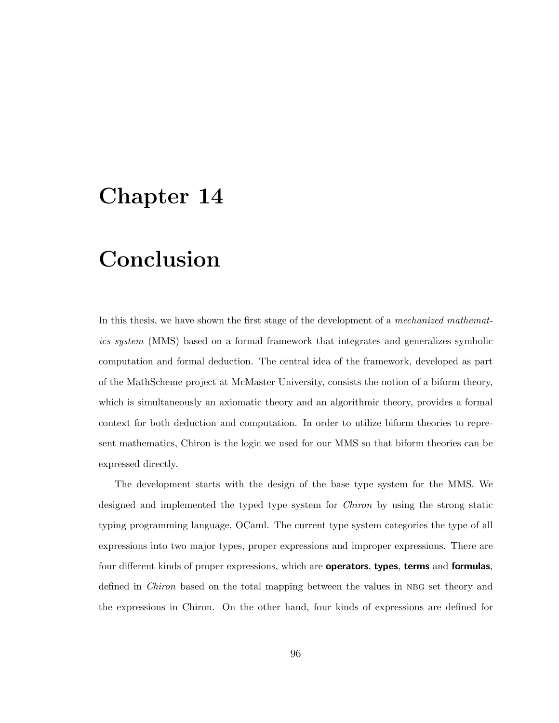# Conclusion

In this thesis, we have shown the first stage of the development of a mechanized mathematics system (MMS) based on a formal framework that integrates and generalizes symbolic computation and formal deduction. The central idea of the framework, developed as part of the MathScheme project at McMaster University, consists the notion of a biform theory, which is simultaneously an axiomatic theory and an algorithmic theory, provides a formal context for both deduction and computation. In order to utilize biform theories to represent mathematics, Chiron is the logic we used for our MMS so that biform theories can be expressed directly.

The development starts with the design of the base type system for the MMS. We designed and implemented the typed type system for Chiron by using the strong static typing programming language, OCaml. The current type system categories the type of all expressions into two major types, proper expressions and improper expressions. There are four different kinds of proper expressions, which are **operators**, types, terms and formulas, defined in *Chiron* based on the total mapping between the values in NBG set theory and the expressions in Chiron. On the other hand, four kinds of expressions are defined for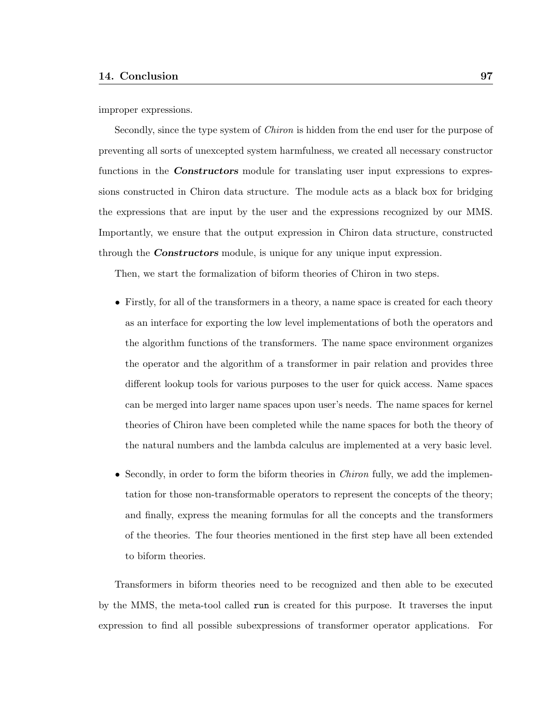improper expressions.

Secondly, since the type system of Chiron is hidden from the end user for the purpose of preventing all sorts of unexcepted system harmfulness, we created all necessary constructor functions in the **Constructors** module for translating user input expressions to expressions constructed in Chiron data structure. The module acts as a black box for bridging the expressions that are input by the user and the expressions recognized by our MMS. Importantly, we ensure that the output expression in Chiron data structure, constructed through the **Constructors** module, is unique for any unique input expression.

Then, we start the formalization of biform theories of Chiron in two steps.

- Firstly, for all of the transformers in a theory, a name space is created for each theory as an interface for exporting the low level implementations of both the operators and the algorithm functions of the transformers. The name space environment organizes the operator and the algorithm of a transformer in pair relation and provides three different lookup tools for various purposes to the user for quick access. Name spaces can be merged into larger name spaces upon user's needs. The name spaces for kernel theories of Chiron have been completed while the name spaces for both the theory of the natural numbers and the lambda calculus are implemented at a very basic level.
- Secondly, in order to form the biform theories in *Chiron* fully, we add the implementation for those non-transformable operators to represent the concepts of the theory; and finally, express the meaning formulas for all the concepts and the transformers of the theories. The four theories mentioned in the first step have all been extended to biform theories.

Transformers in biform theories need to be recognized and then able to be executed by the MMS, the meta-tool called run is created for this purpose. It traverses the input expression to find all possible subexpressions of transformer operator applications. For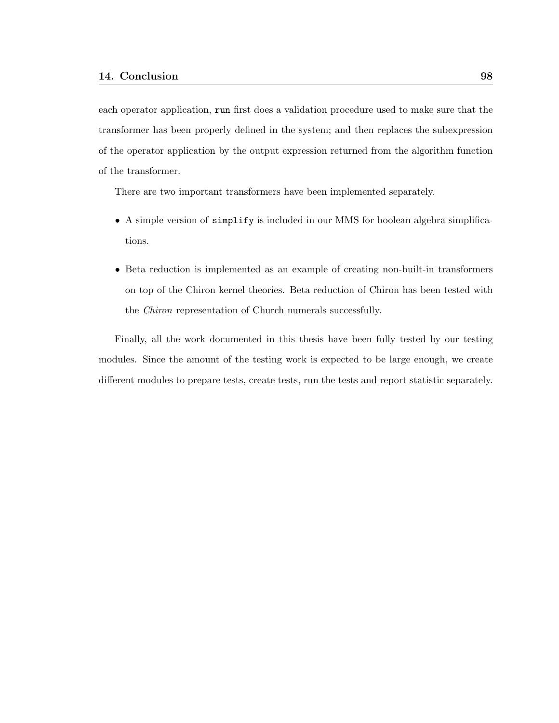each operator application, run first does a validation procedure used to make sure that the transformer has been properly defined in the system; and then replaces the subexpression of the operator application by the output expression returned from the algorithm function of the transformer.

There are two important transformers have been implemented separately.

- A simple version of simplify is included in our MMS for boolean algebra simplifications.
- Beta reduction is implemented as an example of creating non-built-in transformers on top of the Chiron kernel theories. Beta reduction of Chiron has been tested with the Chiron representation of Church numerals successfully.

Finally, all the work documented in this thesis have been fully tested by our testing modules. Since the amount of the testing work is expected to be large enough, we create different modules to prepare tests, create tests, run the tests and report statistic separately.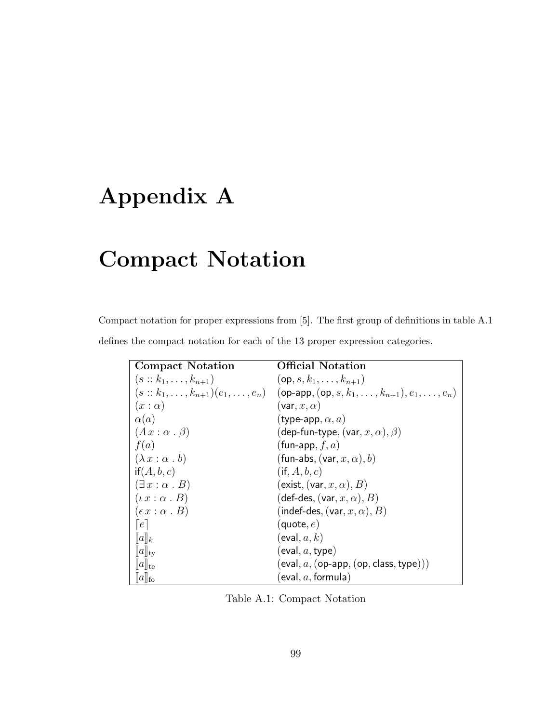#### Appendix A

#### Compact Notation

Compact notation for proper expressions from [5]. The first group of definitions in table A.1 defines the compact notation for each of the 13 proper expression categories.

| <b>Compact Notation</b>         | <b>Official Notation</b>                                                                                   |
|---------------------------------|------------------------------------------------------------------------------------------------------------|
| $(s: k_1, \ldots, k_{n+1})$     | $(op, s, k_1, \ldots, k_{n+1})$                                                                            |
|                                 | $(s:: k_1, \ldots, k_{n+1})(e_1, \ldots, e_n)$ (op-app, (op, s, $k_1, \ldots, k_{n+1}, e_1, \ldots, e_n$ ) |
| $(x:\alpha)$                    | $(\mathsf{var}, x, \alpha)$                                                                                |
| $\alpha(a)$                     | (type-app, $\alpha, a$ )                                                                                   |
| $(Ax : \alpha \cdot \beta)$     | (dep-fun-type, (var, $x, \alpha$ ), $\beta$ )                                                              |
| f(a)                            | (fun-app, $f, a$ )                                                                                         |
| $(\lambda x : \alpha b)$        | (fun-abs, $(\mathsf{var}, x, \alpha)$ , b)                                                                 |
| if(A, b, c)                     | $(i\mathsf{f},A,b,c)$                                                                                      |
| $(\exists x : \alpha \cdot B)$  | $(\textsf{exist}, (\textsf{var}, x, \alpha), B)$                                                           |
| $(\iota x : \alpha \cdot B)$    | (def-des, (var, $x,\alpha$ ), $B$ )                                                                        |
| $(\epsilon x : \alpha \cdot B)$ | (indef-des, $(\mathsf{var}, x, \alpha)$ , $B)$                                                             |
| e                               | (quote, $e)$                                                                                               |
| $\ a\ _k$                       | (eval, $a,k)$                                                                                              |
| $\ a\ _{\rm ty}$                | (eval, $a,$ type)                                                                                          |
| $\ a\ _{\text{te}}$             | $(\textsf{eval}, a, (\textsf{op-app}, \textsf{(op, class, type})))$                                        |
| $[\![a]\!]_{\mathrm{fo}}$       | [eval, $a,$ formula)                                                                                       |

Table A.1: Compact Notation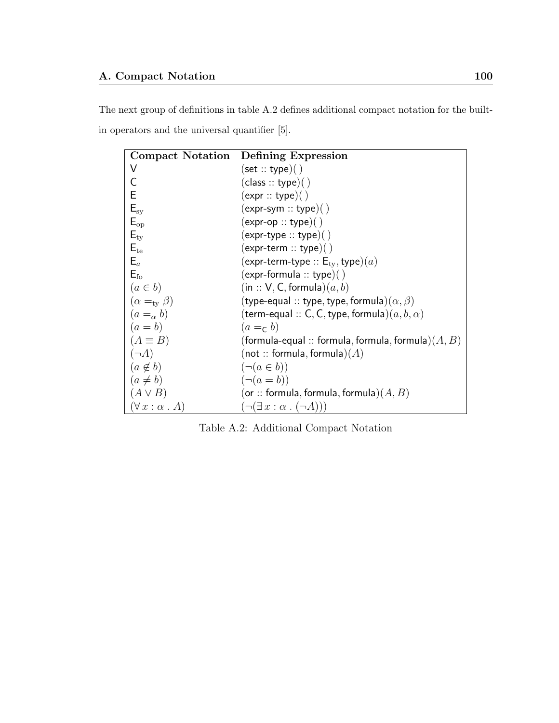The next group of definitions in table A.2 defines additional compact notation for the builtin operators and the universal quantifier [5].

| <b>Compact Notation</b>        | Defining Expression                                                  |
|--------------------------------|----------------------------------------------------------------------|
| V                              | (set::type)( )                                                       |
| C                              | (class::type)( )                                                     |
| Е                              | (expr::type)( )                                                      |
| $E_{sy}$                       | $(expr-sym::type)(')$                                                |
| $E_{op}$                       | $(expr-op::type)($ )                                                 |
| $E_{\rm ty}$                   | $(expr-type::type)( )$                                               |
| $E_{te}$                       | $(expr-term :: type)(')$                                             |
| $E_a$                          | $(\textsf{expr-term-type}::\mathsf{E}_{\text{tv}},\textsf{type})(a)$ |
| $E_{\rm fo}$                   | $(expr-formula :: type)()$                                           |
| $(a \in b)$                    | (in :: V, C, formula) $(a, b)$                                       |
| $(\alpha =_{\rm tv} \beta)$    | (type-equal :: type, type, formula) $(\alpha,\beta)$                 |
| $(a=_\alpha b)$                | (term-equal $::$ C, C, type, formula) $(a,b,\alpha)$                 |
| $(a = b)$                      | $(a =_c b)$                                                          |
| $(A \equiv B)$                 | (formula-equal :: formula, formula, formula) $(A,B)$                 |
| $(\neg A)$                     | (not $::$ formula, formula) $(A)$                                    |
| $(a \notin b)$                 | $(\neg (a \in b))$                                                   |
| $(a \neq b)$                   | $(\neg (a = b))$                                                     |
| $(A \vee B)$                   | (or :: formula, formula, formula) $(A, B)$                           |
| $(\forall x : \alpha \cdot A)$ | $(\neg(\exists x : \alpha \cdot (\neg A)))$                          |

Table A.2: Additional Compact Notation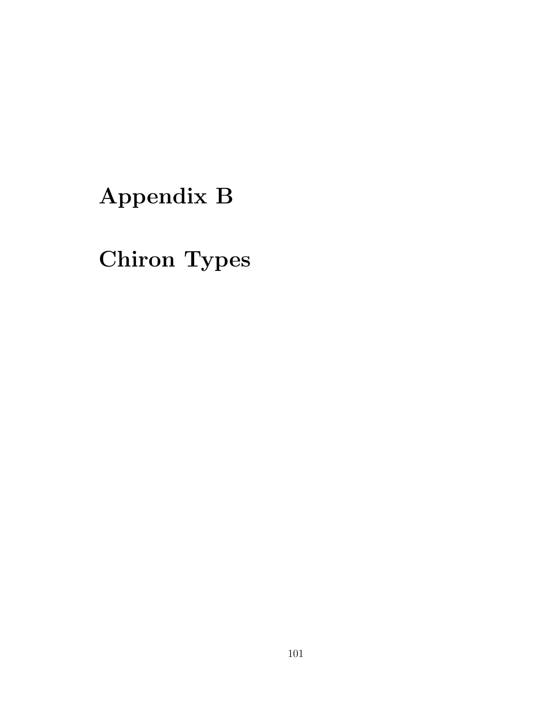# Appendix B

# Chiron Types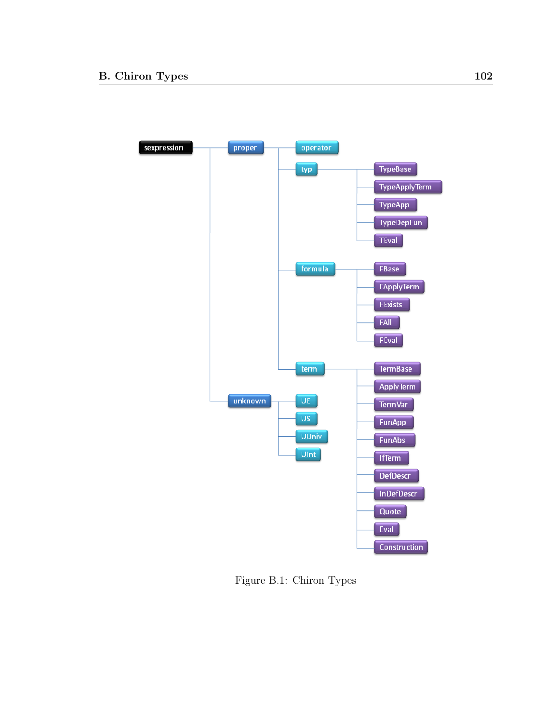

Figure B.1: Chiron Types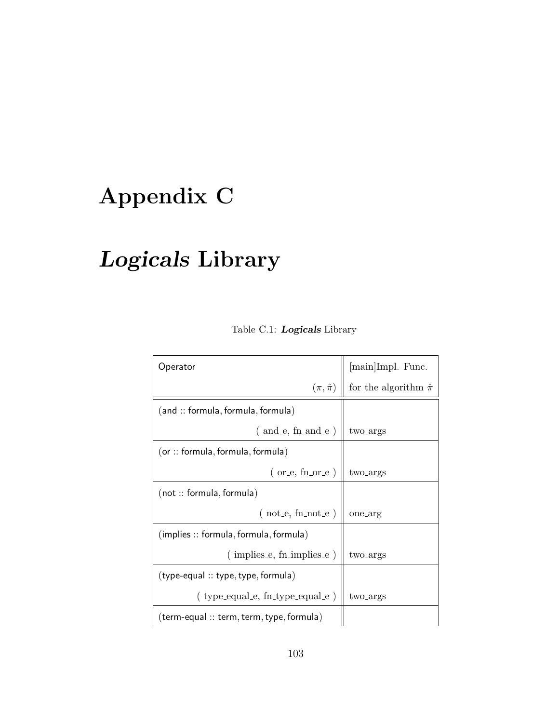#### Appendix C

# Logicals Library

| Operator                                     |                                                    |
|----------------------------------------------|----------------------------------------------------|
| $(\pi, \hat{\pi})$                           | [main]Impl. Func. for the algorithm<br>$\hat{\pi}$ |
| (and :: formula, formula, formula)           |                                                    |
| $($ and $e$ , fn and $e$ )                   | two <sub>-args</sub>                               |
| (or :: formula, formula, formula)            |                                                    |
| $($ or_e, fn_or_e $)$                        | two <sub>-args</sub>                               |
| (not :: formula, formula)                    |                                                    |
| $(not_e, fin\_not_e)$                        | one_arg                                            |
| $($ implies :: formula, formula, formula $)$ |                                                    |
| $($ implies $e$ , fn implies $e$ )           | two <sub>-args</sub>                               |
| (type-equal :: type, type, formula)          |                                                    |
| (type_equal_e, fn_type_equal_e)              | two <sub>-args</sub>                               |
| (term-equal :: term, term, type, formula)    |                                                    |

#### Table C.1: Logicals Library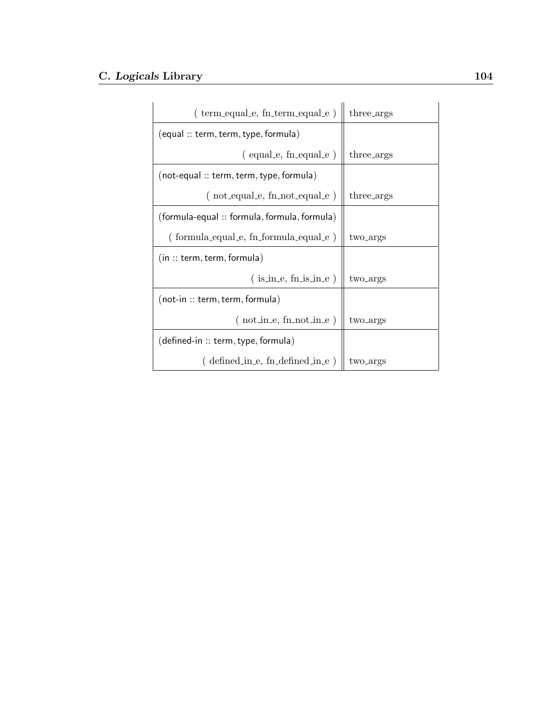| (term_equal_e, fn_term_equal_e)              | three_args           |
|----------------------------------------------|----------------------|
| (equal :: term, term, type, formula)         |                      |
| $(equal.e, in-equal.e)$                      | three_args           |
| $(not-equal :: term, term, type, formula)$   |                      |
| $(not.equals, fn\_not.equals])$              | three_args           |
| (formula-equal :: formula, formula, formula) |                      |
| $( formula_equal_e, fn_formula_equal_e)$     | two <sub>-args</sub> |
| (in :: term, term, formula)                  |                      |
| $(i \sin e, \text{fn} \sin e)$               | two <sub>-args</sub> |
| $($ not-in :: term, term, formula $)$        |                      |
| $($ not_in_e, fn_not_in_e $)$                | two_args             |
| (defined-in :: term, type, formula)          |                      |
| $defined_in.e, find defined_in.e)$           | two_args             |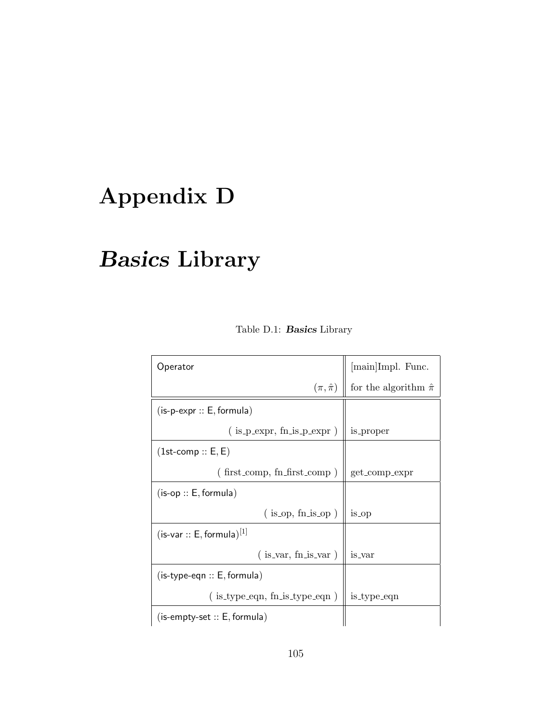# Appendix D

# Basics Library

| Operator                             | [main]Impl. Func.             |
|--------------------------------------|-------------------------------|
| $(\pi, \hat{\pi})$                   | for the algorithm $\hat{\pi}$ |
| $(is-p-expr :: E, formula)$          |                               |
| $($ is $-p$ -expr, fn is $-p$ -expr) | is_proper                     |
| $(1st\text{-comp} :: E, E)$          |                               |
| $($ first_comp, fn_first_comp)       | get_comp_expr                 |
| $(is-op :: E, formula)$              |                               |
| $(is_op, fn.is_op)$                  | is_op                         |
| $(is-var :: E, formula)^{[1]}$       |                               |
| $($ is_var, fn_is_var $)$            | is_var                        |
| $(is-type\text{-}eqn :: E, formula)$ |                               |
| $($ is_type_eqn, fn_is_type_eqn $)$  | is_type_eqn                   |
| $(is$ -empty-set $:: E$ , formula)   |                               |

Table D.1: Basics Library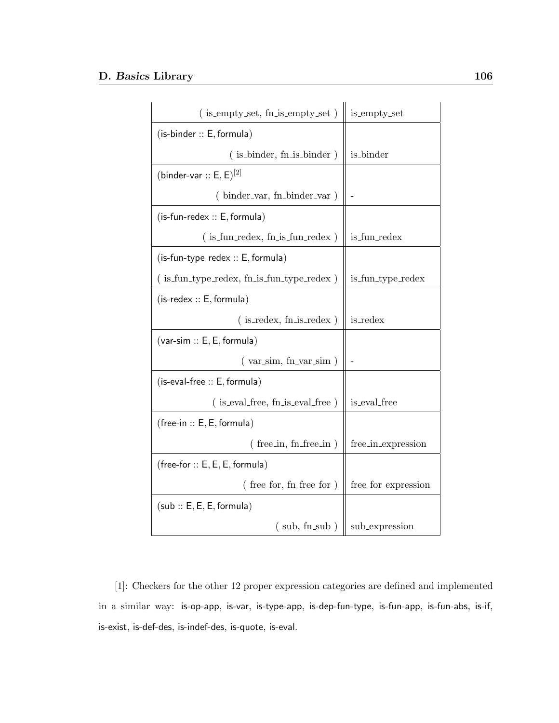| (is_empty_set, fn_is_empty_set)                 | is_empty_set        |
|-------------------------------------------------|---------------------|
| $(is$ -binder $:: E$ , formula)                 |                     |
| $($ is binder, fn is binder)                    | is_binder           |
| (binder-var :: $E, E$ ) <sup>[2]</sup>          |                     |
| (binder_var, fn_binder_var)                     |                     |
| $(is-fun-redex :: E, formula)$                  |                     |
| $($ is fun redex, fn is fun redex $)$           | is_fun_redex        |
| $(is-fun-type_redex :: E, formula)$             |                     |
| $($ is fun_type_redex, fn_is_fun_type_redex $)$ | is_fun_type_redex   |
| $($ is-redex :: E, formula $)$                  |                     |
| $($ is redex, fn is redex $)$                   | is_redex            |
| $(var-sim :: E, E, formula)$                    |                     |
| $(var_sim, fn\_var_sim)$                        |                     |
| $(is-eval-free :: E, formula)$                  |                     |
| $($ is eval free, fn is eval free $)$           | is_eval_free        |
| $(free-in :: E, E, formula)$                    |                     |
| $($ free_in, fn_free_in $)$                     | free_in_expression  |
| $(free-for :: E, E, E, formula)$                |                     |
| $($ free_for, fn_free_for $)$                   | free_for_expression |
| (sub :: E, E, E, formula)                       |                     |
| (sub, fn.sub)                                   | sub_expression      |

[1]: Checkers for the other 12 proper expression categories are defined and implemented in a similar way: is-op-app, is-var, is-type-app, is-dep-fun-type, is-fun-app, is-fun-abs, is-if, is-exist, is-def-des, is-indef-des, is-quote, is-eval.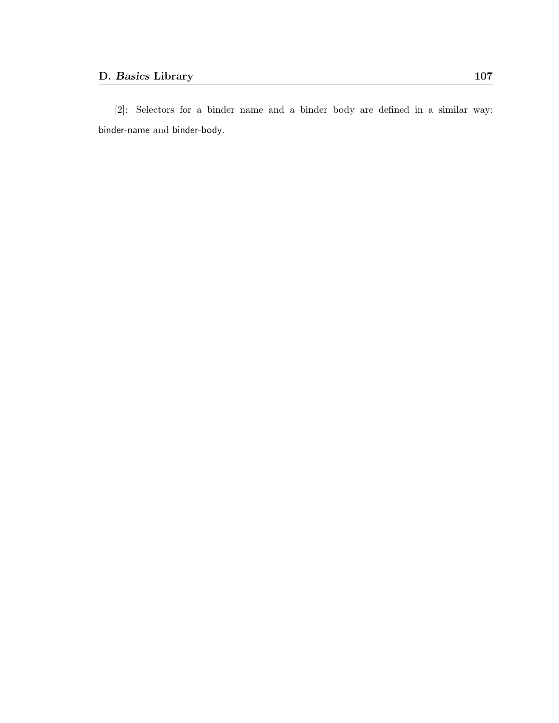[2]: Selectors for a binder name and a binder body are defined in a similar way: binder-name and binder-body.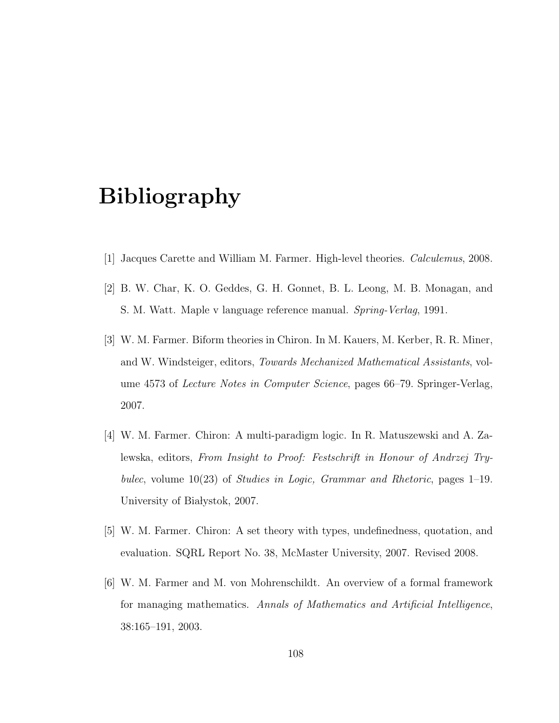#### Bibliography

- [1] Jacques Carette and William M. Farmer. High-level theories. Calculemus, 2008.
- [2] B. W. Char, K. O. Geddes, G. H. Gonnet, B. L. Leong, M. B. Monagan, and S. M. Watt. Maple v language reference manual. Spring-Verlag, 1991.
- [3] W. M. Farmer. Biform theories in Chiron. In M. Kauers, M. Kerber, R. R. Miner, and W. Windsteiger, editors, Towards Mechanized Mathematical Assistants, volume 4573 of Lecture Notes in Computer Science, pages 66–79. Springer-Verlag, 2007.
- [4] W. M. Farmer. Chiron: A multi-paradigm logic. In R. Matuszewski and A. Zalewska, editors, From Insight to Proof: Festschrift in Honour of Andrzej Trybulec, volume  $10(23)$  of *Studies in Logic, Grammar and Rhetoric*, pages  $1-19$ . University of Białystok, 2007.
- [5] W. M. Farmer. Chiron: A set theory with types, undefinedness, quotation, and evaluation. SQRL Report No. 38, McMaster University, 2007. Revised 2008.
- [6] W. M. Farmer and M. von Mohrenschildt. An overview of a formal framework for managing mathematics. Annals of Mathematics and Artificial Intelligence, 38:165–191, 2003.